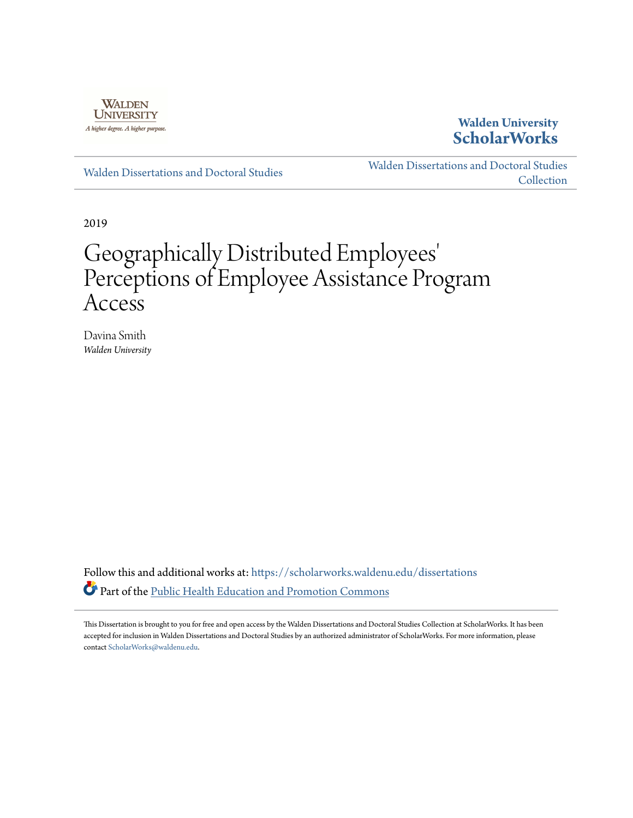

## **Walden University [ScholarWorks](https://scholarworks.waldenu.edu?utm_source=scholarworks.waldenu.edu%2Fdissertations%2F6675&utm_medium=PDF&utm_campaign=PDFCoverPages)**

[Walden Dissertations and Doctoral Studies](https://scholarworks.waldenu.edu/dissertations?utm_source=scholarworks.waldenu.edu%2Fdissertations%2F6675&utm_medium=PDF&utm_campaign=PDFCoverPages)

[Walden Dissertations and Doctoral Studies](https://scholarworks.waldenu.edu/dissanddoc?utm_source=scholarworks.waldenu.edu%2Fdissertations%2F6675&utm_medium=PDF&utm_campaign=PDFCoverPages) **[Collection](https://scholarworks.waldenu.edu/dissanddoc?utm_source=scholarworks.waldenu.edu%2Fdissertations%2F6675&utm_medium=PDF&utm_campaign=PDFCoverPages)** 

2019

# Geographically Distributed Employees 'Perceptions of Employee Assistance Program Access

Davina Smith *Walden University*

Follow this and additional works at: [https://scholarworks.waldenu.edu/dissertations](https://scholarworks.waldenu.edu/dissertations?utm_source=scholarworks.waldenu.edu%2Fdissertations%2F6675&utm_medium=PDF&utm_campaign=PDFCoverPages) Part of the [Public Health Education and Promotion Commons](http://network.bepress.com/hgg/discipline/743?utm_source=scholarworks.waldenu.edu%2Fdissertations%2F6675&utm_medium=PDF&utm_campaign=PDFCoverPages)

This Dissertation is brought to you for free and open access by the Walden Dissertations and Doctoral Studies Collection at ScholarWorks. It has been accepted for inclusion in Walden Dissertations and Doctoral Studies by an authorized administrator of ScholarWorks. For more information, please contact [ScholarWorks@waldenu.edu](mailto:ScholarWorks@waldenu.edu).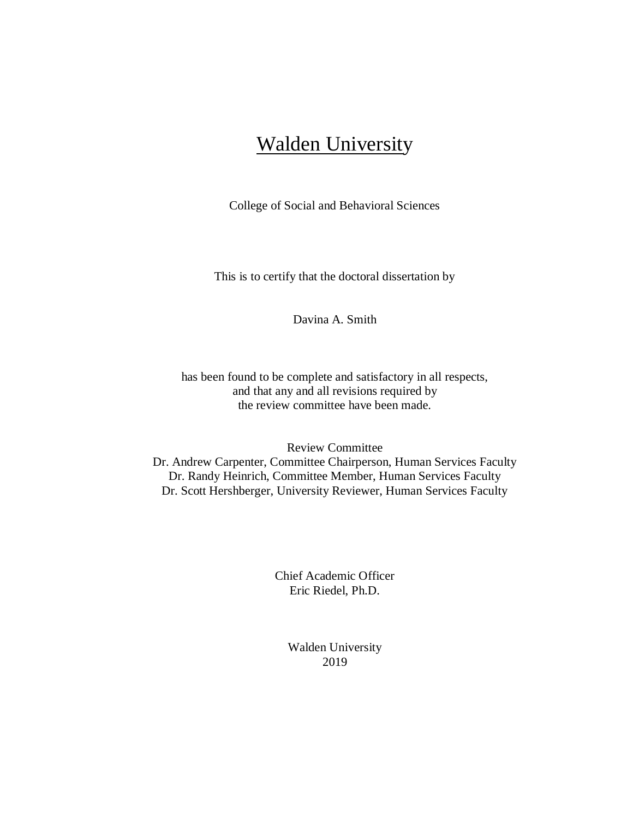## **Walden University**

College of Social and Behavioral Sciences

This is to certify that the doctoral dissertation by

Davina A. Smith

has been found to be complete and satisfactory in all respects, and that any and all revisions required by the review committee have been made.

Review Committee

Dr. Andrew Carpenter, Committee Chairperson, Human Services Faculty Dr. Randy Heinrich, Committee Member, Human Services Faculty Dr. Scott Hershberger, University Reviewer, Human Services Faculty

> Chief Academic Officer Eric Riedel, Ph.D.

> > Walden University 2019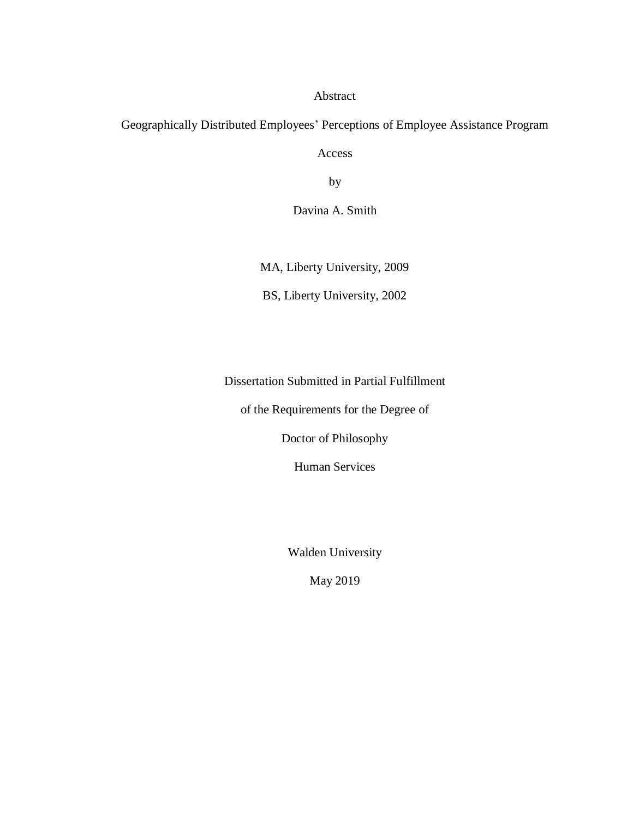#### Abstract

## Geographically Distributed Employees' Perceptions of Employee Assistance Program

Access

by

Davina A. Smith

MA, Liberty University, 2009

BS, Liberty University, 2002

Dissertation Submitted in Partial Fulfillment

of the Requirements for the Degree of

Doctor of Philosophy

Human Services

Walden University

May 2019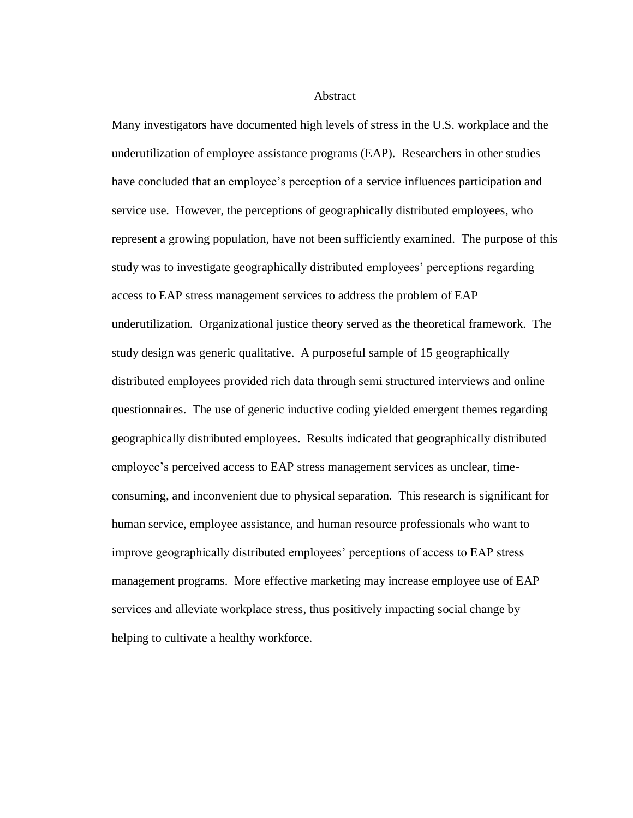#### Abstract

Many investigators have documented high levels of stress in the U.S. workplace and the underutilization of employee assistance programs (EAP). Researchers in other studies have concluded that an employee's perception of a service influences participation and service use. However, the perceptions of geographically distributed employees, who represent a growing population, have not been sufficiently examined. The purpose of this study was to investigate geographically distributed employees' perceptions regarding access to EAP stress management services to address the problem of EAP underutilization. Organizational justice theory served as the theoretical framework. The study design was generic qualitative. A purposeful sample of 15 geographically distributed employees provided rich data through semi structured interviews and online questionnaires. The use of generic inductive coding yielded emergent themes regarding geographically distributed employees. Results indicated that geographically distributed employee's perceived access to EAP stress management services as unclear, timeconsuming, and inconvenient due to physical separation. This research is significant for human service, employee assistance, and human resource professionals who want to improve geographically distributed employees' perceptions of access to EAP stress management programs. More effective marketing may increase employee use of EAP services and alleviate workplace stress, thus positively impacting social change by helping to cultivate a healthy workforce.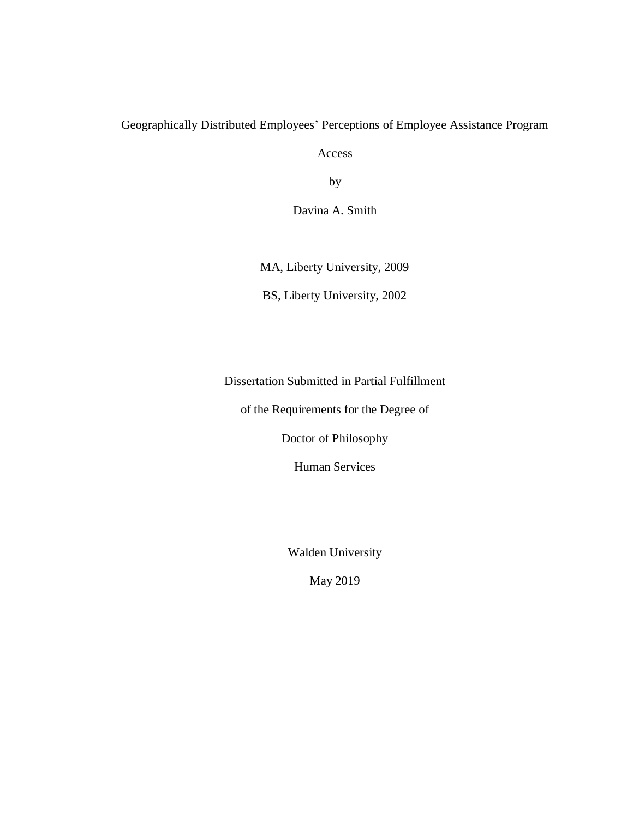### Geographically Distributed Employees' Perceptions of Employee Assistance Program

Access

by

Davina A. Smith

MA, Liberty University, 2009

BS, Liberty University, 2002

Dissertation Submitted in Partial Fulfillment

of the Requirements for the Degree of

Doctor of Philosophy

Human Services

Walden University

May 2019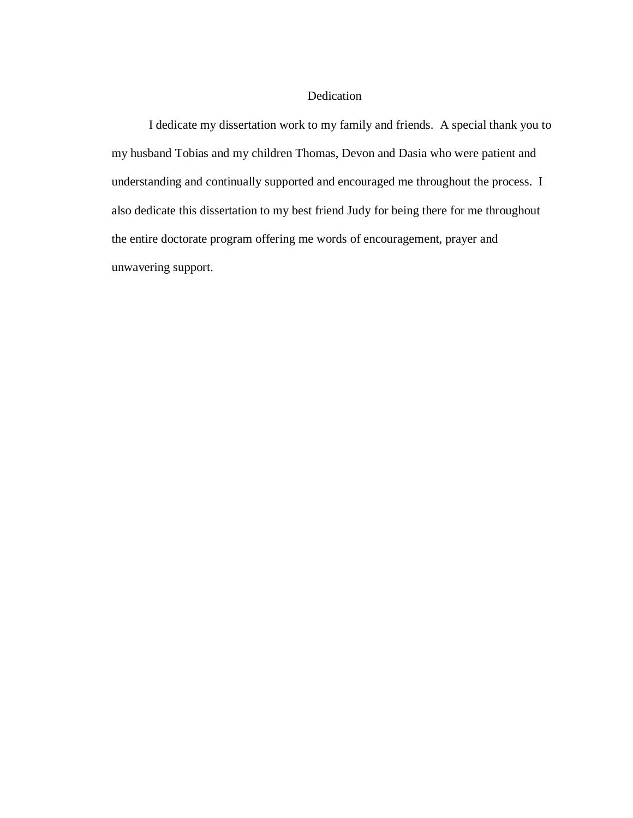#### Dedication

I dedicate my dissertation work to my family and friends. A special thank you to my husband Tobias and my children Thomas, Devon and Dasia who were patient and understanding and continually supported and encouraged me throughout the process. I also dedicate this dissertation to my best friend Judy for being there for me throughout the entire doctorate program offering me words of encouragement, prayer and unwavering support.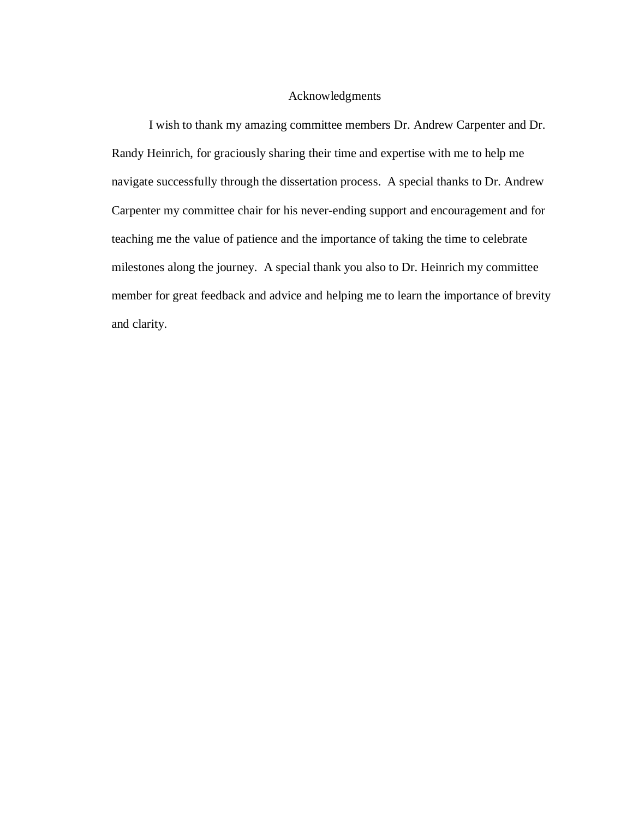#### Acknowledgments

I wish to thank my amazing committee members Dr. Andrew Carpenter and Dr. Randy Heinrich, for graciously sharing their time and expertise with me to help me navigate successfully through the dissertation process. A special thanks to Dr. Andrew Carpenter my committee chair for his never-ending support and encouragement and for teaching me the value of patience and the importance of taking the time to celebrate milestones along the journey. A special thank you also to Dr. Heinrich my committee member for great feedback and advice and helping me to learn the importance of brevity and clarity.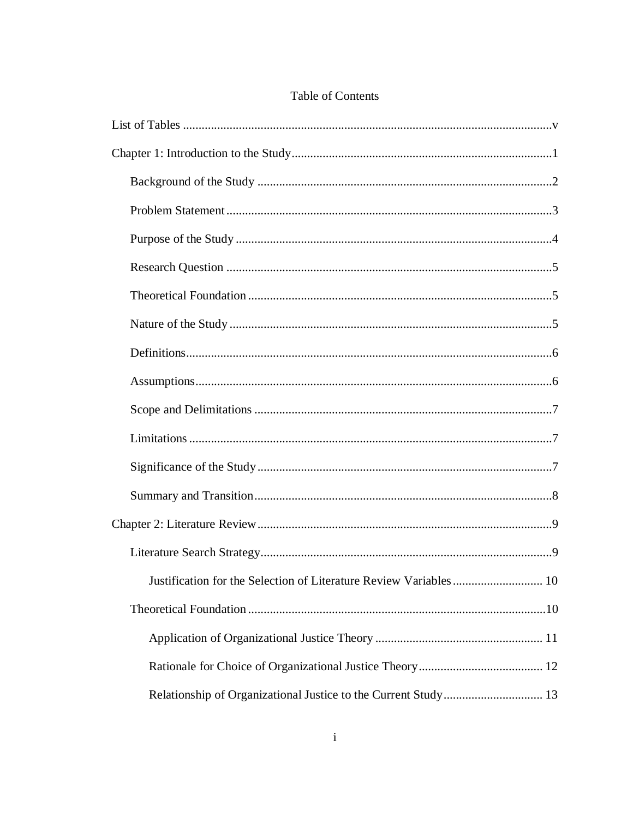| Justification for the Selection of Literature Review Variables  10 |  |
|--------------------------------------------------------------------|--|
|                                                                    |  |
|                                                                    |  |
|                                                                    |  |
| Relationship of Organizational Justice to the Current Study 13     |  |

### Table of Contents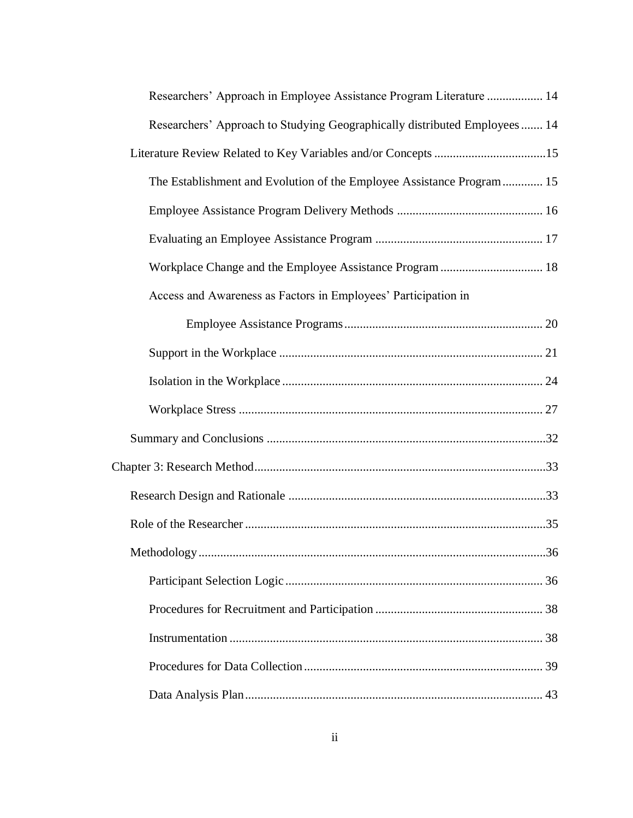| Researchers' Approach in Employee Assistance Program Literature  14       |
|---------------------------------------------------------------------------|
| Researchers' Approach to Studying Geographically distributed Employees 14 |
| Literature Review Related to Key Variables and/or Concepts 15             |
| The Establishment and Evolution of the Employee Assistance Program 15     |
|                                                                           |
|                                                                           |
| Workplace Change and the Employee Assistance Program  18                  |
| Access and Awareness as Factors in Employees' Participation in            |
|                                                                           |
|                                                                           |
|                                                                           |
|                                                                           |
|                                                                           |
|                                                                           |
|                                                                           |
|                                                                           |
|                                                                           |
|                                                                           |
|                                                                           |
|                                                                           |
|                                                                           |
|                                                                           |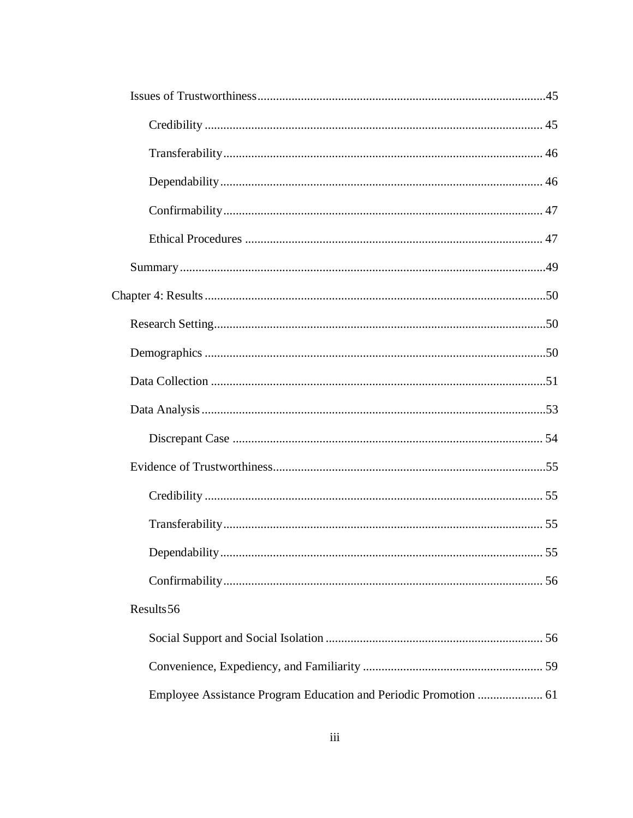| Results 56                                                       |  |
|------------------------------------------------------------------|--|
|                                                                  |  |
|                                                                  |  |
| Employee Assistance Program Education and Periodic Promotion  61 |  |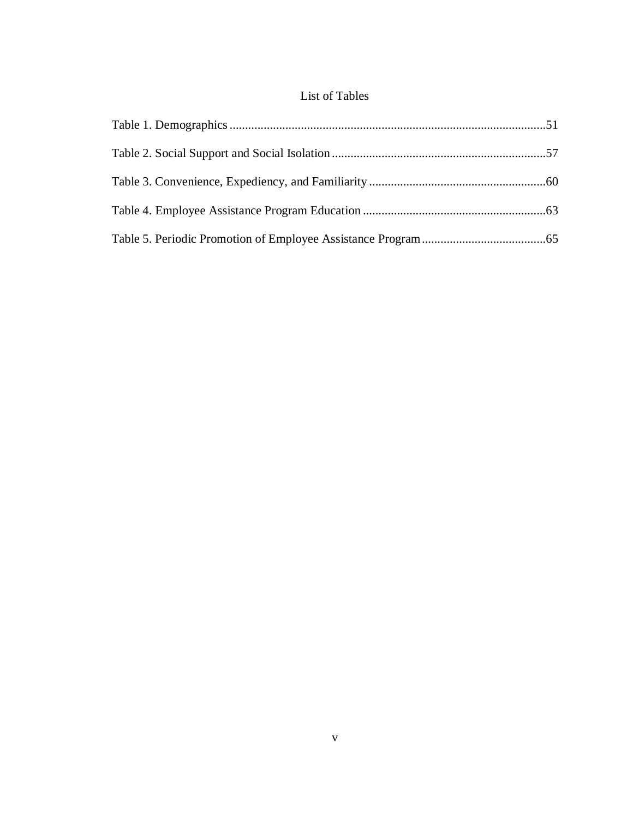## List of Tables

<span id="page-11-0"></span>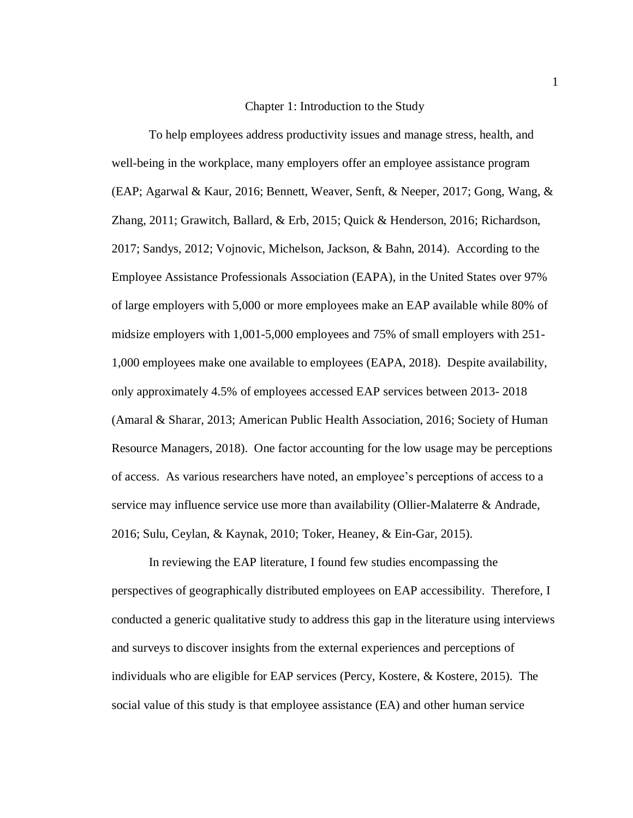#### Chapter 1: Introduction to the Study

<span id="page-12-0"></span>To help employees address productivity issues and manage stress, health, and well-being in the workplace, many employers offer an employee assistance program (EAP; Agarwal & Kaur, 2016; Bennett, Weaver, Senft, & Neeper, 2017; Gong, Wang, & Zhang, 2011; Grawitch, Ballard, & Erb, 2015; Quick & Henderson, 2016; Richardson, 2017; Sandys, 2012; Vojnovic, Michelson, Jackson, & Bahn, 2014). According to the Employee Assistance Professionals Association (EAPA), in the United States over 97% of large employers with 5,000 or more employees make an EAP available while 80% of midsize employers with 1,001-5,000 employees and 75% of small employers with 251- 1,000 employees make one available to employees (EAPA, 2018). Despite availability, only approximately 4.5% of employees accessed EAP services between 2013- 2018 (Amaral & Sharar, 2013; American Public Health Association, 2016; Society of Human Resource Managers, 2018). One factor accounting for the low usage may be perceptions of access. As various researchers have noted, an employee's perceptions of access to a service may influence service use more than availability (Ollier-Malaterre & Andrade, 2016; Sulu, Ceylan, & Kaynak, 2010; Toker, Heaney, & Ein-Gar, 2015).

In reviewing the EAP literature, I found few studies encompassing the perspectives of geographically distributed employees on EAP accessibility. Therefore, I conducted a generic qualitative study to address this gap in the literature using interviews and surveys to discover insights from the external experiences and perceptions of individuals who are eligible for EAP services (Percy, Kostere, & Kostere, 2015). The social value of this study is that employee assistance (EA) and other human service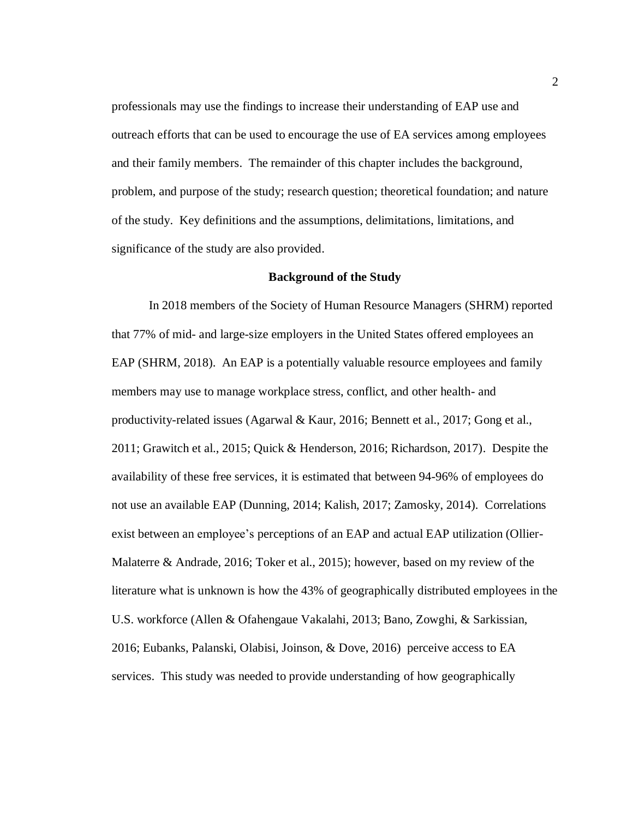professionals may use the findings to increase their understanding of EAP use and outreach efforts that can be used to encourage the use of EA services among employees and their family members. The remainder of this chapter includes the background, problem, and purpose of the study; research question; theoretical foundation; and nature of the study. Key definitions and the assumptions, delimitations, limitations, and significance of the study are also provided.

#### **Background of the Study**

<span id="page-13-0"></span>In 2018 members of the Society of Human Resource Managers (SHRM) reported that 77% of mid- and large-size employers in the United States offered employees an EAP (SHRM, 2018). An EAP is a potentially valuable resource employees and family members may use to manage workplace stress, conflict, and other health- and productivity-related issues (Agarwal & Kaur, 2016; Bennett et al., 2017; Gong et al., 2011; Grawitch et al., 2015; Quick & Henderson, 2016; Richardson, 2017). Despite the availability of these free services, it is estimated that between 94-96% of employees do not use an available EAP (Dunning, 2014; Kalish, 2017; Zamosky, 2014). Correlations exist between an employee's perceptions of an EAP and actual EAP utilization (Ollier-Malaterre & Andrade, 2016; Toker et al., 2015); however, based on my review of the literature what is unknown is how the 43% of geographically distributed employees in the U.S. workforce (Allen & Ofahengaue Vakalahi, 2013; Bano, Zowghi, & Sarkissian, 2016; Eubanks, Palanski, Olabisi, Joinson, & Dove, 2016) perceive access to EA services. This study was needed to provide understanding of how geographically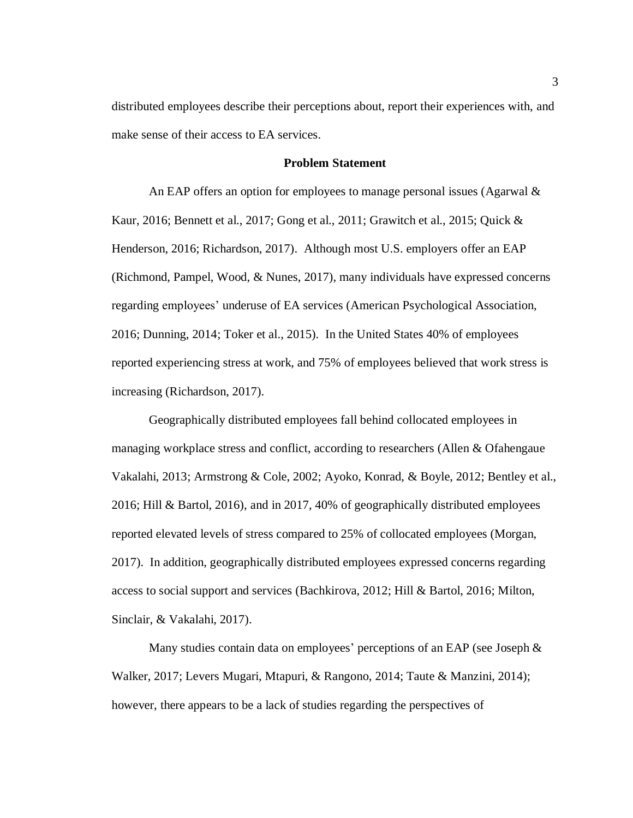distributed employees describe their perceptions about, report their experiences with, and make sense of their access to EA services.

#### **Problem Statement**

<span id="page-14-0"></span>An EAP offers an option for employees to manage personal issues (Agarwal  $\&$ Kaur, 2016; Bennett et al., 2017; Gong et al., 2011; Grawitch et al., 2015; Quick & Henderson, 2016; Richardson, 2017). Although most U.S. employers offer an EAP (Richmond, Pampel, Wood, & Nunes, 2017), many individuals have expressed concerns regarding employees' underuse of EA services (American Psychological Association, 2016; Dunning, 2014; Toker et al., 2015). In the United States 40% of employees reported experiencing stress at work, and 75% of employees believed that work stress is increasing (Richardson, 2017).

Geographically distributed employees fall behind collocated employees in managing workplace stress and conflict, according to researchers (Allen & Ofahengaue Vakalahi, 2013; Armstrong & Cole, 2002; Ayoko, Konrad, & Boyle, 2012; Bentley et al., 2016; Hill & Bartol, 2016), and in 2017, 40% of geographically distributed employees reported elevated levels of stress compared to 25% of collocated employees (Morgan, 2017). In addition, geographically distributed employees expressed concerns regarding access to social support and services (Bachkirova, 2012; Hill & Bartol, 2016; Milton, Sinclair, & Vakalahi, 2017).

Many studies contain data on employees' perceptions of an EAP (see Joseph & Walker, 2017; Levers Mugari, Mtapuri, & Rangono, 2014; Taute & Manzini, 2014); however, there appears to be a lack of studies regarding the perspectives of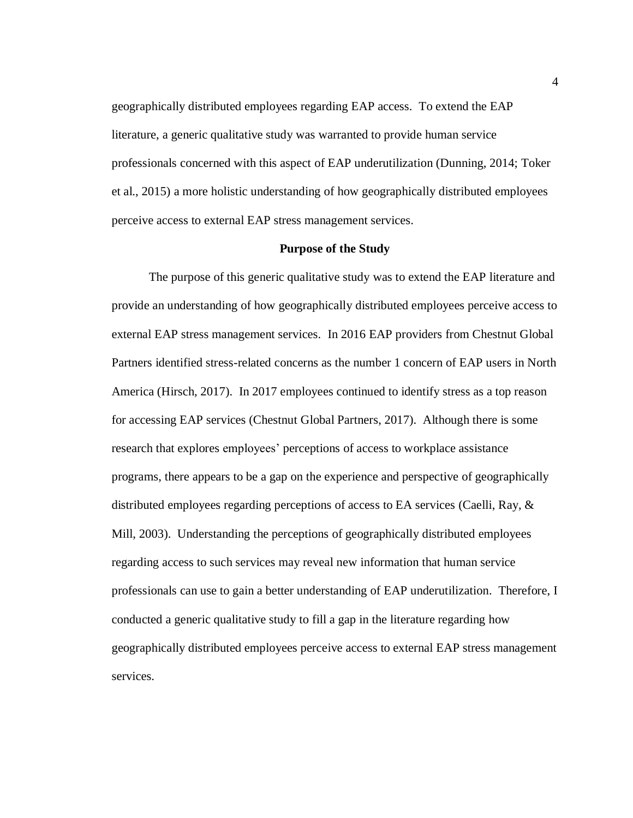geographically distributed employees regarding EAP access. To extend the EAP literature, a generic qualitative study was warranted to provide human service professionals concerned with this aspect of EAP underutilization (Dunning, 2014; Toker et al., 2015) a more holistic understanding of how geographically distributed employees perceive access to external EAP stress management services.

#### **Purpose of the Study**

<span id="page-15-0"></span>The purpose of this generic qualitative study was to extend the EAP literature and provide an understanding of how geographically distributed employees perceive access to external EAP stress management services. In 2016 EAP providers from Chestnut Global Partners identified stress-related concerns as the number 1 concern of EAP users in North America (Hirsch, 2017). In 2017 employees continued to identify stress as a top reason for accessing EAP services (Chestnut Global Partners, 2017). Although there is some research that explores employees' perceptions of access to workplace assistance programs, there appears to be a gap on the experience and perspective of geographically distributed employees regarding perceptions of access to EA services (Caelli, Ray, & Mill, 2003). Understanding the perceptions of geographically distributed employees regarding access to such services may reveal new information that human service professionals can use to gain a better understanding of EAP underutilization. Therefore, I conducted a generic qualitative study to fill a gap in the literature regarding how geographically distributed employees perceive access to external EAP stress management services.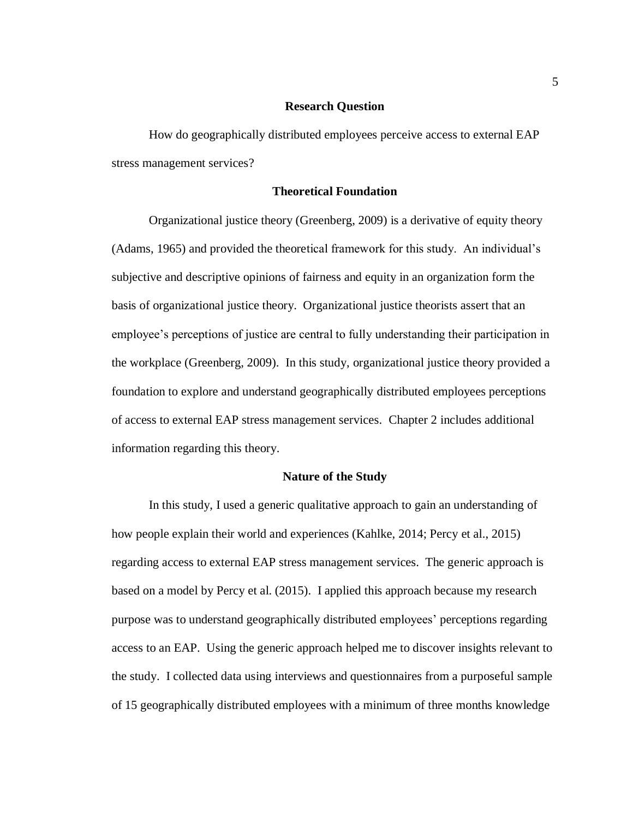#### **Research Question**

<span id="page-16-0"></span>How do geographically distributed employees perceive access to external EAP stress management services?

#### **Theoretical Foundation**

<span id="page-16-1"></span>Organizational justice theory (Greenberg, 2009) is a derivative of equity theory (Adams, 1965) and provided the theoretical framework for this study. An individual's subjective and descriptive opinions of fairness and equity in an organization form the basis of organizational justice theory. Organizational justice theorists assert that an employee's perceptions of justice are central to fully understanding their participation in the workplace (Greenberg, 2009). In this study, organizational justice theory provided a foundation to explore and understand geographically distributed employees perceptions of access to external EAP stress management services. Chapter 2 includes additional information regarding this theory.

#### **Nature of the Study**

<span id="page-16-2"></span>In this study, I used a generic qualitative approach to gain an understanding of how people explain their world and experiences (Kahlke, 2014; Percy et al., 2015) regarding access to external EAP stress management services. The generic approach is based on a model by Percy et al. (2015). I applied this approach because my research purpose was to understand geographically distributed employees' perceptions regarding access to an EAP. Using the generic approach helped me to discover insights relevant to the study. I collected data using interviews and questionnaires from a purposeful sample of 15 geographically distributed employees with a minimum of three months knowledge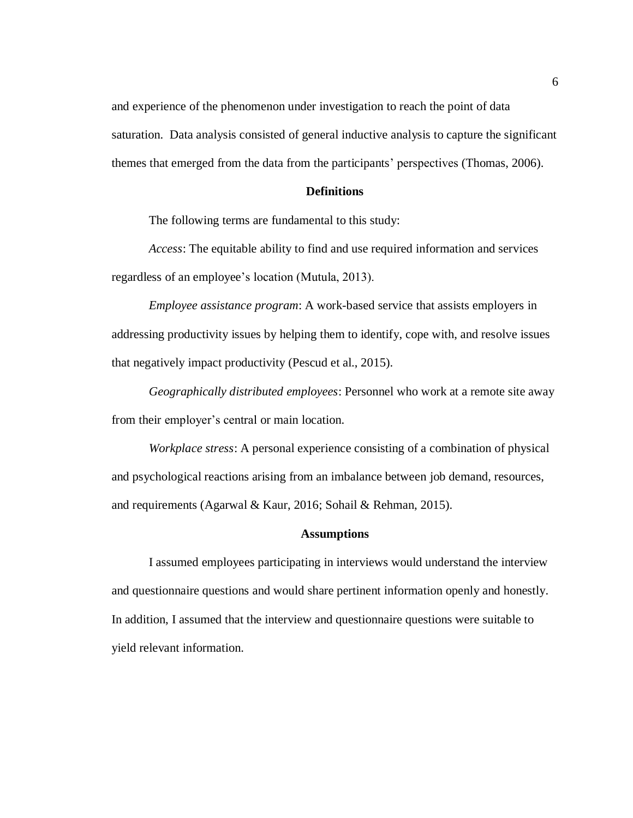and experience of the phenomenon under investigation to reach the point of data saturation. Data analysis consisted of general inductive analysis to capture the significant themes that emerged from the data from the participants' perspectives (Thomas, 2006).

#### **Definitions**

<span id="page-17-0"></span>The following terms are fundamental to this study:

*Access*: The equitable ability to find and use required information and services regardless of an employee's location (Mutula, 2013).

*Employee assistance program*: A work-based service that assists employers in addressing productivity issues by helping them to identify, cope with, and resolve issues that negatively impact productivity (Pescud et al., 2015).

*Geographically distributed employees*: Personnel who work at a remote site away from their employer's central or main location.

*Workplace stress*: A personal experience consisting of a combination of physical and psychological reactions arising from an imbalance between job demand, resources, and requirements (Agarwal & Kaur, 2016; Sohail & Rehman, 2015).

#### **Assumptions**

<span id="page-17-1"></span>I assumed employees participating in interviews would understand the interview and questionnaire questions and would share pertinent information openly and honestly. In addition, I assumed that the interview and questionnaire questions were suitable to yield relevant information.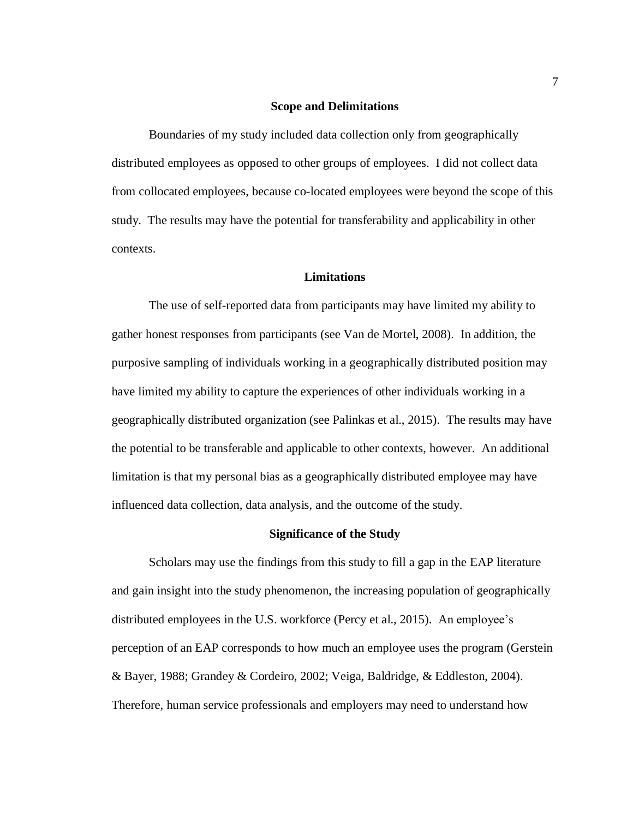#### **Scope and Delimitations**

<span id="page-18-0"></span>Boundaries of my study included data collection only from geographically distributed employees as opposed to other groups of employees. I did not collect data from collocated employees, because co-located employees were beyond the scope of this study. The results may have the potential for transferability and applicability in other contexts.

#### **Limitations**

<span id="page-18-1"></span>The use of self-reported data from participants may have limited my ability to gather honest responses from participants (see Van de Mortel, 2008). In addition, the purposive sampling of individuals working in a geographically distributed position may have limited my ability to capture the experiences of other individuals working in a geographically distributed organization (see Palinkas et al., 2015). The results may have the potential to be transferable and applicable to other contexts, however. An additional limitation is that my personal bias as a geographically distributed employee may have influenced data collection, data analysis, and the outcome of the study.

#### **Significance of the Study**

<span id="page-18-2"></span>Scholars may use the findings from this study to fill a gap in the EAP literature and gain insight into the study phenomenon, the increasing population of geographically distributed employees in the U.S. workforce (Percy et al., 2015). An employee's perception of an EAP corresponds to how much an employee uses the program (Gerstein & Bayer, 1988; Grandey & Cordeiro, 2002; Veiga, Baldridge, & Eddleston, 2004). Therefore, human service professionals and employers may need to understand how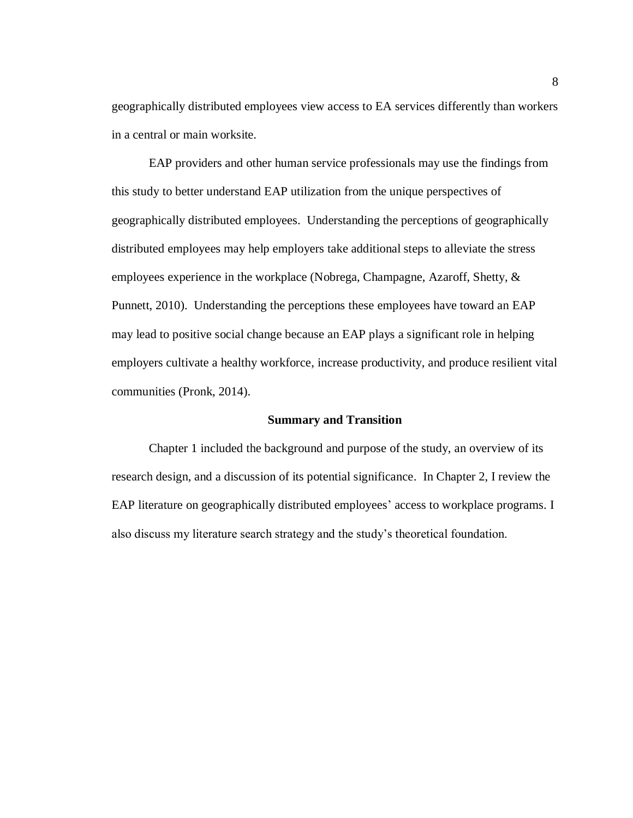geographically distributed employees view access to EA services differently than workers in a central or main worksite.

EAP providers and other human service professionals may use the findings from this study to better understand EAP utilization from the unique perspectives of geographically distributed employees. Understanding the perceptions of geographically distributed employees may help employers take additional steps to alleviate the stress employees experience in the workplace (Nobrega, Champagne, Azaroff, Shetty, & Punnett, 2010). Understanding the perceptions these employees have toward an EAP may lead to positive social change because an EAP plays a significant role in helping employers cultivate a healthy workforce, increase productivity, and produce resilient vital communities (Pronk, 2014).

#### **Summary and Transition**

<span id="page-19-0"></span>Chapter 1 included the background and purpose of the study, an overview of its research design, and a discussion of its potential significance. In Chapter 2, I review the EAP literature on geographically distributed employees' access to workplace programs. I also discuss my literature search strategy and the study's theoretical foundation.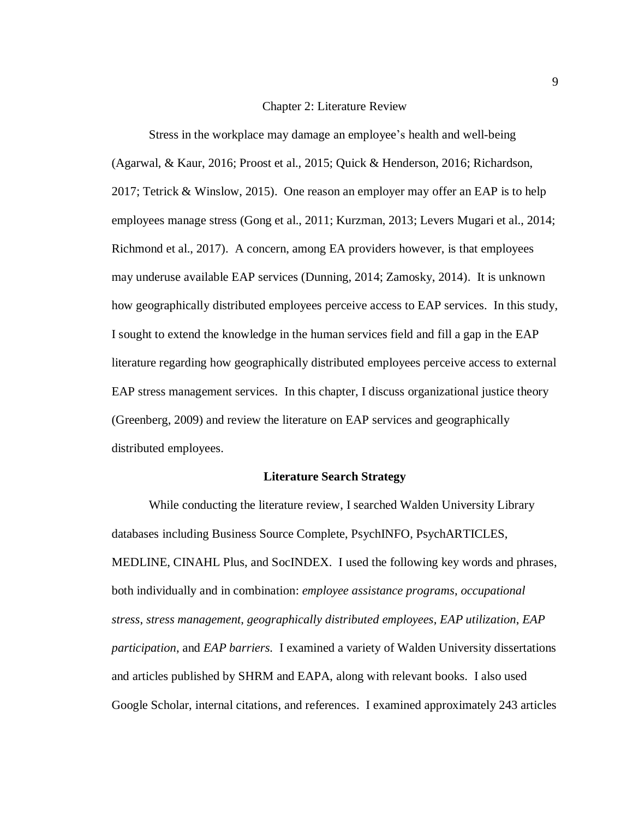#### Chapter 2: Literature Review

<span id="page-20-0"></span>Stress in the workplace may damage an employee's health and well-being (Agarwal, & Kaur, 2016; Proost et al., 2015; Quick & Henderson, 2016; Richardson, 2017; Tetrick & Winslow, 2015). One reason an employer may offer an EAP is to help employees manage stress (Gong et al., 2011; Kurzman, 2013; Levers Mugari et al., 2014; Richmond et al., 2017). A concern, among EA providers however, is that employees may underuse available EAP services (Dunning, 2014; Zamosky, 2014). It is unknown how geographically distributed employees perceive access to EAP services. In this study, I sought to extend the knowledge in the human services field and fill a gap in the EAP literature regarding how geographically distributed employees perceive access to external EAP stress management services. In this chapter, I discuss organizational justice theory (Greenberg, 2009) and review the literature on EAP services and geographically distributed employees.

#### **Literature Search Strategy**

<span id="page-20-1"></span>While conducting the literature review, I searched Walden University Library databases including Business Source Complete, PsychINFO, PsychARTICLES, MEDLINE, CINAHL Plus, and SocINDEX. I used the following key words and phrases, both individually and in combination: *employee assistance programs*, *occupational stress*, *stress management*, *geographically distributed employees*, *EAP utilization*, *EAP participation*, and *EAP barriers.* I examined a variety of Walden University dissertations and articles published by SHRM and EAPA, along with relevant books. I also used Google Scholar, internal citations, and references. I examined approximately 243 articles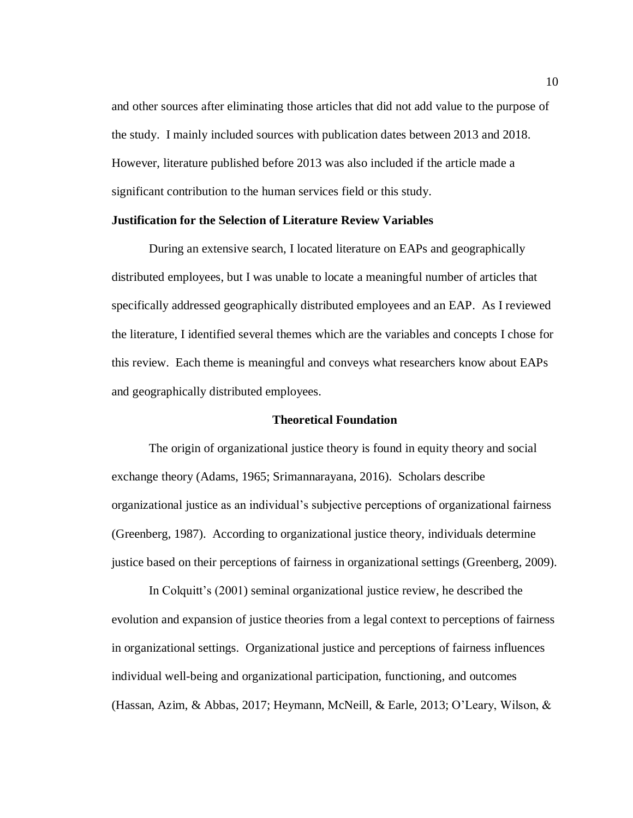and other sources after eliminating those articles that did not add value to the purpose of the study. I mainly included sources with publication dates between 2013 and 2018. However, literature published before 2013 was also included if the article made a significant contribution to the human services field or this study.

#### <span id="page-21-0"></span>**Justification for the Selection of Literature Review Variables**

During an extensive search, I located literature on EAPs and geographically distributed employees, but I was unable to locate a meaningful number of articles that specifically addressed geographically distributed employees and an EAP. As I reviewed the literature, I identified several themes which are the variables and concepts I chose for this review. Each theme is meaningful and conveys what researchers know about EAPs and geographically distributed employees.

#### **Theoretical Foundation**

<span id="page-21-1"></span>The origin of organizational justice theory is found in equity theory and social exchange theory (Adams, 1965; Srimannarayana, 2016). Scholars describe organizational justice as an individual's subjective perceptions of organizational fairness (Greenberg, 1987). According to organizational justice theory, individuals determine justice based on their perceptions of fairness in organizational settings (Greenberg, 2009).

In Colquitt's (2001) seminal organizational justice review, he described the evolution and expansion of justice theories from a legal context to perceptions of fairness in organizational settings. Organizational justice and perceptions of fairness influences individual well-being and organizational participation, functioning, and outcomes (Hassan, Azim, & Abbas, 2017; Heymann, McNeill, & Earle, 2013; O'Leary, Wilson, &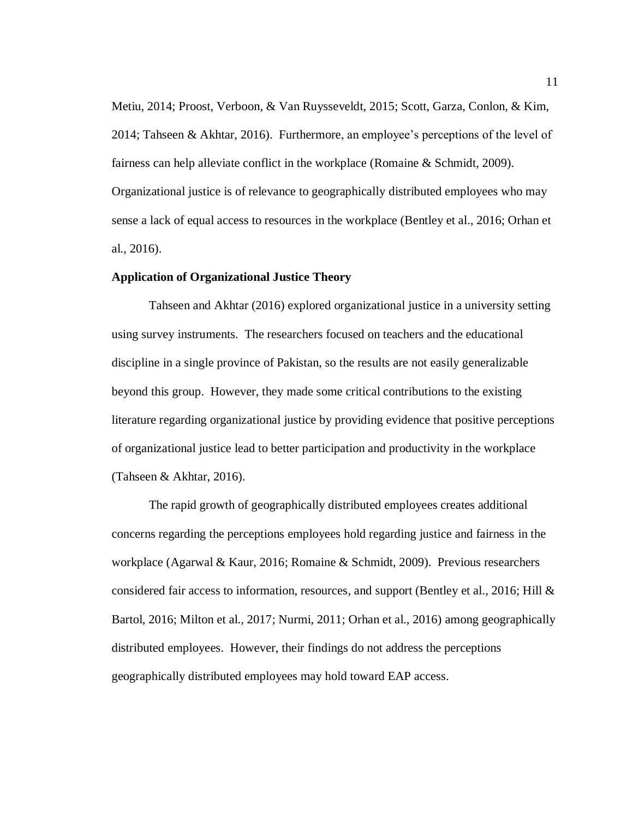Metiu, 2014; Proost, Verboon, & Van Ruysseveldt, 2015; Scott, Garza, Conlon, & Kim, 2014; Tahseen & Akhtar, 2016). Furthermore, an employee's perceptions of the level of fairness can help alleviate conflict in the workplace (Romaine & Schmidt, 2009). Organizational justice is of relevance to geographically distributed employees who may sense a lack of equal access to resources in the workplace (Bentley et al., 2016; Orhan et al., 2016).

#### <span id="page-22-0"></span>**Application of Organizational Justice Theory**

Tahseen and Akhtar (2016) explored organizational justice in a university setting using survey instruments. The researchers focused on teachers and the educational discipline in a single province of Pakistan, so the results are not easily generalizable beyond this group. However, they made some critical contributions to the existing literature regarding organizational justice by providing evidence that positive perceptions of organizational justice lead to better participation and productivity in the workplace (Tahseen & Akhtar, 2016).

The rapid growth of geographically distributed employees creates additional concerns regarding the perceptions employees hold regarding justice and fairness in the workplace (Agarwal & Kaur, 2016; Romaine & Schmidt, 2009). Previous researchers considered fair access to information, resources, and support (Bentley et al., 2016; Hill & Bartol, 2016; Milton et al., 2017; Nurmi, 2011; Orhan et al., 2016) among geographically distributed employees. However, their findings do not address the perceptions geographically distributed employees may hold toward EAP access.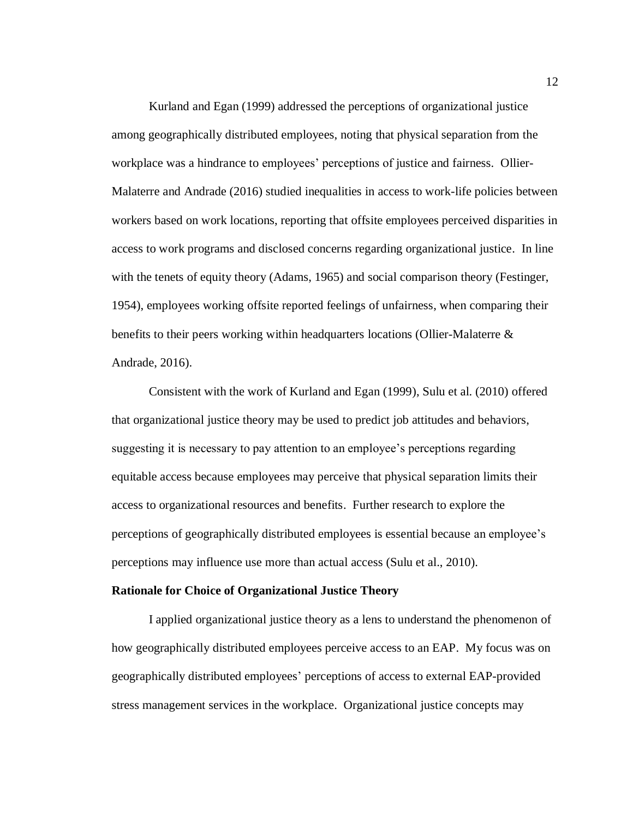Kurland and Egan (1999) addressed the perceptions of organizational justice among geographically distributed employees, noting that physical separation from the workplace was a hindrance to employees' perceptions of justice and fairness. Ollier-Malaterre and Andrade (2016) studied inequalities in access to work-life policies between workers based on work locations, reporting that offsite employees perceived disparities in access to work programs and disclosed concerns regarding organizational justice. In line with the tenets of equity theory (Adams, 1965) and social comparison theory (Festinger, 1954), employees working offsite reported feelings of unfairness, when comparing their benefits to their peers working within headquarters locations (Ollier-Malaterre & Andrade, 2016).

Consistent with the work of Kurland and Egan (1999), Sulu et al. (2010) offered that organizational justice theory may be used to predict job attitudes and behaviors, suggesting it is necessary to pay attention to an employee's perceptions regarding equitable access because employees may perceive that physical separation limits their access to organizational resources and benefits. Further research to explore the perceptions of geographically distributed employees is essential because an employee's perceptions may influence use more than actual access (Sulu et al., 2010).

#### <span id="page-23-0"></span>**Rationale for Choice of Organizational Justice Theory**

I applied organizational justice theory as a lens to understand the phenomenon of how geographically distributed employees perceive access to an EAP. My focus was on geographically distributed employees' perceptions of access to external EAP-provided stress management services in the workplace. Organizational justice concepts may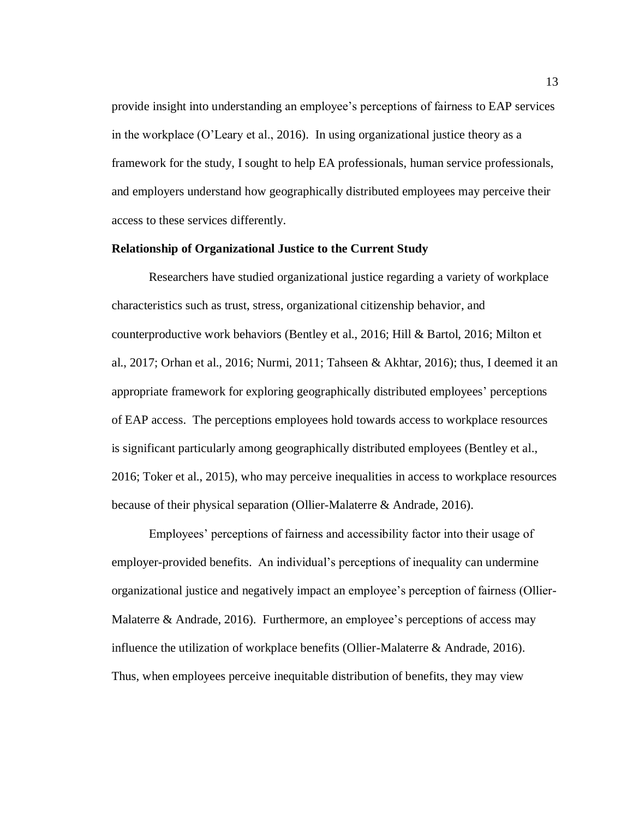provide insight into understanding an employee's perceptions of fairness to EAP services in the workplace (O'Leary et al., 2016). In using organizational justice theory as a framework for the study, I sought to help EA professionals, human service professionals, and employers understand how geographically distributed employees may perceive their access to these services differently.

#### <span id="page-24-0"></span>**Relationship of Organizational Justice to the Current Study**

Researchers have studied organizational justice regarding a variety of workplace characteristics such as trust, stress, organizational citizenship behavior, and counterproductive work behaviors (Bentley et al., 2016; Hill & Bartol, 2016; Milton et al., 2017; Orhan et al., 2016; Nurmi, 2011; Tahseen & Akhtar, 2016); thus, I deemed it an appropriate framework for exploring geographically distributed employees' perceptions of EAP access. The perceptions employees hold towards access to workplace resources is significant particularly among geographically distributed employees (Bentley et al., 2016; Toker et al., 2015), who may perceive inequalities in access to workplace resources because of their physical separation (Ollier-Malaterre & Andrade, 2016).

Employees' perceptions of fairness and accessibility factor into their usage of employer-provided benefits. An individual's perceptions of inequality can undermine organizational justice and negatively impact an employee's perception of fairness (Ollier-Malaterre & Andrade, 2016). Furthermore, an employee's perceptions of access may influence the utilization of workplace benefits (Ollier-Malaterre & Andrade, 2016). Thus, when employees perceive inequitable distribution of benefits, they may view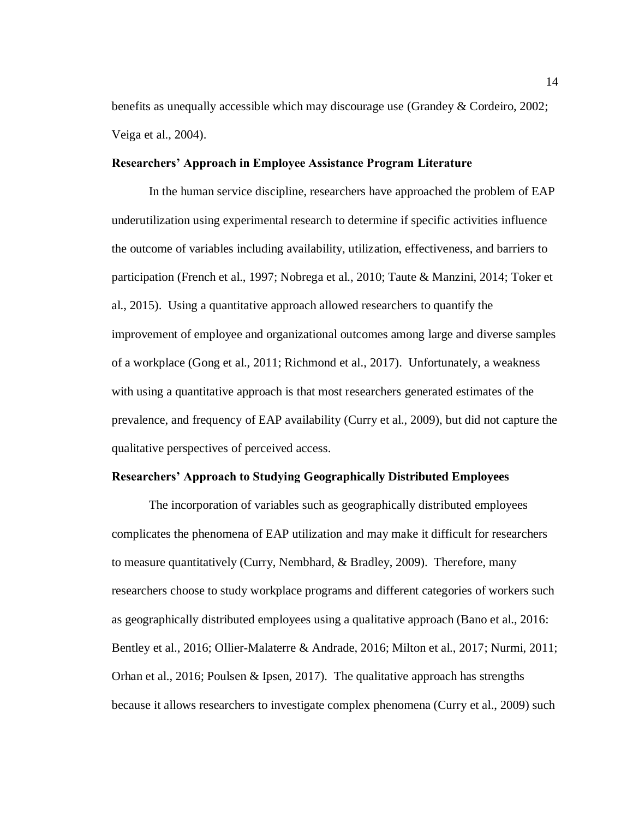benefits as unequally accessible which may discourage use (Grandey & Cordeiro, 2002; Veiga et al., 2004).

#### <span id="page-25-0"></span>**Researchers' Approach in Employee Assistance Program Literature**

In the human service discipline, researchers have approached the problem of EAP underutilization using experimental research to determine if specific activities influence the outcome of variables including availability, utilization, effectiveness, and barriers to participation (French et al., 1997; Nobrega et al., 2010; Taute & Manzini, 2014; Toker et al., 2015). Using a quantitative approach allowed researchers to quantify the improvement of employee and organizational outcomes among large and diverse samples of a workplace (Gong et al., 2011; Richmond et al., 2017). Unfortunately, a weakness with using a quantitative approach is that most researchers generated estimates of the prevalence, and frequency of EAP availability (Curry et al., 2009), but did not capture the qualitative perspectives of perceived access.

#### <span id="page-25-1"></span>**Researchers' Approach to Studying Geographically Distributed Employees**

The incorporation of variables such as geographically distributed employees complicates the phenomena of EAP utilization and may make it difficult for researchers to measure quantitatively (Curry, Nembhard, & Bradley, 2009). Therefore, many researchers choose to study workplace programs and different categories of workers such as geographically distributed employees using a qualitative approach (Bano et al., 2016: Bentley et al., 2016; Ollier-Malaterre & Andrade, 2016; Milton et al., 2017; Nurmi, 2011; Orhan et al., 2016; Poulsen & Ipsen, 2017). The qualitative approach has strengths because it allows researchers to investigate complex phenomena (Curry et al., 2009) such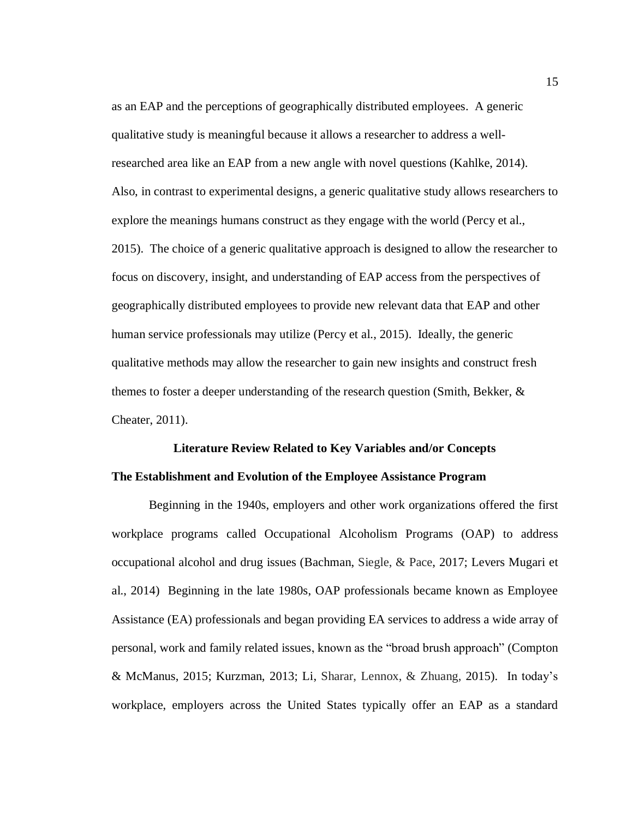as an EAP and the perceptions of geographically distributed employees. A generic qualitative study is meaningful because it allows a researcher to address a wellresearched area like an EAP from a new angle with novel questions (Kahlke, 2014). Also, in contrast to experimental designs, a generic qualitative study allows researchers to explore the meanings humans construct as they engage with the world (Percy et al., 2015). The choice of a generic qualitative approach is designed to allow the researcher to focus on discovery, insight, and understanding of EAP access from the perspectives of geographically distributed employees to provide new relevant data that EAP and other human service professionals may utilize (Percy et al., 2015). Ideally, the generic qualitative methods may allow the researcher to gain new insights and construct fresh themes to foster a deeper understanding of the research question (Smith, Bekker, & Cheater, 2011).

## <span id="page-26-1"></span><span id="page-26-0"></span>**Literature Review Related to Key Variables and/or Concepts The Establishment and Evolution of the Employee Assistance Program**

Beginning in the 1940s, employers and other work organizations offered the first workplace programs called Occupational Alcoholism Programs (OAP) to address occupational alcohol and drug issues (Bachman, Siegle, & Pace, 2017; Levers Mugari et al., 2014) Beginning in the late 1980s, OAP professionals became known as Employee Assistance (EA) professionals and began providing EA services to address a wide array of personal, work and family related issues, known as the "broad brush approach" (Compton & McManus, 2015; Kurzman, 2013; Li, Sharar, Lennox, & Zhuang, 2015). In today's workplace, employers across the United States typically offer an EAP as a standard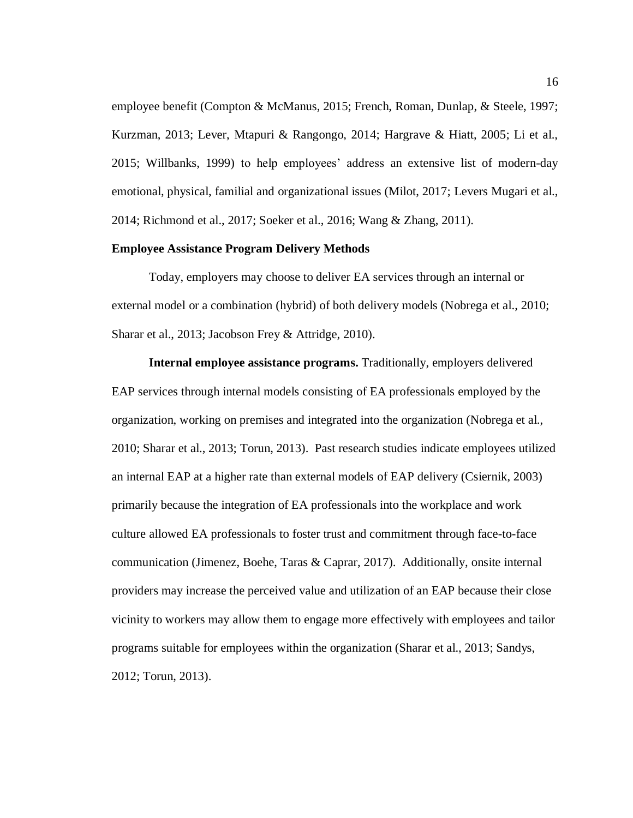employee benefit (Compton & McManus, 2015; French, Roman, Dunlap, & Steele, 1997; Kurzman, 2013; Lever, Mtapuri & Rangongo, 2014; Hargrave & Hiatt, 2005; Li et al., 2015; Willbanks, 1999) to help employees' address an extensive list of modern-day emotional, physical, familial and organizational issues (Milot, 2017; Levers Mugari et al., 2014; Richmond et al., 2017; Soeker et al., 2016; Wang & Zhang, 2011).

#### <span id="page-27-0"></span>**Employee Assistance Program Delivery Methods**

Today, employers may choose to deliver EA services through an internal or external model or a combination (hybrid) of both delivery models (Nobrega et al., 2010; Sharar et al., 2013; Jacobson Frey & Attridge, 2010).

**Internal employee assistance programs.** Traditionally, employers delivered EAP services through internal models consisting of EA professionals employed by the organization, working on premises and integrated into the organization (Nobrega et al., 2010; Sharar et al., 2013; Torun, 2013). Past research studies indicate employees utilized an internal EAP at a higher rate than external models of EAP delivery (Csiernik, 2003) primarily because the integration of EA professionals into the workplace and work culture allowed EA professionals to foster trust and commitment through face-to-face communication (Jimenez, Boehe, Taras & Caprar, 2017). Additionally, onsite internal providers may increase the perceived value and utilization of an EAP because their close vicinity to workers may allow them to engage more effectively with employees and tailor programs suitable for employees within the organization (Sharar et al., 2013; Sandys, 2012; Torun, 2013).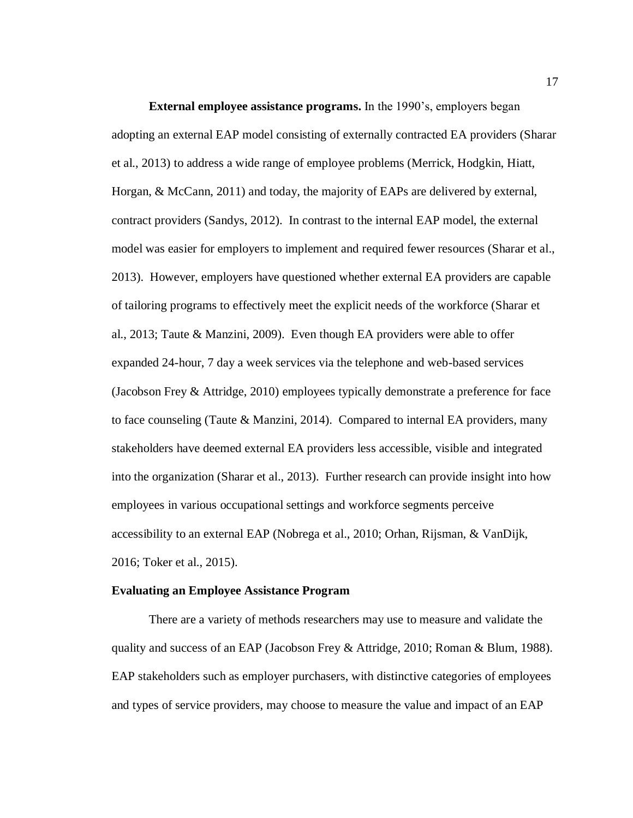**External employee assistance programs.** In the 1990's, employers began adopting an external EAP model consisting of externally contracted EA providers (Sharar et al., 2013) to address a wide range of employee problems (Merrick, Hodgkin, Hiatt, Horgan, & McCann, 2011) and today, the majority of EAPs are delivered by external, contract providers (Sandys, 2012). In contrast to the internal EAP model, the external model was easier for employers to implement and required fewer resources (Sharar et al., 2013). However, employers have questioned whether external EA providers are capable of tailoring programs to effectively meet the explicit needs of the workforce (Sharar et al., 2013; Taute & Manzini, 2009). Even though EA providers were able to offer expanded 24-hour, 7 day a week services via the telephone and web-based services (Jacobson Frey & Attridge, 2010) employees typically demonstrate a preference for face to face counseling (Taute & Manzini, 2014). Compared to internal EA providers, many stakeholders have deemed external EA providers less accessible, visible and integrated into the organization (Sharar et al., 2013). Further research can provide insight into how employees in various occupational settings and workforce segments perceive accessibility to an external EAP (Nobrega et al., 2010; Orhan, Rijsman, & VanDijk, 2016; Toker et al., 2015).

#### <span id="page-28-0"></span>**Evaluating an Employee Assistance Program**

There are a variety of methods researchers may use to measure and validate the quality and success of an EAP (Jacobson Frey & Attridge, 2010; Roman & Blum, 1988). EAP stakeholders such as employer purchasers, with distinctive categories of employees and types of service providers, may choose to measure the value and impact of an EAP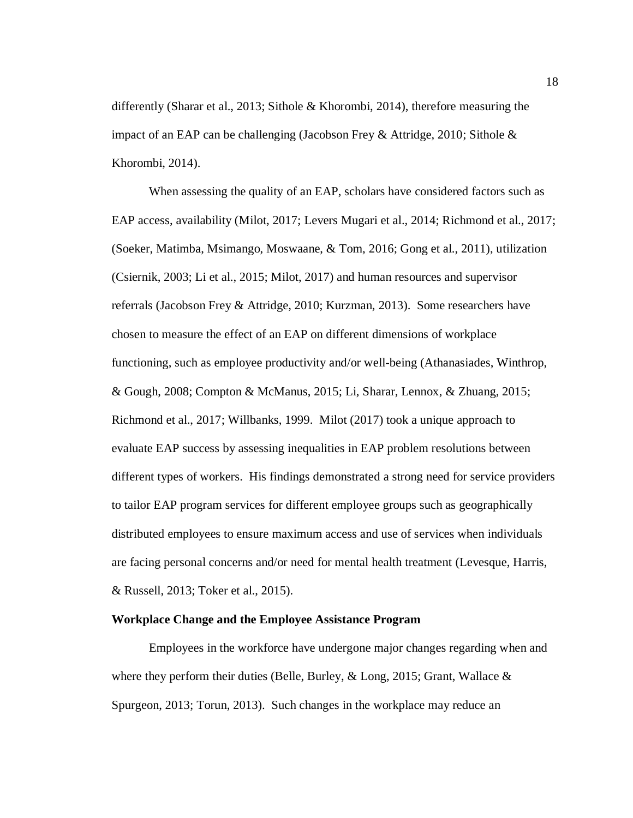differently (Sharar et al., 2013; Sithole & Khorombi, 2014), therefore measuring the impact of an EAP can be challenging (Jacobson Frey & Attridge, 2010; Sithole  $\&$ Khorombi, 2014).

When assessing the quality of an EAP, scholars have considered factors such as EAP access, availability (Milot, 2017; Levers Mugari et al., 2014; Richmond et al., 2017; (Soeker, Matimba, Msimango, Moswaane, & Tom, 2016; Gong et al., 2011), utilization (Csiernik, 2003; Li et al., 2015; Milot, 2017) and human resources and supervisor referrals (Jacobson Frey & Attridge, 2010; Kurzman, 2013). Some researchers have chosen to measure the effect of an EAP on different dimensions of workplace functioning, such as employee productivity and/or well-being (Athanasiades, Winthrop, & Gough, 2008; Compton & McManus, 2015; Li, Sharar, Lennox, & Zhuang, 2015; Richmond et al., 2017; Willbanks, 1999. Milot (2017) took a unique approach to evaluate EAP success by assessing inequalities in EAP problem resolutions between different types of workers. His findings demonstrated a strong need for service providers to tailor EAP program services for different employee groups such as geographically distributed employees to ensure maximum access and use of services when individuals are facing personal concerns and/or need for mental health treatment (Levesque, Harris, & Russell, 2013; Toker et al., 2015).

#### <span id="page-29-0"></span>**Workplace Change and the Employee Assistance Program**

Employees in the workforce have undergone major changes regarding when and where they perform their duties (Belle, Burley,  $\&$  Long, 2015; Grant, Wallace  $\&$ Spurgeon, 2013; Torun, 2013). Such changes in the workplace may reduce an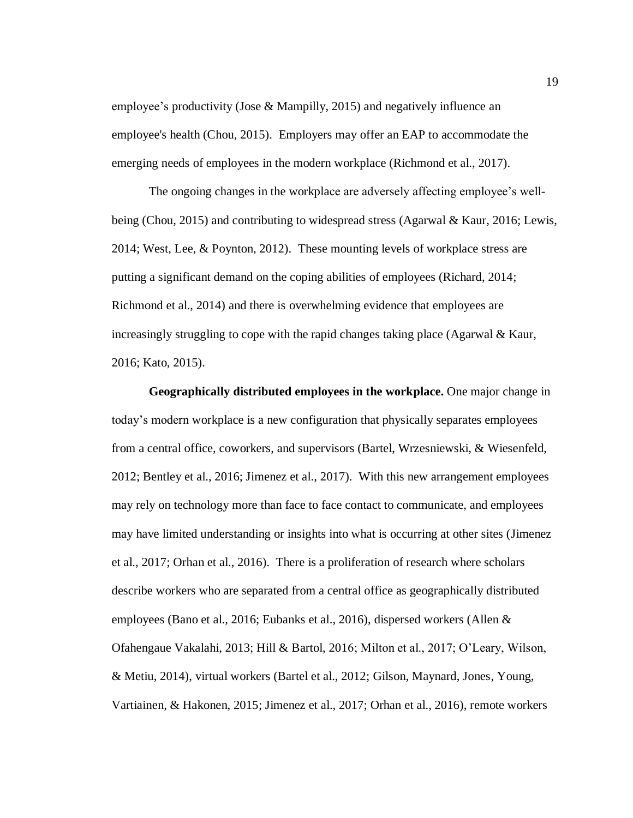employee's productivity (Jose & Mampilly, 2015) and negatively influence an employee's health (Chou, 2015). Employers may offer an EAP to accommodate the emerging needs of employees in the modern workplace (Richmond et al., 2017).

The ongoing changes in the workplace are adversely affecting employee's wellbeing (Chou, 2015) and contributing to widespread stress (Agarwal & Kaur, 2016; Lewis, 2014; West, Lee, & Poynton, 2012). These mounting levels of workplace stress are putting a significant demand on the coping abilities of employees (Richard, 2014; Richmond et al., 2014) and there is overwhelming evidence that employees are increasingly struggling to cope with the rapid changes taking place (Agarwal & Kaur, 2016; Kato, 2015).

**Geographically distributed employees in the workplace.** One major change in today's modern workplace is a new configuration that physically separates employees from a central office, coworkers, and supervisors (Bartel, Wrzesniewski, & Wiesenfeld, 2012; Bentley et al., 2016; Jimenez et al., 2017). With this new arrangement employees may rely on technology more than face to face contact to communicate, and employees may have limited understanding or insights into what is occurring at other sites (Jimenez et al., 2017; Orhan et al., 2016). There is a proliferation of research where scholars describe workers who are separated from a central office as geographically distributed employees (Bano et al., 2016; Eubanks et al., 2016), dispersed workers (Allen & Ofahengaue Vakalahi, 2013; Hill & Bartol, 2016; Milton et al., 2017; O'Leary, Wilson, & Metiu, 2014), virtual workers (Bartel et al., 2012; Gilson, Maynard, Jones, Young, Vartiainen, & Hakonen, 2015; Jimenez et al., 2017; Orhan et al., 2016), remote workers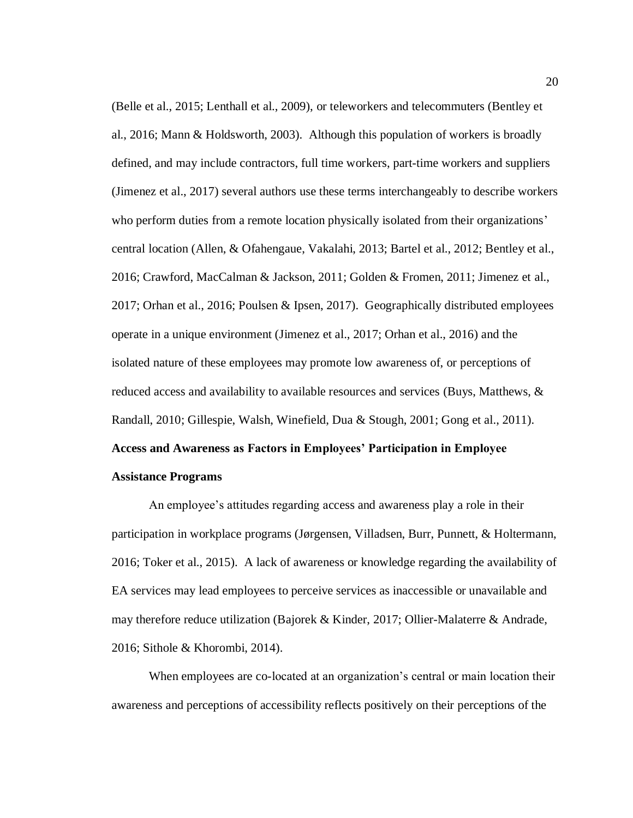(Belle et al., 2015; Lenthall et al., 2009), or teleworkers and telecommuters (Bentley et al., 2016; Mann & Holdsworth, 2003). Although this population of workers is broadly defined, and may include contractors, full time workers, part-time workers and suppliers (Jimenez et al., 2017) several authors use these terms interchangeably to describe workers who perform duties from a remote location physically isolated from their organizations' central location (Allen, & Ofahengaue, Vakalahi, 2013; Bartel et al., 2012; Bentley et al., 2016; Crawford, MacCalman & Jackson, 2011; Golden & Fromen, 2011; Jimenez et al., 2017; Orhan et al., 2016; Poulsen & Ipsen, 2017). Geographically distributed employees operate in a unique environment (Jimenez et al., 2017; Orhan et al., 2016) and the isolated nature of these employees may promote low awareness of, or perceptions of reduced access and availability to available resources and services (Buys, Matthews, & Randall, 2010; Gillespie, Walsh, Winefield, Dua & Stough, 2001; Gong et al., 2011). **Access and Awareness as Factors in Employees' Participation in Employee** 

#### <span id="page-31-0"></span>**Assistance Programs**

An employee's attitudes regarding access and awareness play a role in their participation in workplace programs (Jørgensen, Villadsen, Burr, Punnett, & Holtermann, 2016; Toker et al., 2015). A lack of awareness or knowledge regarding the availability of EA services may lead employees to perceive services as inaccessible or unavailable and may therefore reduce utilization (Bajorek & Kinder, 2017; Ollier-Malaterre & Andrade, 2016; Sithole & Khorombi, 2014).

When employees are co-located at an organization's central or main location their awareness and perceptions of accessibility reflects positively on their perceptions of the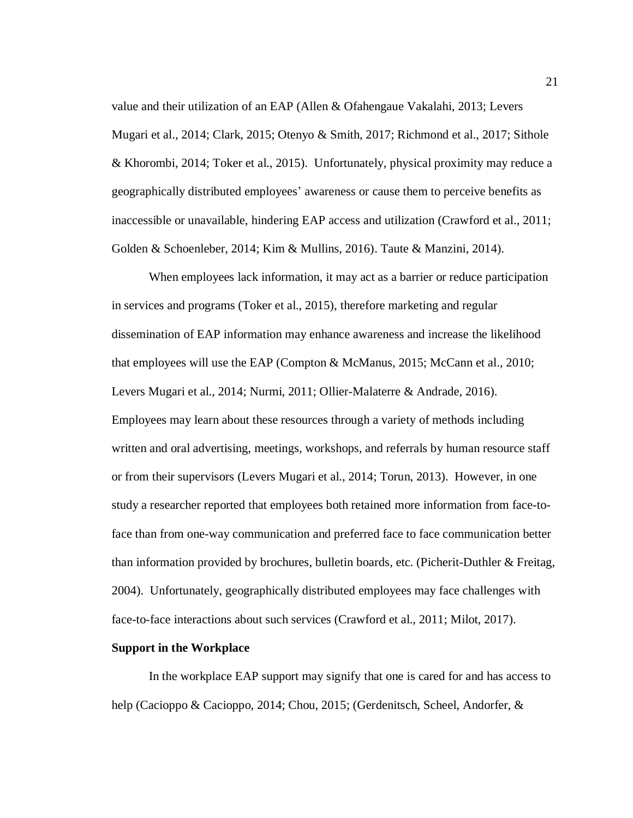value and their utilization of an EAP (Allen & Ofahengaue Vakalahi, 2013; Levers Mugari et al., 2014; Clark, 2015; Otenyo & Smith, 2017; Richmond et al., 2017; Sithole & Khorombi, 2014; Toker et al., 2015). Unfortunately, physical proximity may reduce a geographically distributed employees' awareness or cause them to perceive benefits as inaccessible or unavailable, hindering EAP access and utilization (Crawford et al., 2011; Golden & Schoenleber, 2014; Kim & Mullins, 2016). Taute & Manzini, 2014).

When employees lack information, it may act as a barrier or reduce participation in services and programs (Toker et al., 2015), therefore marketing and regular dissemination of EAP information may enhance awareness and increase the likelihood that employees will use the EAP (Compton & McManus, 2015; McCann et al., 2010; Levers Mugari et al., 2014; Nurmi, 2011; Ollier-Malaterre & Andrade, 2016). Employees may learn about these resources through a variety of methods including written and oral advertising, meetings, workshops, and referrals by human resource staff or from their supervisors (Levers Mugari et al., 2014; Torun, 2013). However, in one study a researcher reported that employees both retained more information from face-toface than from one-way communication and preferred face to face communication better than information provided by brochures, bulletin boards, etc. (Picherit-Duthler & Freitag, 2004). Unfortunately, geographically distributed employees may face challenges with face-to-face interactions about such services (Crawford et al., 2011; Milot, 2017).

#### <span id="page-32-0"></span>**Support in the Workplace**

In the workplace EAP support may signify that one is cared for and has access to help (Cacioppo & Cacioppo, 2014; Chou, 2015; (Gerdenitsch, Scheel, Andorfer, &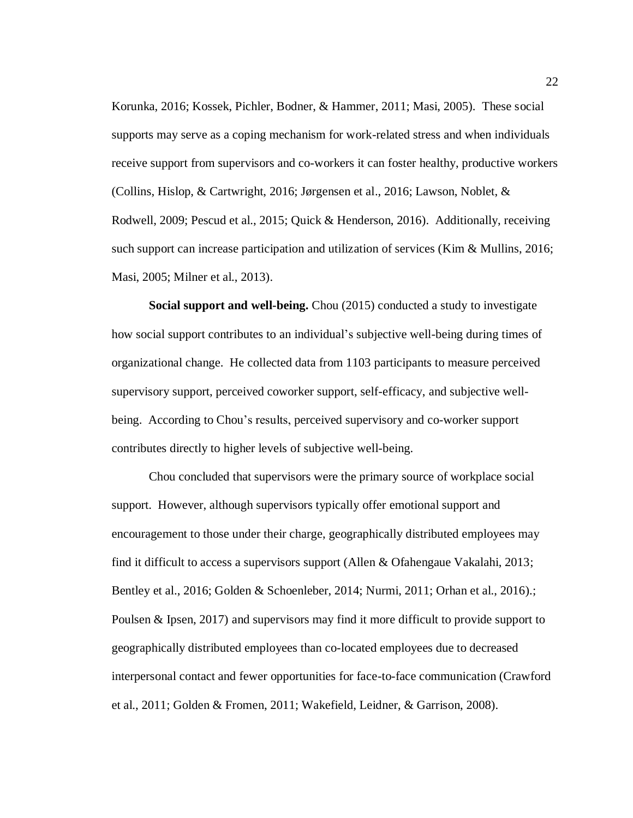Korunka, 2016; Kossek, Pichler, Bodner, & Hammer, 2011; Masi, 2005). These social supports may serve as a coping mechanism for work-related stress and when individuals receive support from supervisors and co-workers it can foster healthy, productive workers (Collins, Hislop, & Cartwright, 2016; Jørgensen et al., 2016; Lawson, Noblet, & Rodwell, 2009; Pescud et al., 2015; Quick & Henderson, 2016). Additionally, receiving such support can increase participation and utilization of services (Kim & Mullins, 2016; Masi, 2005; Milner et al., 2013).

**Social support and well-being.** Chou (2015) conducted a study to investigate how social support contributes to an individual's subjective well-being during times of organizational change. He collected data from 1103 participants to measure perceived supervisory support, perceived coworker support, self-efficacy, and subjective wellbeing. According to Chou's results, perceived supervisory and co-worker support contributes directly to higher levels of subjective well-being.

Chou concluded that supervisors were the primary source of workplace social support. However, although supervisors typically offer emotional support and encouragement to those under their charge, geographically distributed employees may find it difficult to access a supervisors support (Allen & Ofahengaue Vakalahi, 2013; Bentley et al., 2016; Golden & Schoenleber, 2014; Nurmi, 2011; Orhan et al., 2016).; Poulsen & Ipsen, 2017) and supervisors may find it more difficult to provide support to geographically distributed employees than co-located employees due to decreased interpersonal contact and fewer opportunities for face-to-face communication (Crawford et al., 2011; Golden & Fromen, 2011; Wakefield, Leidner, & Garrison, 2008).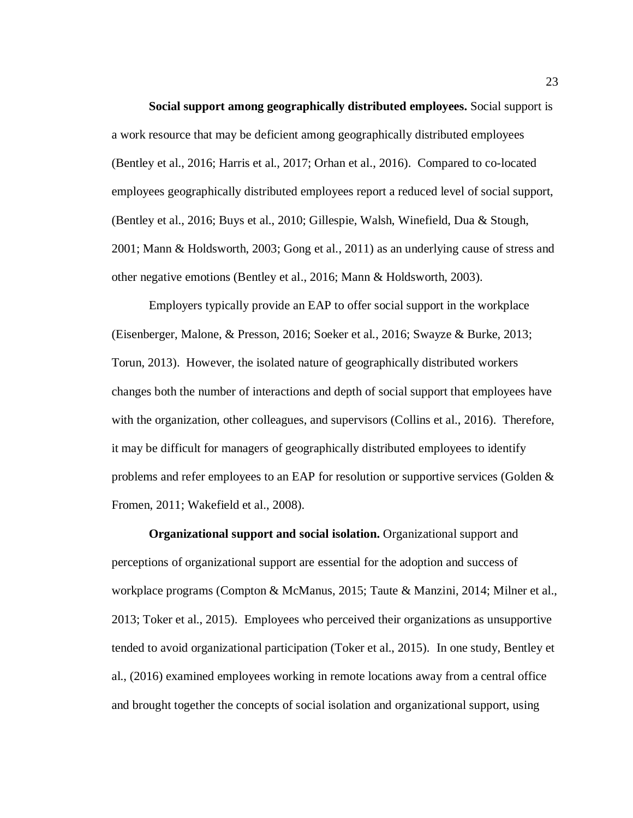**Social support among geographically distributed employees.** Social support is a work resource that may be deficient among geographically distributed employees (Bentley et al., 2016; Harris et al., 2017; Orhan et al., 2016). Compared to co-located employees geographically distributed employees report a reduced level of social support, (Bentley et al., 2016; Buys et al., 2010; Gillespie, Walsh, Winefield, Dua & Stough, 2001; Mann & Holdsworth, 2003; Gong et al., 2011) as an underlying cause of stress and other negative emotions (Bentley et al., 2016; Mann & Holdsworth, 2003).

Employers typically provide an EAP to offer social support in the workplace (Eisenberger, Malone, & Presson, 2016; Soeker et al., 2016; Swayze & Burke, 2013; Torun, 2013). However, the isolated nature of geographically distributed workers changes both the number of interactions and depth of social support that employees have with the organization, other colleagues, and supervisors (Collins et al., 2016). Therefore, it may be difficult for managers of geographically distributed employees to identify problems and refer employees to an EAP for resolution or supportive services (Golden & Fromen, 2011; Wakefield et al., 2008).

**Organizational support and social isolation.** Organizational support and perceptions of organizational support are essential for the adoption and success of workplace programs (Compton & McManus, 2015; Taute & Manzini, 2014; Milner et al., 2013; Toker et al., 2015). Employees who perceived their organizations as unsupportive tended to avoid organizational participation (Toker et al., 2015). In one study, Bentley et al., (2016) examined employees working in remote locations away from a central office and brought together the concepts of social isolation and organizational support, using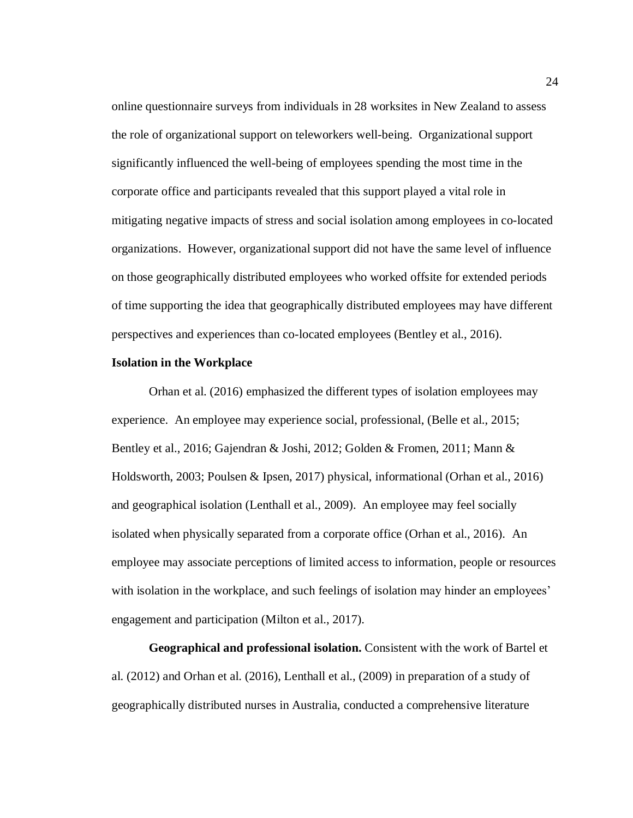online questionnaire surveys from individuals in 28 worksites in New Zealand to assess the role of organizational support on teleworkers well-being. Organizational support significantly influenced the well-being of employees spending the most time in the corporate office and participants revealed that this support played a vital role in mitigating negative impacts of stress and social isolation among employees in co-located organizations. However, organizational support did not have the same level of influence on those geographically distributed employees who worked offsite for extended periods of time supporting the idea that geographically distributed employees may have different perspectives and experiences than co-located employees (Bentley et al., 2016).

#### <span id="page-35-0"></span>**Isolation in the Workplace**

Orhan et al. (2016) emphasized the different types of isolation employees may experience. An employee may experience social, professional, (Belle et al., 2015; Bentley et al., 2016; Gajendran & Joshi, 2012; Golden & Fromen, 2011; Mann & Holdsworth, 2003; Poulsen & Ipsen, 2017) physical, informational (Orhan et al., 2016) and geographical isolation (Lenthall et al., 2009). An employee may feel socially isolated when physically separated from a corporate office (Orhan et al., 2016). An employee may associate perceptions of limited access to information, people or resources with isolation in the workplace, and such feelings of isolation may hinder an employees' engagement and participation (Milton et al., 2017).

**Geographical and professional isolation.** Consistent with the work of Bartel et al. (2012) and Orhan et al. (2016), Lenthall et al., (2009) in preparation of a study of geographically distributed nurses in Australia, conducted a comprehensive literature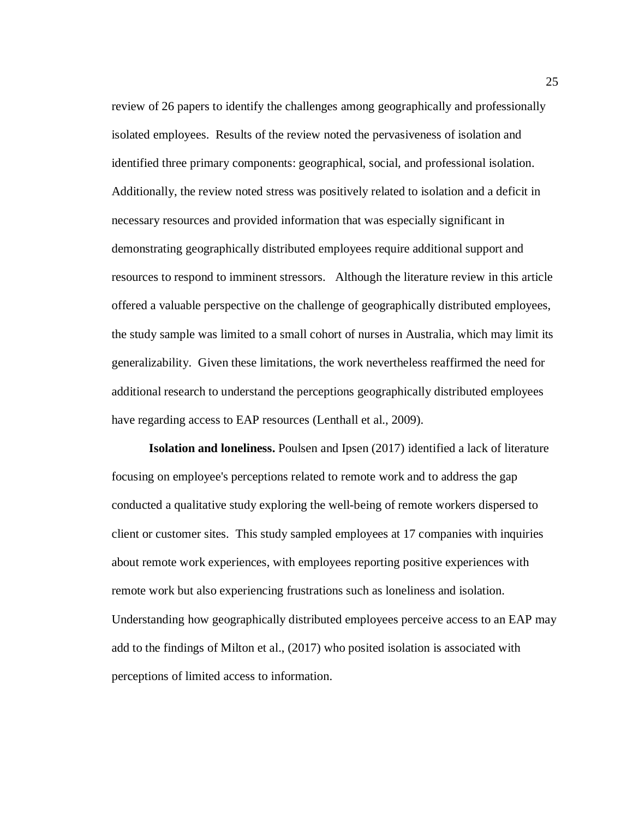review of 26 papers to identify the challenges among geographically and professionally isolated employees. Results of the review noted the pervasiveness of isolation and identified three primary components: geographical, social, and professional isolation. Additionally, the review noted stress was positively related to isolation and a deficit in necessary resources and provided information that was especially significant in demonstrating geographically distributed employees require additional support and resources to respond to imminent stressors. Although the literature review in this article offered a valuable perspective on the challenge of geographically distributed employees, the study sample was limited to a small cohort of nurses in Australia, which may limit its generalizability. Given these limitations, the work nevertheless reaffirmed the need for additional research to understand the perceptions geographically distributed employees have regarding access to EAP resources (Lenthall et al., 2009).

**Isolation and loneliness.** Poulsen and Ipsen (2017) identified a lack of literature focusing on employee's perceptions related to remote work and to address the gap conducted a qualitative study exploring the well-being of remote workers dispersed to client or customer sites. This study sampled employees at 17 companies with inquiries about remote work experiences, with employees reporting positive experiences with remote work but also experiencing frustrations such as loneliness and isolation. Understanding how geographically distributed employees perceive access to an EAP may add to the findings of Milton et al., (2017) who posited isolation is associated with perceptions of limited access to information.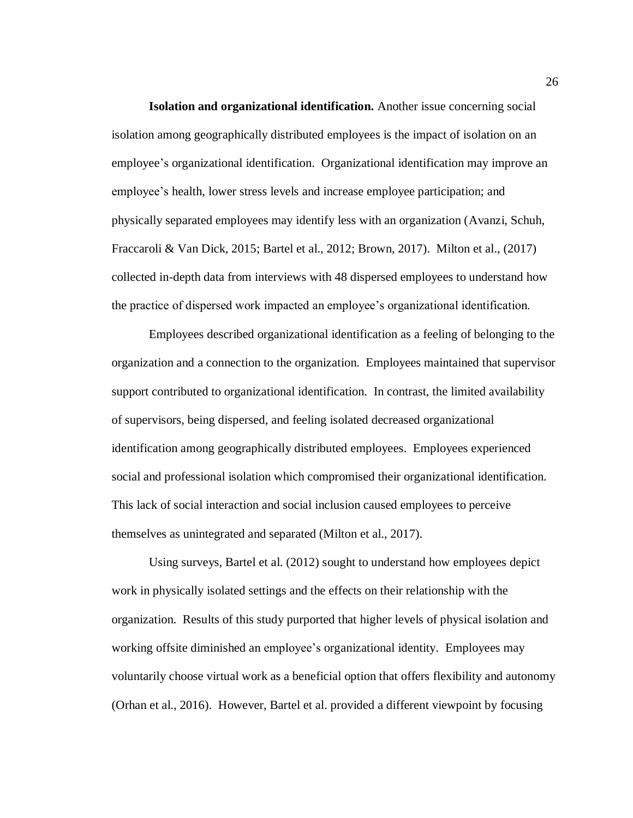**Isolation and organizational identification.** Another issue concerning social isolation among geographically distributed employees is the impact of isolation on an employee's organizational identification. Organizational identification may improve an employee's health, lower stress levels and increase employee participation; and physically separated employees may identify less with an organization (Avanzi, Schuh, Fraccaroli & Van Dick, 2015; Bartel et al., 2012; Brown, 2017). Milton et al., (2017) collected in-depth data from interviews with 48 dispersed employees to understand how the practice of dispersed work impacted an employee's organizational identification.

Employees described organizational identification as a feeling of belonging to the organization and a connection to the organization. Employees maintained that supervisor support contributed to organizational identification. In contrast, the limited availability of supervisors, being dispersed, and feeling isolated decreased organizational identification among geographically distributed employees. Employees experienced social and professional isolation which compromised their organizational identification. This lack of social interaction and social inclusion caused employees to perceive themselves as unintegrated and separated (Milton et al., 2017).

Using surveys, Bartel et al. (2012) sought to understand how employees depict work in physically isolated settings and the effects on their relationship with the organization. Results of this study purported that higher levels of physical isolation and working offsite diminished an employee's organizational identity. Employees may voluntarily choose virtual work as a beneficial option that offers flexibility and autonomy (Orhan et al., 2016). However, Bartel et al. provided a different viewpoint by focusing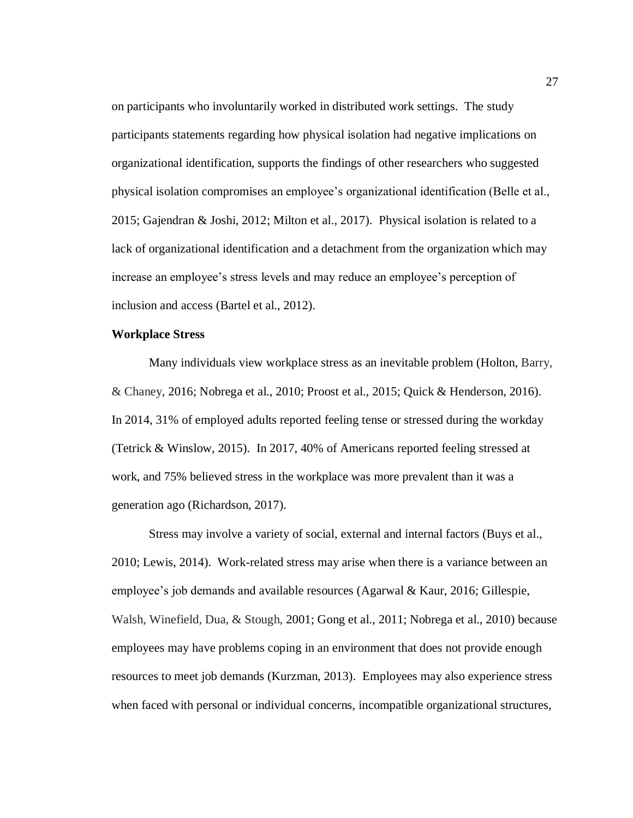on participants who involuntarily worked in distributed work settings. The study participants statements regarding how physical isolation had negative implications on organizational identification, supports the findings of other researchers who suggested physical isolation compromises an employee's organizational identification (Belle et al., 2015; Gajendran & Joshi, 2012; Milton et al., 2017). Physical isolation is related to a lack of organizational identification and a detachment from the organization which may increase an employee's stress levels and may reduce an employee's perception of inclusion and access (Bartel et al., 2012).

# **Workplace Stress**

Many individuals view workplace stress as an inevitable problem (Holton, Barry, & Chaney, 2016; Nobrega et al., 2010; Proost et al., 2015; Quick & Henderson, 2016). In 2014, 31% of employed adults reported feeling tense or stressed during the workday (Tetrick & Winslow, 2015). In 2017, 40% of Americans reported feeling stressed at work, and 75% believed stress in the workplace was more prevalent than it was a generation ago (Richardson, 2017).

Stress may involve a variety of social, external and internal factors (Buys et al., 2010; Lewis, 2014). Work-related stress may arise when there is a variance between an employee's job demands and available resources (Agarwal & Kaur, 2016; Gillespie, Walsh, Winefield, Dua, & Stough, 2001; Gong et al., 2011; Nobrega et al., 2010) because employees may have problems coping in an environment that does not provide enough resources to meet job demands (Kurzman, 2013). Employees may also experience stress when faced with personal or individual concerns, incompatible organizational structures,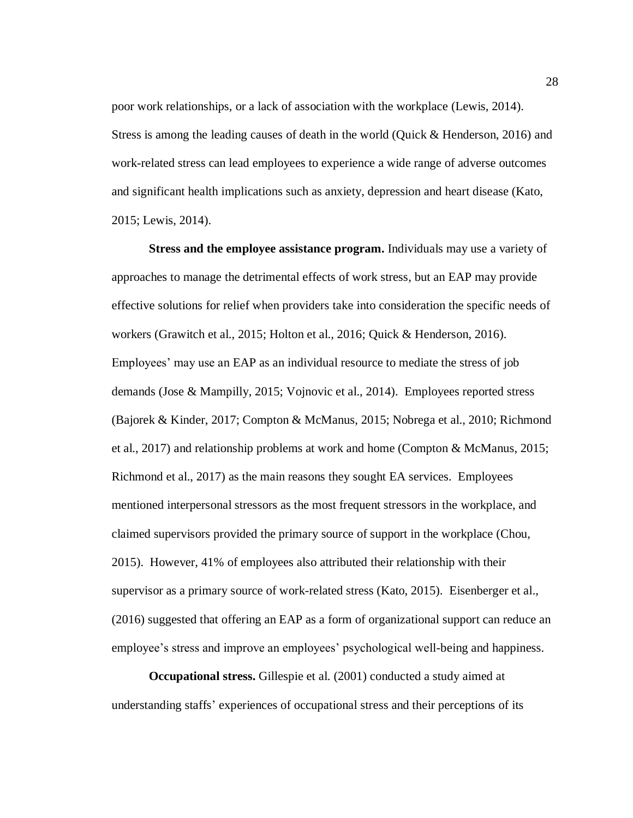poor work relationships, or a lack of association with the workplace (Lewis, 2014). Stress is among the leading causes of death in the world (Quick & Henderson, 2016) and work-related stress can lead employees to experience a wide range of adverse outcomes and significant health implications such as anxiety, depression and heart disease (Kato, 2015; Lewis, 2014).

**Stress and the employee assistance program.** Individuals may use a variety of approaches to manage the detrimental effects of work stress, but an EAP may provide effective solutions for relief when providers take into consideration the specific needs of workers (Grawitch et al., 2015; Holton et al., 2016; Quick & Henderson, 2016). Employees' may use an EAP as an individual resource to mediate the stress of job demands (Jose & Mampilly, 2015; Vojnovic et al., 2014). Employees reported stress (Bajorek & Kinder, 2017; Compton & McManus, 2015; Nobrega et al., 2010; Richmond et al., 2017) and relationship problems at work and home (Compton & McManus, 2015; Richmond et al., 2017) as the main reasons they sought EA services. Employees mentioned interpersonal stressors as the most frequent stressors in the workplace, and claimed supervisors provided the primary source of support in the workplace (Chou, 2015). However, 41% of employees also attributed their relationship with their supervisor as a primary source of work-related stress (Kato, 2015). Eisenberger et al., (2016) suggested that offering an EAP as a form of organizational support can reduce an employee's stress and improve an employees' psychological well-being and happiness.

**Occupational stress.** Gillespie et al. (2001) conducted a study aimed at understanding staffs' experiences of occupational stress and their perceptions of its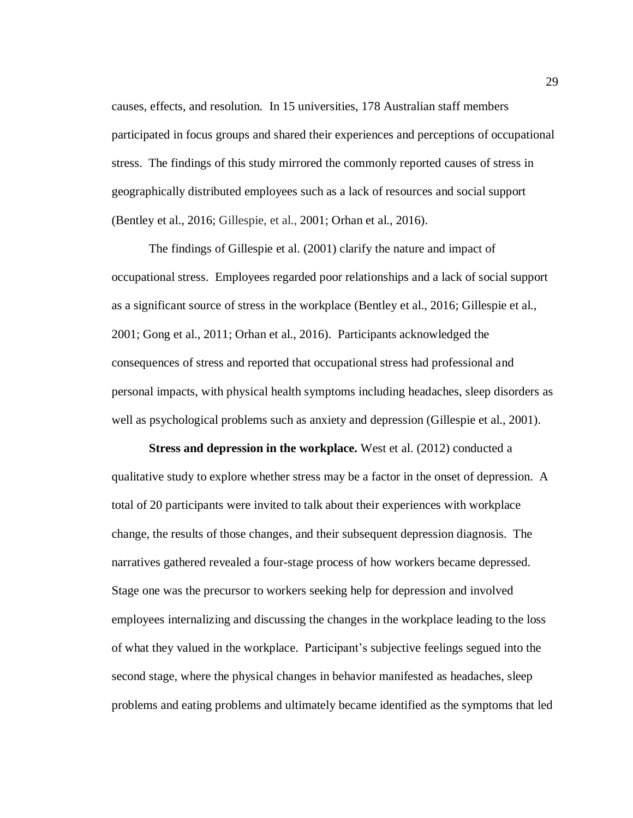causes, effects, and resolution. In 15 universities, 178 Australian staff members participated in focus groups and shared their experiences and perceptions of occupational stress. The findings of this study mirrored the commonly reported causes of stress in geographically distributed employees such as a lack of resources and social support (Bentley et al., 2016; Gillespie, et al., 2001; Orhan et al., 2016).

The findings of Gillespie et al. (2001) clarify the nature and impact of occupational stress. Employees regarded poor relationships and a lack of social support as a significant source of stress in the workplace (Bentley et al., 2016; Gillespie et al., 2001; Gong et al., 2011; Orhan et al., 2016). Participants acknowledged the consequences of stress and reported that occupational stress had professional and personal impacts, with physical health symptoms including headaches, sleep disorders as well as psychological problems such as anxiety and depression (Gillespie et al., 2001).

**Stress and depression in the workplace.** West et al. (2012) conducted a qualitative study to explore whether stress may be a factor in the onset of depression. A total of 20 participants were invited to talk about their experiences with workplace change, the results of those changes, and their subsequent depression diagnosis. The narratives gathered revealed a four-stage process of how workers became depressed. Stage one was the precursor to workers seeking help for depression and involved employees internalizing and discussing the changes in the workplace leading to the loss of what they valued in the workplace. Participant's subjective feelings segued into the second stage, where the physical changes in behavior manifested as headaches, sleep problems and eating problems and ultimately became identified as the symptoms that led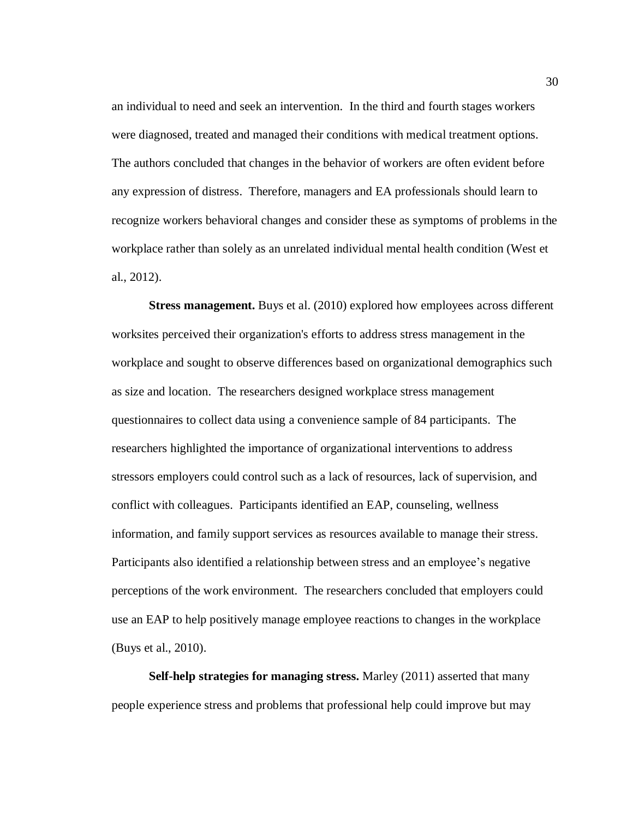an individual to need and seek an intervention. In the third and fourth stages workers were diagnosed, treated and managed their conditions with medical treatment options. The authors concluded that changes in the behavior of workers are often evident before any expression of distress. Therefore, managers and EA professionals should learn to recognize workers behavioral changes and consider these as symptoms of problems in the workplace rather than solely as an unrelated individual mental health condition (West et al., 2012).

**Stress management.** Buys et al. (2010) explored how employees across different worksites perceived their organization's efforts to address stress management in the workplace and sought to observe differences based on organizational demographics such as size and location. The researchers designed workplace stress management questionnaires to collect data using a convenience sample of 84 participants. The researchers highlighted the importance of organizational interventions to address stressors employers could control such as a lack of resources, lack of supervision, and conflict with colleagues. Participants identified an EAP, counseling, wellness information, and family support services as resources available to manage their stress. Participants also identified a relationship between stress and an employee's negative perceptions of the work environment. The researchers concluded that employers could use an EAP to help positively manage employee reactions to changes in the workplace (Buys et al., 2010).

**Self-help strategies for managing stress.** Marley (2011) asserted that many people experience stress and problems that professional help could improve but may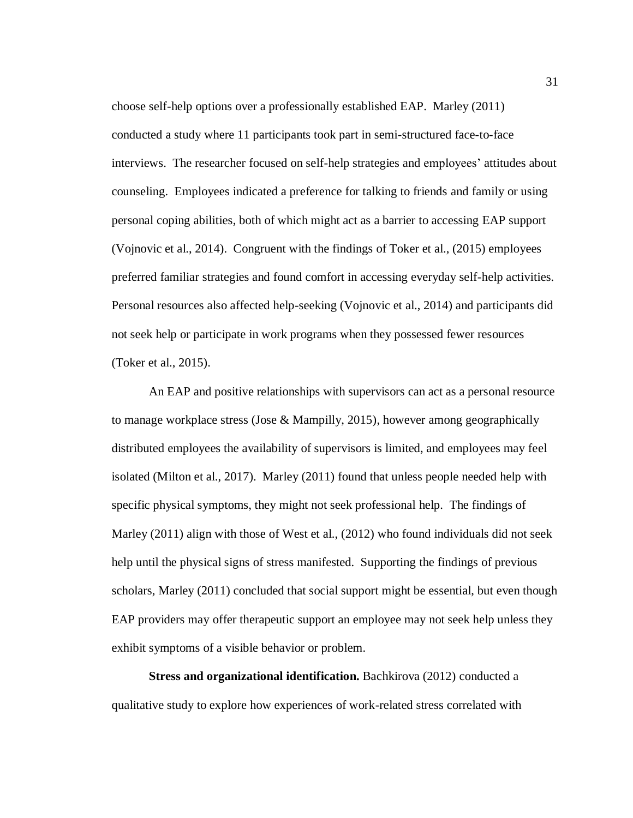choose self-help options over a professionally established EAP. Marley (2011) conducted a study where 11 participants took part in semi-structured face-to-face interviews. The researcher focused on self-help strategies and employees' attitudes about counseling. Employees indicated a preference for talking to friends and family or using personal coping abilities, both of which might act as a barrier to accessing EAP support (Vojnovic et al., 2014). Congruent with the findings of Toker et al., (2015) employees preferred familiar strategies and found comfort in accessing everyday self-help activities. Personal resources also affected help-seeking (Vojnovic et al., 2014) and participants did not seek help or participate in work programs when they possessed fewer resources (Toker et al., 2015).

An EAP and positive relationships with supervisors can act as a personal resource to manage workplace stress (Jose & Mampilly, 2015), however among geographically distributed employees the availability of supervisors is limited, and employees may feel isolated (Milton et al., 2017). Marley (2011) found that unless people needed help with specific physical symptoms, they might not seek professional help. The findings of Marley (2011) align with those of West et al., (2012) who found individuals did not seek help until the physical signs of stress manifested. Supporting the findings of previous scholars, Marley (2011) concluded that social support might be essential, but even though EAP providers may offer therapeutic support an employee may not seek help unless they exhibit symptoms of a visible behavior or problem.

**Stress and organizational identification.** Bachkirova (2012) conducted a qualitative study to explore how experiences of work-related stress correlated with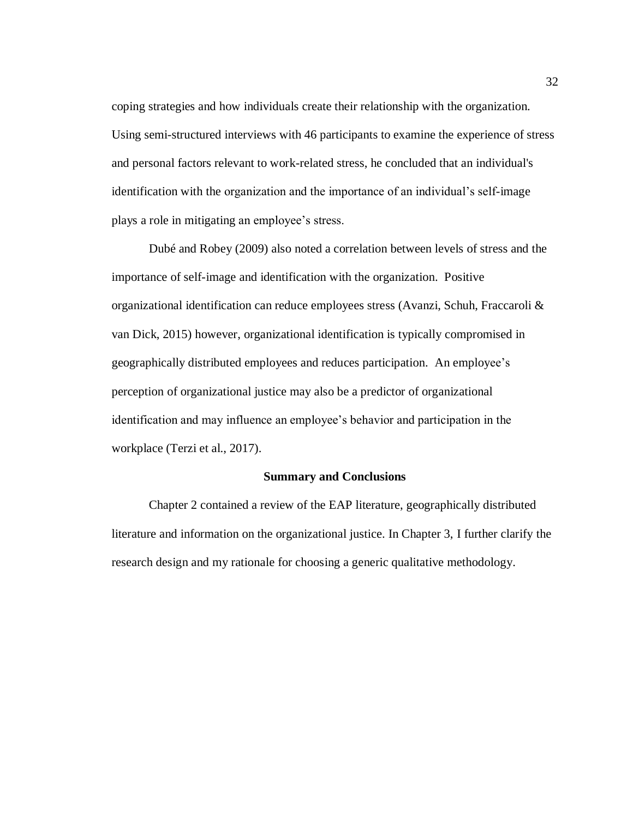coping strategies and how individuals create their relationship with the organization. Using semi-structured interviews with 46 participants to examine the experience of stress and personal factors relevant to work-related stress, he concluded that an individual's identification with the organization and the importance of an individual's self-image plays a role in mitigating an employee's stress.

Dubé and Robey (2009) also noted a correlation between levels of stress and the importance of self-image and identification with the organization. Positive organizational identification can reduce employees stress (Avanzi, Schuh, Fraccaroli & van Dick, 2015) however, organizational identification is typically compromised in geographically distributed employees and reduces participation. An employee's perception of organizational justice may also be a predictor of organizational identification and may influence an employee's behavior and participation in the workplace (Terzi et al., 2017).

### **Summary and Conclusions**

Chapter 2 contained a review of the EAP literature, geographically distributed literature and information on the organizational justice. In Chapter 3, I further clarify the research design and my rationale for choosing a generic qualitative methodology.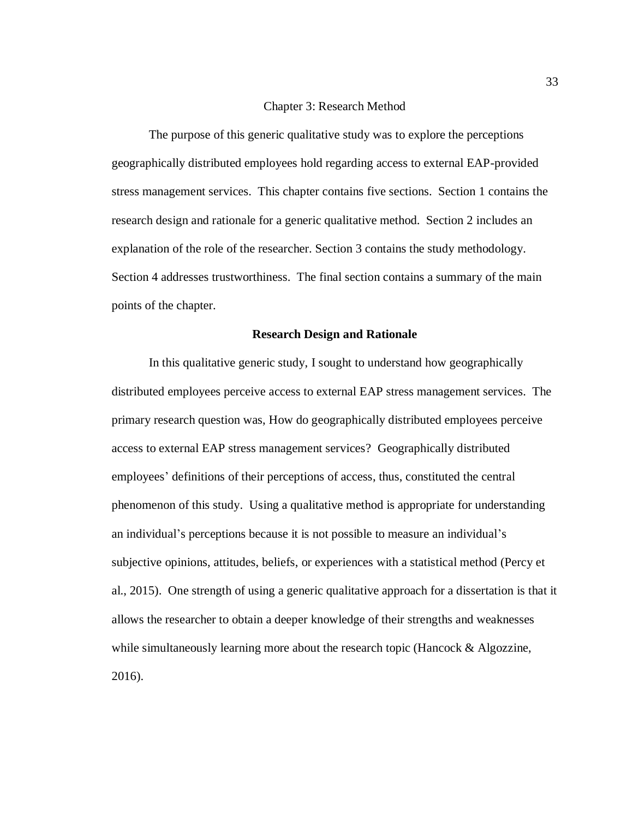#### Chapter 3: Research Method

The purpose of this generic qualitative study was to explore the perceptions geographically distributed employees hold regarding access to external EAP-provided stress management services. This chapter contains five sections. Section 1 contains the research design and rationale for a generic qualitative method. Section 2 includes an explanation of the role of the researcher. Section 3 contains the study methodology. Section 4 addresses trustworthiness. The final section contains a summary of the main points of the chapter.

## **Research Design and Rationale**

In this qualitative generic study, I sought to understand how geographically distributed employees perceive access to external EAP stress management services. The primary research question was, How do geographically distributed employees perceive access to external EAP stress management services? Geographically distributed employees' definitions of their perceptions of access, thus, constituted the central phenomenon of this study. Using a qualitative method is appropriate for understanding an individual's perceptions because it is not possible to measure an individual's subjective opinions, attitudes, beliefs, or experiences with a statistical method (Percy et al., 2015). One strength of using a generic qualitative approach for a dissertation is that it allows the researcher to obtain a deeper knowledge of their strengths and weaknesses while simultaneously learning more about the research topic (Hancock & Algozzine, 2016).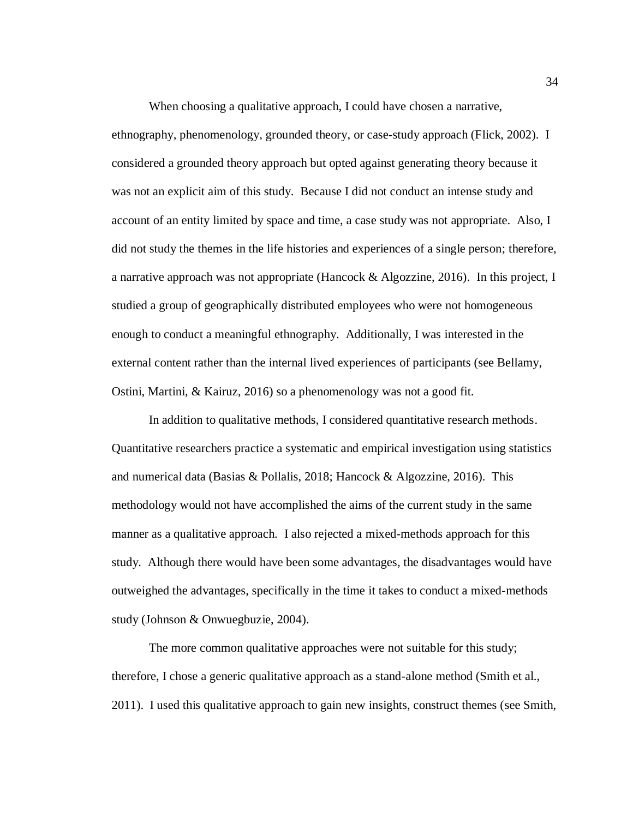When choosing a qualitative approach, I could have chosen a narrative,

ethnography, phenomenology, grounded theory, or case-study approach (Flick, 2002). I considered a grounded theory approach but opted against generating theory because it was not an explicit aim of this study. Because I did not conduct an intense study and account of an entity limited by space and time, a case study was not appropriate. Also, I did not study the themes in the life histories and experiences of a single person; therefore, a narrative approach was not appropriate (Hancock & Algozzine, 2016). In this project, I studied a group of geographically distributed employees who were not homogeneous enough to conduct a meaningful ethnography. Additionally, I was interested in the external content rather than the internal lived experiences of participants (see Bellamy, Ostini, Martini, & Kairuz, 2016) so a phenomenology was not a good fit.

In addition to qualitative methods, I considered quantitative research methods. Quantitative researchers practice a systematic and empirical investigation using statistics and numerical data (Basias & Pollalis, 2018; Hancock & Algozzine, 2016). This methodology would not have accomplished the aims of the current study in the same manner as a qualitative approach. I also rejected a mixed-methods approach for this study. Although there would have been some advantages, the disadvantages would have outweighed the advantages, specifically in the time it takes to conduct a mixed-methods study (Johnson & Onwuegbuzie, 2004).

The more common qualitative approaches were not suitable for this study; therefore, I chose a generic qualitative approach as a stand-alone method (Smith et al., 2011). I used this qualitative approach to gain new insights, construct themes (see Smith,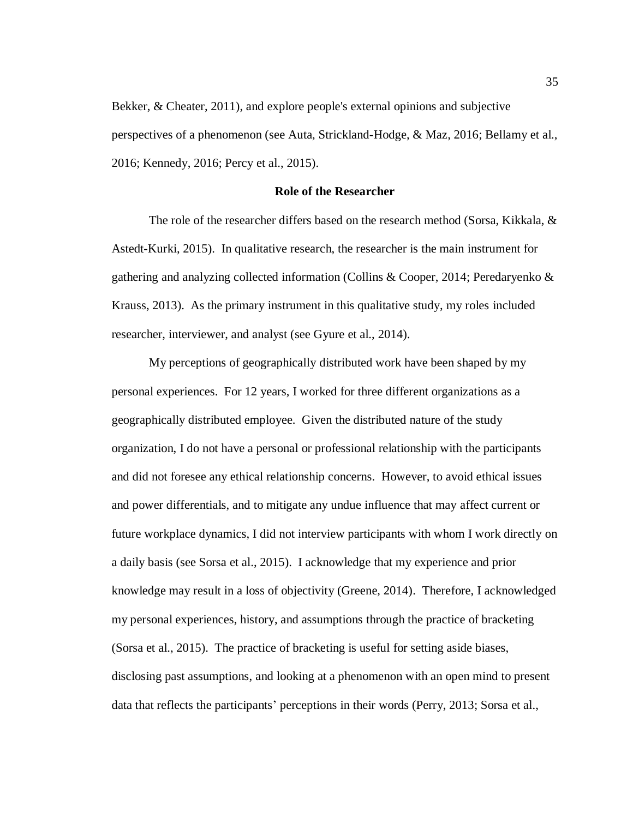Bekker, & Cheater, 2011), and explore people's external opinions and subjective perspectives of a phenomenon (see Auta, Strickland-Hodge, & Maz, 2016; Bellamy et al., 2016; Kennedy, 2016; Percy et al., 2015).

## **Role of the Researcher**

The role of the researcher differs based on the research method (Sorsa, Kikkala, & Astedt-Kurki, 2015). In qualitative research, the researcher is the main instrument for gathering and analyzing collected information (Collins & Cooper, 2014; Peredaryenko & Krauss, 2013). As the primary instrument in this qualitative study, my roles included researcher, interviewer, and analyst (see Gyure et al., 2014).

My perceptions of geographically distributed work have been shaped by my personal experiences. For 12 years, I worked for three different organizations as a geographically distributed employee. Given the distributed nature of the study organization, I do not have a personal or professional relationship with the participants and did not foresee any ethical relationship concerns. However, to avoid ethical issues and power differentials, and to mitigate any undue influence that may affect current or future workplace dynamics, I did not interview participants with whom I work directly on a daily basis (see Sorsa et al., 2015). I acknowledge that my experience and prior knowledge may result in a loss of objectivity (Greene, 2014). Therefore, I acknowledged my personal experiences, history, and assumptions through the practice of bracketing (Sorsa et al., 2015). The practice of bracketing is useful for setting aside biases, disclosing past assumptions, and looking at a phenomenon with an open mind to present data that reflects the participants' perceptions in their words (Perry, 2013; Sorsa et al.,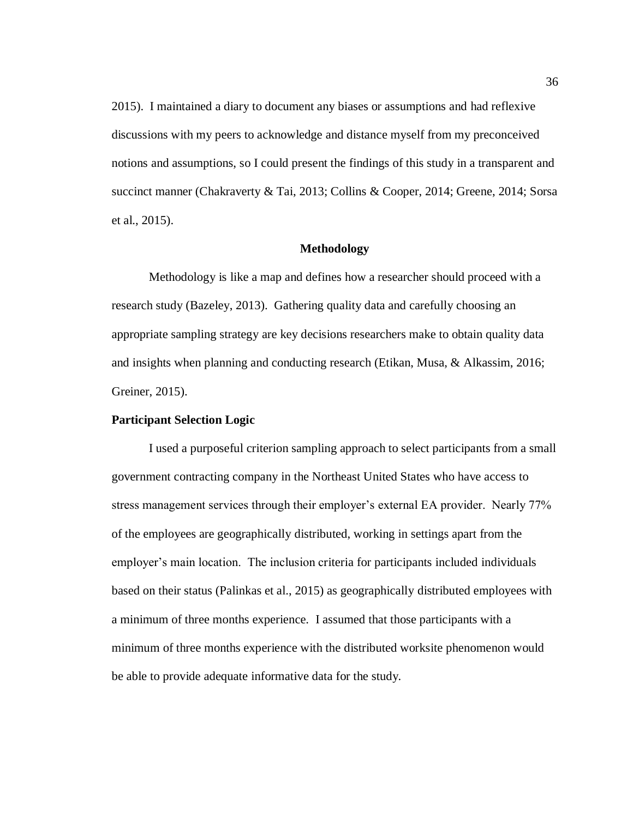2015). I maintained a diary to document any biases or assumptions and had reflexive discussions with my peers to acknowledge and distance myself from my preconceived notions and assumptions, so I could present the findings of this study in a transparent and succinct manner (Chakraverty & Tai, 2013; Collins & Cooper, 2014; Greene, 2014; Sorsa et al., 2015).

#### **Methodology**

Methodology is like a map and defines how a researcher should proceed with a research study (Bazeley, 2013). Gathering quality data and carefully choosing an appropriate sampling strategy are key decisions researchers make to obtain quality data and insights when planning and conducting research (Etikan, Musa, & Alkassim, 2016; Greiner, 2015).

# **Participant Selection Logic**

I used a purposeful criterion sampling approach to select participants from a small government contracting company in the Northeast United States who have access to stress management services through their employer's external EA provider. Nearly 77% of the employees are geographically distributed, working in settings apart from the employer's main location. The inclusion criteria for participants included individuals based on their status (Palinkas et al., 2015) as geographically distributed employees with a minimum of three months experience. I assumed that those participants with a minimum of three months experience with the distributed worksite phenomenon would be able to provide adequate informative data for the study.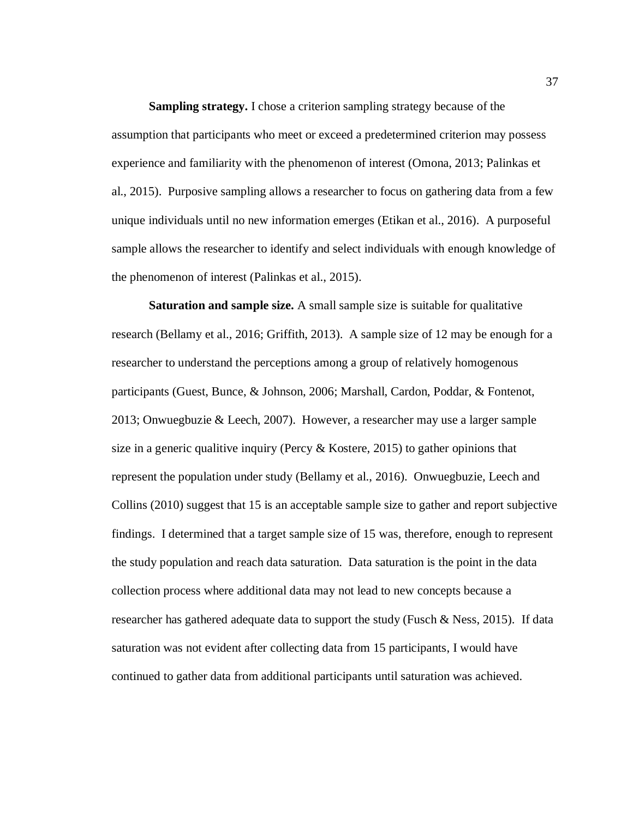**Sampling strategy.** I chose a criterion sampling strategy because of the assumption that participants who meet or exceed a predetermined criterion may possess experience and familiarity with the phenomenon of interest (Omona, 2013; Palinkas et al., 2015). Purposive sampling allows a researcher to focus on gathering data from a few unique individuals until no new information emerges (Etikan et al., 2016). A purposeful sample allows the researcher to identify and select individuals with enough knowledge of the phenomenon of interest (Palinkas et al., 2015).

**Saturation and sample size.** A small sample size is suitable for qualitative research (Bellamy et al., 2016; Griffith, 2013). A sample size of 12 may be enough for a researcher to understand the perceptions among a group of relatively homogenous participants (Guest, Bunce, & Johnson, 2006; Marshall, Cardon, Poddar, & Fontenot, 2013; Onwuegbuzie & Leech, 2007). However, a researcher may use a larger sample size in a generic qualitive inquiry (Percy & Kostere, 2015) to gather opinions that represent the population under study (Bellamy et al., 2016). Onwuegbuzie, Leech and Collins (2010) suggest that 15 is an acceptable sample size to gather and report subjective findings. I determined that a target sample size of 15 was, therefore, enough to represent the study population and reach data saturation. Data saturation is the point in the data collection process where additional data may not lead to new concepts because a researcher has gathered adequate data to support the study (Fusch & Ness, 2015). If data saturation was not evident after collecting data from 15 participants, I would have continued to gather data from additional participants until saturation was achieved.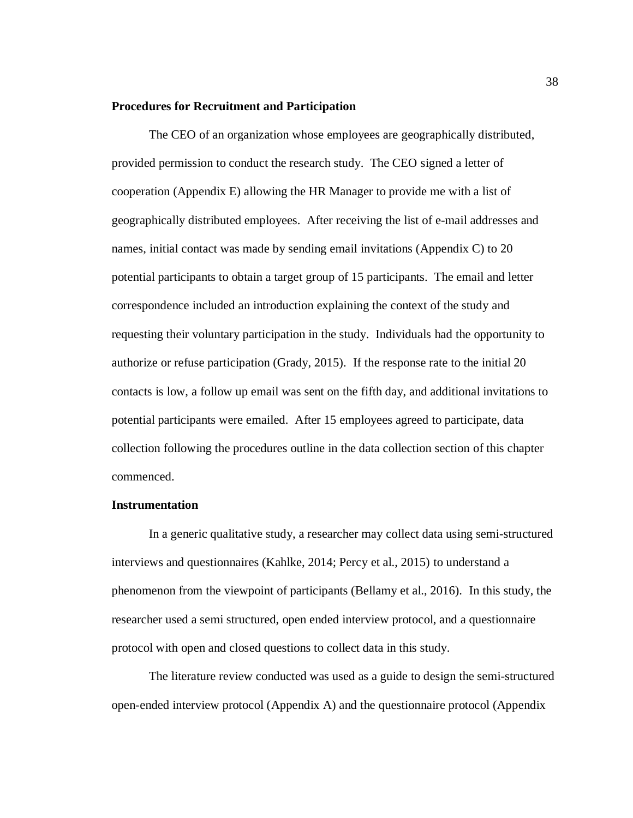#### **Procedures for Recruitment and Participation**

The CEO of an organization whose employees are geographically distributed, provided permission to conduct the research study. The CEO signed a letter of cooperation (Appendix E) allowing the HR Manager to provide me with a list of geographically distributed employees. After receiving the list of e-mail addresses and names, initial contact was made by sending email invitations (Appendix C) to 20 potential participants to obtain a target group of 15 participants. The email and letter correspondence included an introduction explaining the context of the study and requesting their voluntary participation in the study. Individuals had the opportunity to authorize or refuse participation (Grady, 2015). If the response rate to the initial 20 contacts is low, a follow up email was sent on the fifth day, and additional invitations to potential participants were emailed. After 15 employees agreed to participate, data collection following the procedures outline in the data collection section of this chapter commenced.

# **Instrumentation**

In a generic qualitative study, a researcher may collect data using semi-structured interviews and questionnaires (Kahlke, 2014; Percy et al., 2015) to understand a phenomenon from the viewpoint of participants (Bellamy et al., 2016). In this study, the researcher used a semi structured, open ended interview protocol, and a questionnaire protocol with open and closed questions to collect data in this study.

The literature review conducted was used as a guide to design the semi-structured open-ended interview protocol (Appendix A) and the questionnaire protocol (Appendix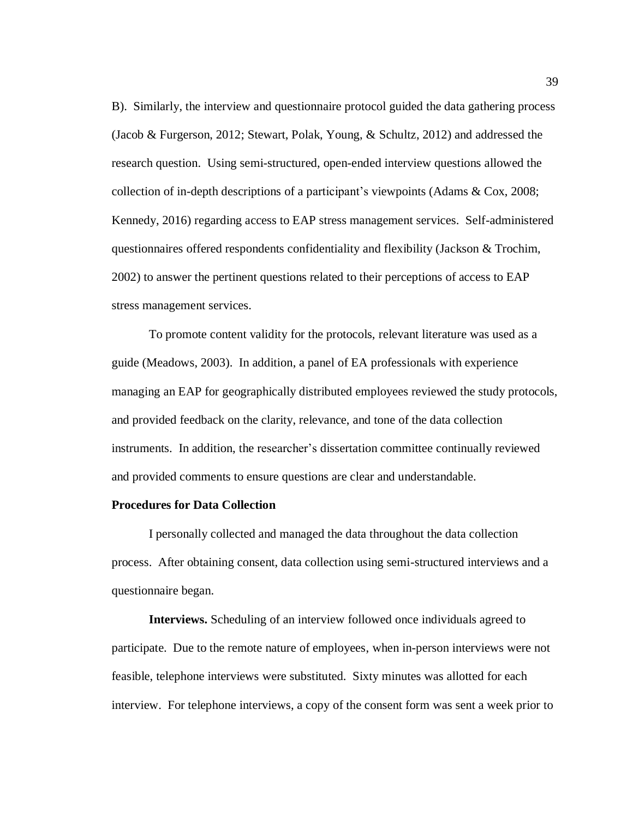B). Similarly, the interview and questionnaire protocol guided the data gathering process (Jacob & Furgerson, 2012; Stewart, Polak, Young, & Schultz, 2012) and addressed the research question. Using semi-structured, open-ended interview questions allowed the collection of in-depth descriptions of a participant's viewpoints (Adams & Cox, 2008; Kennedy, 2016) regarding access to EAP stress management services. Self-administered questionnaires offered respondents confidentiality and flexibility (Jackson & Trochim, 2002) to answer the pertinent questions related to their perceptions of access to EAP stress management services.

To promote content validity for the protocols, relevant literature was used as a guide (Meadows, 2003). In addition, a panel of EA professionals with experience managing an EAP for geographically distributed employees reviewed the study protocols, and provided feedback on the clarity, relevance, and tone of the data collection instruments. In addition, the researcher's dissertation committee continually reviewed and provided comments to ensure questions are clear and understandable.

# **Procedures for Data Collection**

I personally collected and managed the data throughout the data collection process. After obtaining consent, data collection using semi-structured interviews and a questionnaire began.

**Interviews.** Scheduling of an interview followed once individuals agreed to participate. Due to the remote nature of employees, when in-person interviews were not feasible, telephone interviews were substituted. Sixty minutes was allotted for each interview. For telephone interviews, a copy of the consent form was sent a week prior to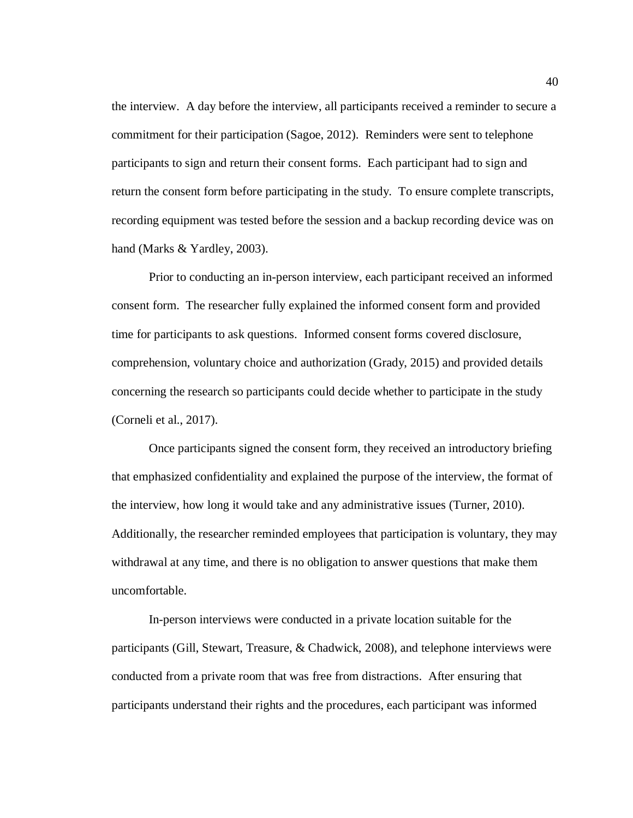the interview. A day before the interview, all participants received a reminder to secure a commitment for their participation (Sagoe, 2012). Reminders were sent to telephone participants to sign and return their consent forms. Each participant had to sign and return the consent form before participating in the study. To ensure complete transcripts, recording equipment was tested before the session and a backup recording device was on hand (Marks & Yardley, 2003).

Prior to conducting an in-person interview, each participant received an informed consent form. The researcher fully explained the informed consent form and provided time for participants to ask questions. Informed consent forms covered disclosure, comprehension, voluntary choice and authorization (Grady, 2015) and provided details concerning the research so participants could decide whether to participate in the study (Corneli et al., 2017).

Once participants signed the consent form, they received an introductory briefing that emphasized confidentiality and explained the purpose of the interview, the format of the interview, how long it would take and any administrative issues (Turner, 2010). Additionally, the researcher reminded employees that participation is voluntary, they may withdrawal at any time, and there is no obligation to answer questions that make them uncomfortable.

In-person interviews were conducted in a private location suitable for the participants (Gill, Stewart, Treasure, & Chadwick, 2008), and telephone interviews were conducted from a private room that was free from distractions. After ensuring that participants understand their rights and the procedures, each participant was informed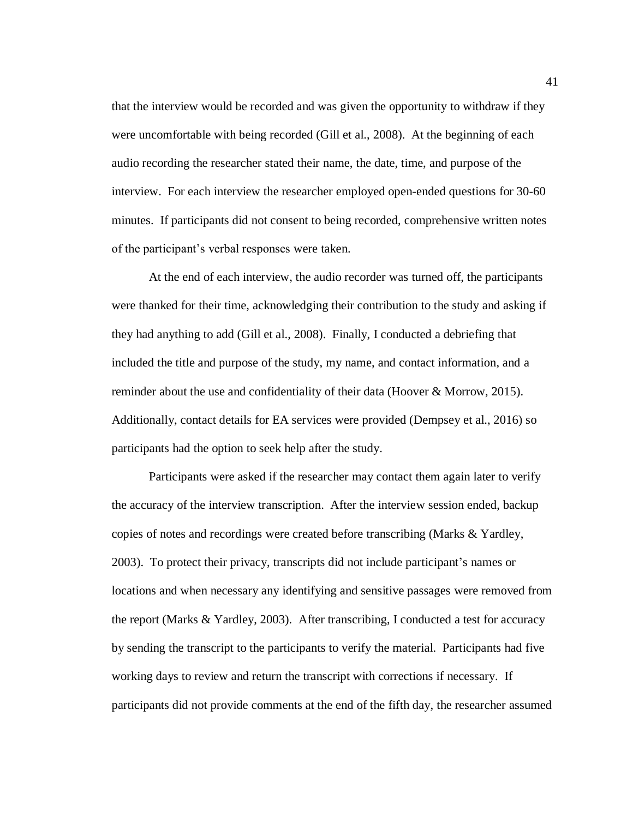that the interview would be recorded and was given the opportunity to withdraw if they were uncomfortable with being recorded (Gill et al., 2008). At the beginning of each audio recording the researcher stated their name, the date, time, and purpose of the interview. For each interview the researcher employed open-ended questions for 30-60 minutes. If participants did not consent to being recorded, comprehensive written notes of the participant's verbal responses were taken.

At the end of each interview, the audio recorder was turned off, the participants were thanked for their time, acknowledging their contribution to the study and asking if they had anything to add (Gill et al., 2008). Finally, I conducted a debriefing that included the title and purpose of the study, my name, and contact information, and a reminder about the use and confidentiality of their data (Hoover & Morrow, 2015). Additionally, contact details for EA services were provided (Dempsey et al., 2016) so participants had the option to seek help after the study.

Participants were asked if the researcher may contact them again later to verify the accuracy of the interview transcription. After the interview session ended, backup copies of notes and recordings were created before transcribing (Marks & Yardley, 2003). To protect their privacy, transcripts did not include participant's names or locations and when necessary any identifying and sensitive passages were removed from the report (Marks & Yardley, 2003). After transcribing, I conducted a test for accuracy by sending the transcript to the participants to verify the material. Participants had five working days to review and return the transcript with corrections if necessary. If participants did not provide comments at the end of the fifth day, the researcher assumed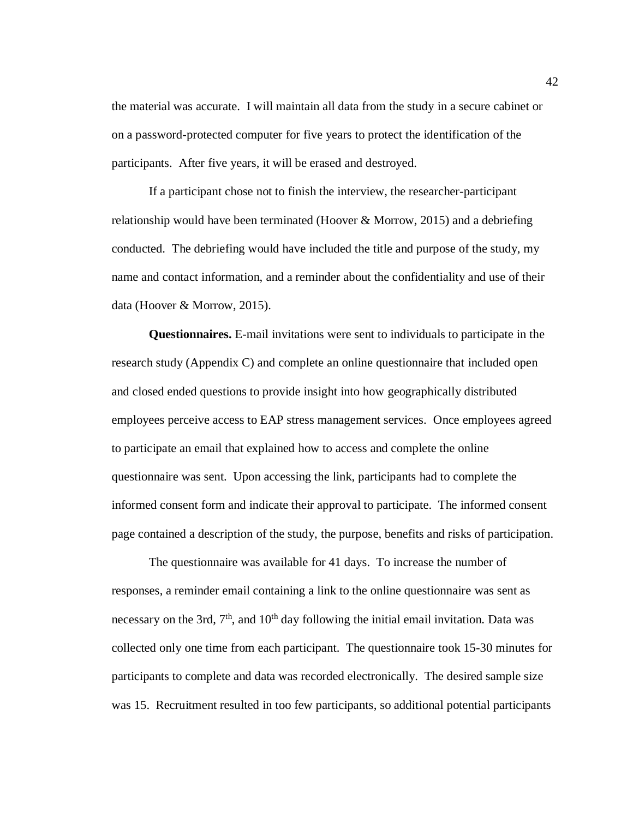the material was accurate. I will maintain all data from the study in a secure cabinet or on a password-protected computer for five years to protect the identification of the participants. After five years, it will be erased and destroyed.

If a participant chose not to finish the interview, the researcher-participant relationship would have been terminated (Hoover & Morrow, 2015) and a debriefing conducted. The debriefing would have included the title and purpose of the study, my name and contact information, and a reminder about the confidentiality and use of their data (Hoover & Morrow, 2015).

**Questionnaires.** E-mail invitations were sent to individuals to participate in the research study (Appendix C) and complete an online questionnaire that included open and closed ended questions to provide insight into how geographically distributed employees perceive access to EAP stress management services. Once employees agreed to participate an email that explained how to access and complete the online questionnaire was sent. Upon accessing the link, participants had to complete the informed consent form and indicate their approval to participate. The informed consent page contained a description of the study, the purpose, benefits and risks of participation.

The questionnaire was available for 41 days. To increase the number of responses, a reminder email containing a link to the online questionnaire was sent as necessary on the 3rd,  $7<sup>th</sup>$ , and  $10<sup>th</sup>$  day following the initial email invitation. Data was collected only one time from each participant. The questionnaire took 15-30 minutes for participants to complete and data was recorded electronically. The desired sample size was 15. Recruitment resulted in too few participants, so additional potential participants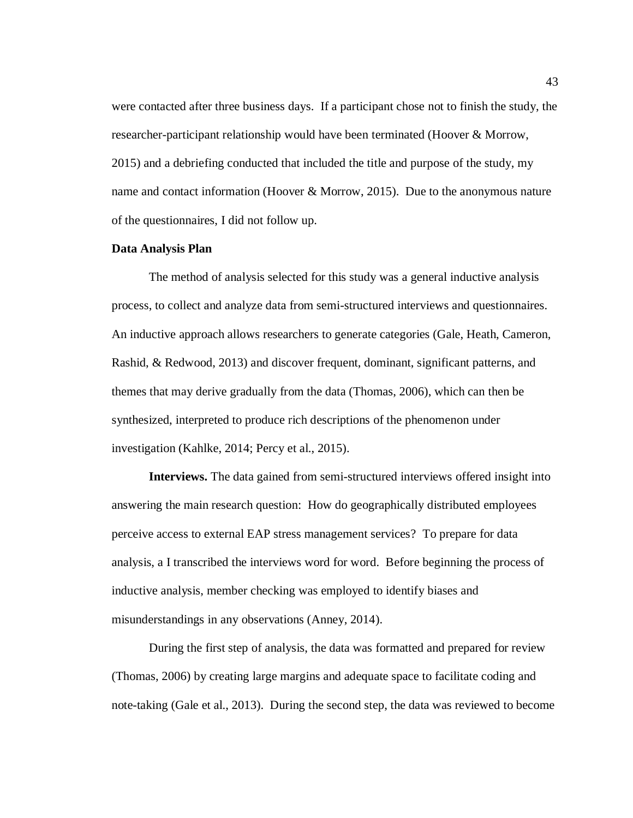were contacted after three business days. If a participant chose not to finish the study, the researcher-participant relationship would have been terminated (Hoover & Morrow, 2015) and a debriefing conducted that included the title and purpose of the study, my name and contact information (Hoover & Morrow, 2015). Due to the anonymous nature of the questionnaires, I did not follow up.

#### **Data Analysis Plan**

The method of analysis selected for this study was a general inductive analysis process, to collect and analyze data from semi-structured interviews and questionnaires. An inductive approach allows researchers to generate categories (Gale, Heath, Cameron, Rashid, & Redwood, 2013) and discover frequent, dominant, significant patterns, and themes that may derive gradually from the data (Thomas, 2006), which can then be synthesized, interpreted to produce rich descriptions of the phenomenon under investigation (Kahlke, 2014; Percy et al., 2015).

**Interviews.** The data gained from semi-structured interviews offered insight into answering the main research question: How do geographically distributed employees perceive access to external EAP stress management services? To prepare for data analysis, a I transcribed the interviews word for word. Before beginning the process of inductive analysis, member checking was employed to identify biases and misunderstandings in any observations (Anney, 2014).

During the first step of analysis, the data was formatted and prepared for review (Thomas, 2006) by creating large margins and adequate space to facilitate coding and note-taking (Gale et al., 2013). During the second step, the data was reviewed to become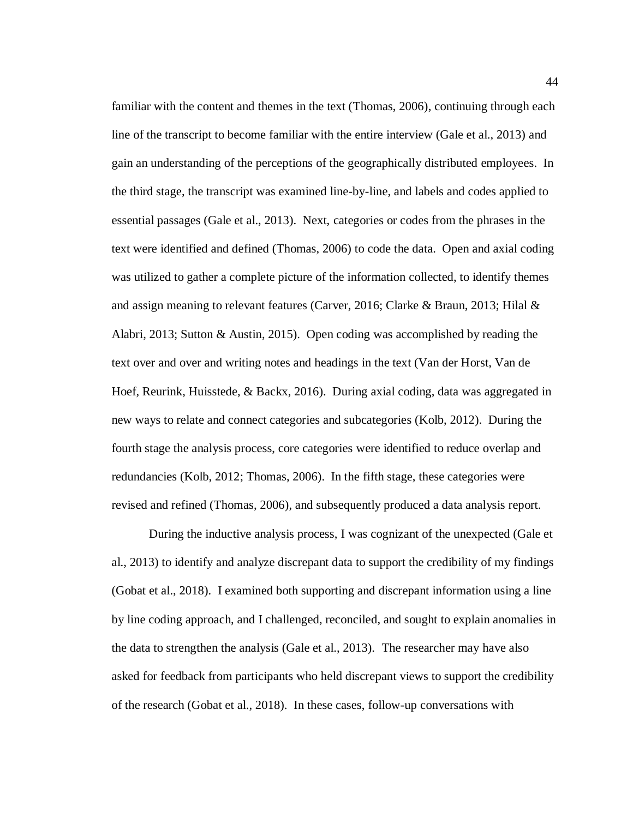familiar with the content and themes in the text (Thomas, 2006), continuing through each line of the transcript to become familiar with the entire interview (Gale et al., 2013) and gain an understanding of the perceptions of the geographically distributed employees. In the third stage, the transcript was examined line-by-line, and labels and codes applied to essential passages (Gale et al., 2013). Next, categories or codes from the phrases in the text were identified and defined (Thomas, 2006) to code the data. Open and axial coding was utilized to gather a complete picture of the information collected, to identify themes and assign meaning to relevant features (Carver, 2016; Clarke & Braun, 2013; Hilal & Alabri, 2013; Sutton & Austin, 2015). Open coding was accomplished by reading the text over and over and writing notes and headings in the text (Van der Horst, Van de Hoef, Reurink, Huisstede, & Backx, 2016). During axial coding, data was aggregated in new ways to relate and connect categories and subcategories (Kolb, 2012). During the fourth stage the analysis process, core categories were identified to reduce overlap and redundancies (Kolb, 2012; Thomas, 2006). In the fifth stage, these categories were revised and refined (Thomas, 2006), and subsequently produced a data analysis report.

During the inductive analysis process, I was cognizant of the unexpected (Gale et al., 2013) to identify and analyze discrepant data to support the credibility of my findings (Gobat et al., 2018). I examined both supporting and discrepant information using a line by line coding approach, and I challenged, reconciled, and sought to explain anomalies in the data to strengthen the analysis (Gale et al., 2013). The researcher may have also asked for feedback from participants who held discrepant views to support the credibility of the research (Gobat et al., 2018). In these cases, follow-up conversations with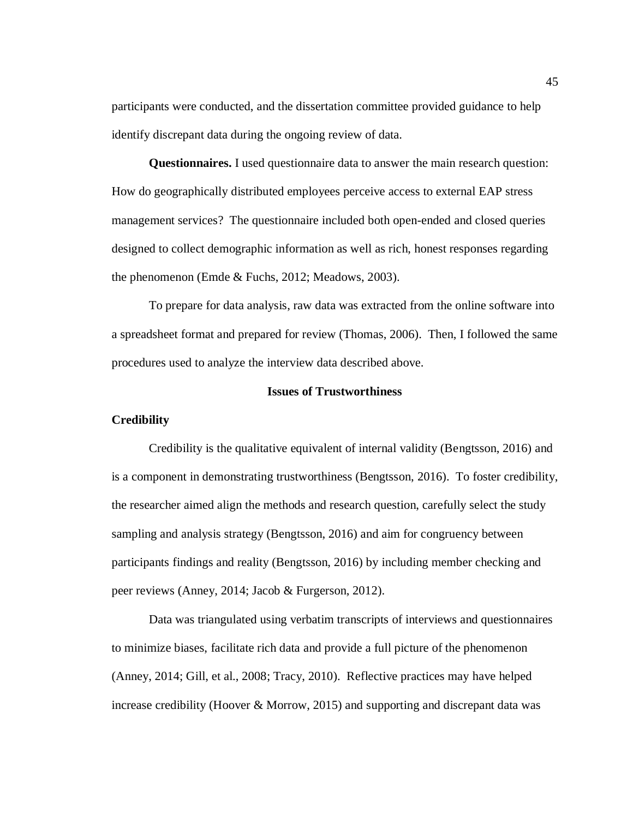participants were conducted, and the dissertation committee provided guidance to help identify discrepant data during the ongoing review of data.

**Questionnaires.** I used questionnaire data to answer the main research question: How do geographically distributed employees perceive access to external EAP stress management services? The questionnaire included both open-ended and closed queries designed to collect demographic information as well as rich, honest responses regarding the phenomenon (Emde & Fuchs, 2012; Meadows, 2003).

To prepare for data analysis, raw data was extracted from the online software into a spreadsheet format and prepared for review (Thomas, 2006). Then, I followed the same procedures used to analyze the interview data described above.

## **Issues of Trustworthiness**

### **Credibility**

Credibility is the qualitative equivalent of internal validity (Bengtsson, 2016) and is a component in demonstrating trustworthiness (Bengtsson, 2016). To foster credibility, the researcher aimed align the methods and research question, carefully select the study sampling and analysis strategy (Bengtsson, 2016) and aim for congruency between participants findings and reality (Bengtsson, 2016) by including member checking and peer reviews (Anney, 2014; Jacob & Furgerson, 2012).

Data was triangulated using verbatim transcripts of interviews and questionnaires to minimize biases, facilitate rich data and provide a full picture of the phenomenon (Anney, 2014; Gill, et al., 2008; Tracy, 2010). Reflective practices may have helped increase credibility (Hoover & Morrow, 2015) and supporting and discrepant data was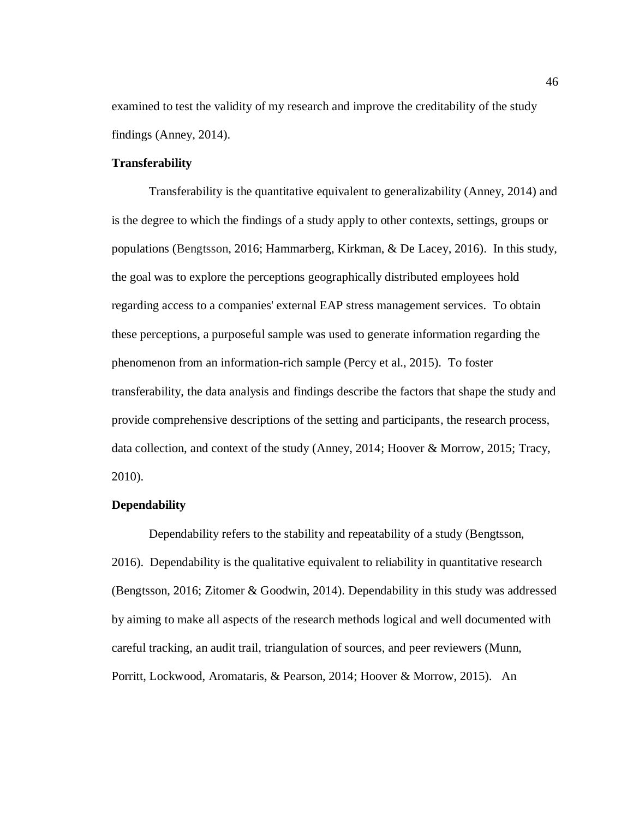examined to test the validity of my research and improve the creditability of the study findings (Anney, 2014).

### **Transferability**

Transferability is the quantitative equivalent to generalizability (Anney, 2014) and is the degree to which the findings of a study apply to other contexts, settings, groups or populations (Bengtsson, 2016; Hammarberg, Kirkman, & De Lacey, 2016). In this study, the goal was to explore the perceptions geographically distributed employees hold regarding access to a companies' external EAP stress management services. To obtain these perceptions, a purposeful sample was used to generate information regarding the phenomenon from an information-rich sample (Percy et al., 2015). To foster transferability, the data analysis and findings describe the factors that shape the study and provide comprehensive descriptions of the setting and participants, the research process, data collection, and context of the study (Anney, 2014; Hoover & Morrow, 2015; Tracy, 2010).

# **Dependability**

Dependability refers to the stability and repeatability of a study (Bengtsson, 2016). Dependability is the qualitative equivalent to reliability in quantitative research (Bengtsson, 2016; Zitomer & Goodwin, 2014). Dependability in this study was addressed by aiming to make all aspects of the research methods logical and well documented with careful tracking, an audit trail, triangulation of sources, and peer reviewers (Munn, Porritt, Lockwood, Aromataris, & Pearson, 2014; Hoover & Morrow, 2015). An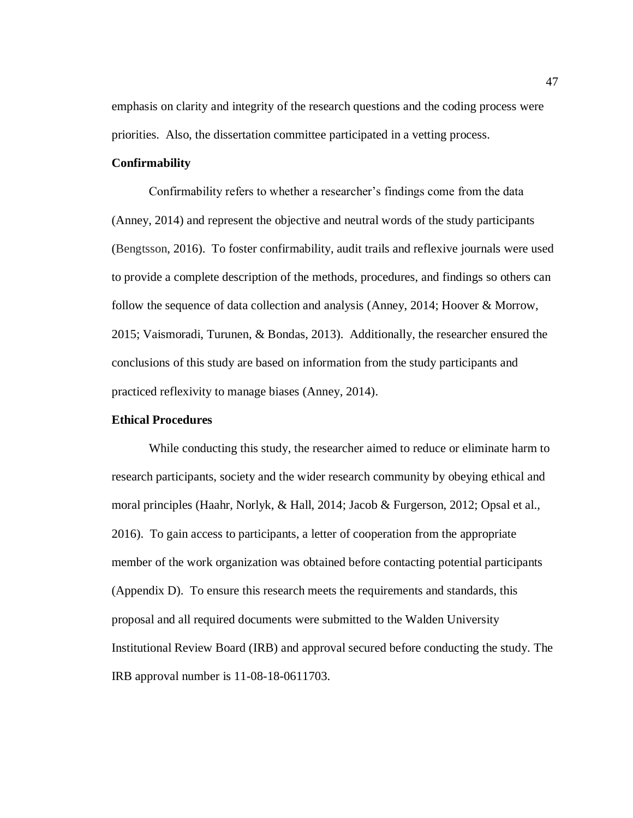emphasis on clarity and integrity of the research questions and the coding process were priorities. Also, the dissertation committee participated in a vetting process.

#### **Confirmability**

Confirmability refers to whether a researcher's findings come from the data (Anney, 2014) and represent the objective and neutral words of the study participants (Bengtsson, 2016). To foster confirmability, audit trails and reflexive journals were used to provide a complete description of the methods, procedures, and findings so others can follow the sequence of data collection and analysis (Anney, 2014; Hoover & Morrow, 2015; Vaismoradi, Turunen, & Bondas, 2013). Additionally, the researcher ensured the conclusions of this study are based on information from the study participants and practiced reflexivity to manage biases (Anney, 2014).

## **Ethical Procedures**

While conducting this study, the researcher aimed to reduce or eliminate harm to research participants, society and the wider research community by obeying ethical and moral principles (Haahr, Norlyk, & Hall, 2014; Jacob & Furgerson, 2012; Opsal et al., 2016). To gain access to participants, a letter of cooperation from the appropriate member of the work organization was obtained before contacting potential participants (Appendix D). To ensure this research meets the requirements and standards, this proposal and all required documents were submitted to the Walden University Institutional Review Board (IRB) and approval secured before conducting the study. The IRB approval number is 11-08-18-0611703.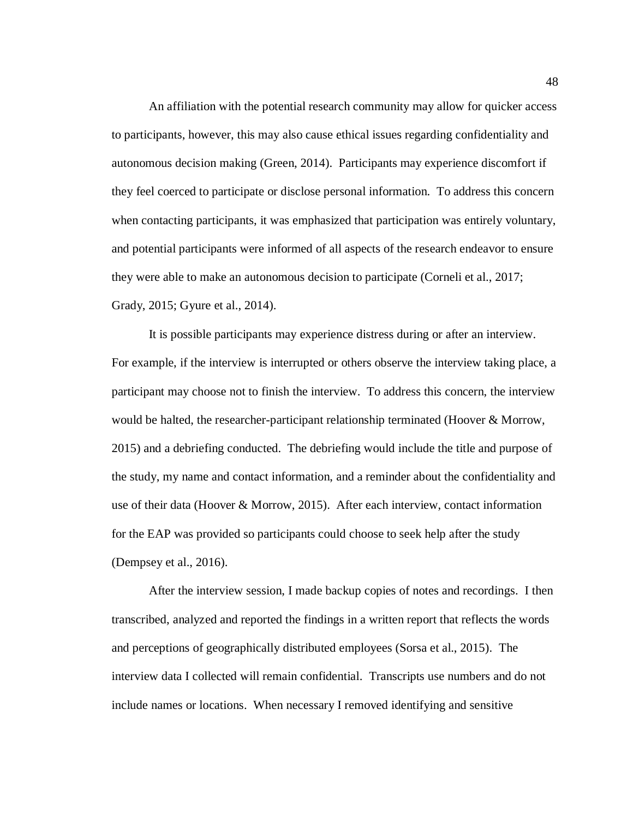An affiliation with the potential research community may allow for quicker access to participants, however, this may also cause ethical issues regarding confidentiality and autonomous decision making (Green, 2014). Participants may experience discomfort if they feel coerced to participate or disclose personal information. To address this concern when contacting participants, it was emphasized that participation was entirely voluntary, and potential participants were informed of all aspects of the research endeavor to ensure they were able to make an autonomous decision to participate (Corneli et al., 2017; Grady, 2015; Gyure et al., 2014).

It is possible participants may experience distress during or after an interview. For example, if the interview is interrupted or others observe the interview taking place, a participant may choose not to finish the interview. To address this concern, the interview would be halted, the researcher-participant relationship terminated (Hoover & Morrow, 2015) and a debriefing conducted. The debriefing would include the title and purpose of the study, my name and contact information, and a reminder about the confidentiality and use of their data (Hoover & Morrow, 2015). After each interview, contact information for the EAP was provided so participants could choose to seek help after the study (Dempsey et al., 2016).

After the interview session, I made backup copies of notes and recordings. I then transcribed, analyzed and reported the findings in a written report that reflects the words and perceptions of geographically distributed employees (Sorsa et al., 2015). The interview data I collected will remain confidential. Transcripts use numbers and do not include names or locations. When necessary I removed identifying and sensitive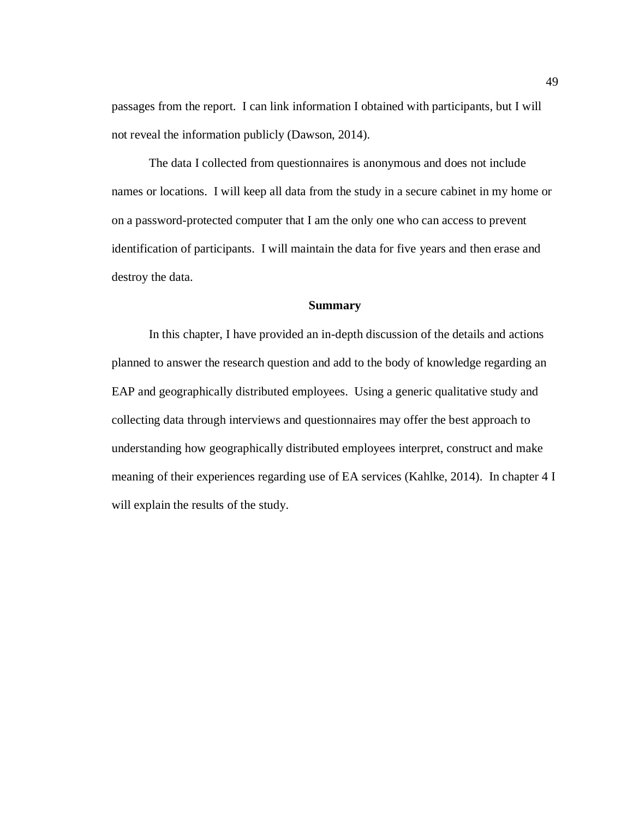passages from the report. I can link information I obtained with participants, but I will not reveal the information publicly (Dawson, 2014).

The data I collected from questionnaires is anonymous and does not include names or locations. I will keep all data from the study in a secure cabinet in my home or on a password-protected computer that I am the only one who can access to prevent identification of participants. I will maintain the data for five years and then erase and destroy the data.

## **Summary**

In this chapter, I have provided an in-depth discussion of the details and actions planned to answer the research question and add to the body of knowledge regarding an EAP and geographically distributed employees. Using a generic qualitative study and collecting data through interviews and questionnaires may offer the best approach to understanding how geographically distributed employees interpret, construct and make meaning of their experiences regarding use of EA services (Kahlke, 2014). In chapter 4 I will explain the results of the study.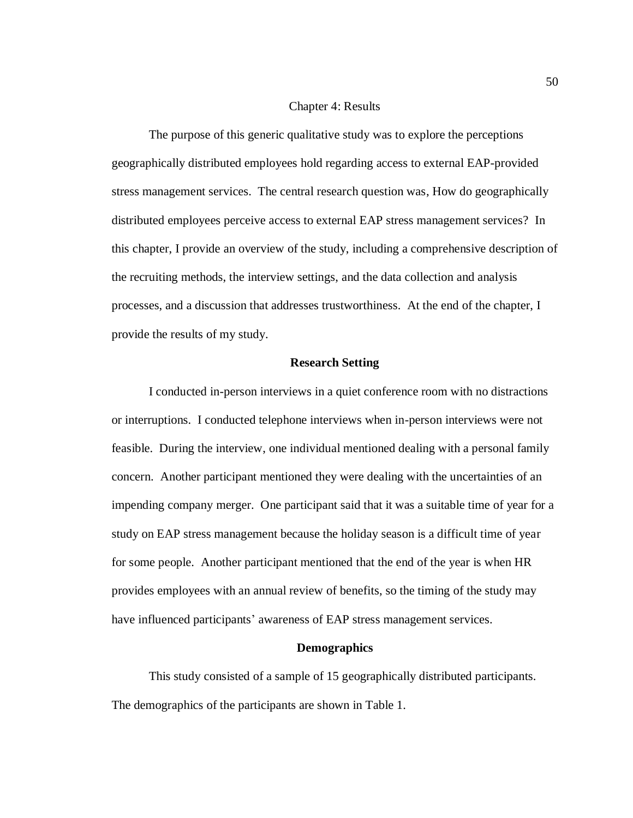#### Chapter 4: Results

The purpose of this generic qualitative study was to explore the perceptions geographically distributed employees hold regarding access to external EAP-provided stress management services. The central research question was, How do geographically distributed employees perceive access to external EAP stress management services? In this chapter, I provide an overview of the study, including a comprehensive description of the recruiting methods, the interview settings, and the data collection and analysis processes, and a discussion that addresses trustworthiness. At the end of the chapter, I provide the results of my study.

## **Research Setting**

I conducted in-person interviews in a quiet conference room with no distractions or interruptions. I conducted telephone interviews when in-person interviews were not feasible. During the interview, one individual mentioned dealing with a personal family concern. Another participant mentioned they were dealing with the uncertainties of an impending company merger. One participant said that it was a suitable time of year for a study on EAP stress management because the holiday season is a difficult time of year for some people. Another participant mentioned that the end of the year is when HR provides employees with an annual review of benefits, so the timing of the study may have influenced participants' awareness of EAP stress management services.

# **Demographics**

This study consisted of a sample of 15 geographically distributed participants. The demographics of the participants are shown in Table 1.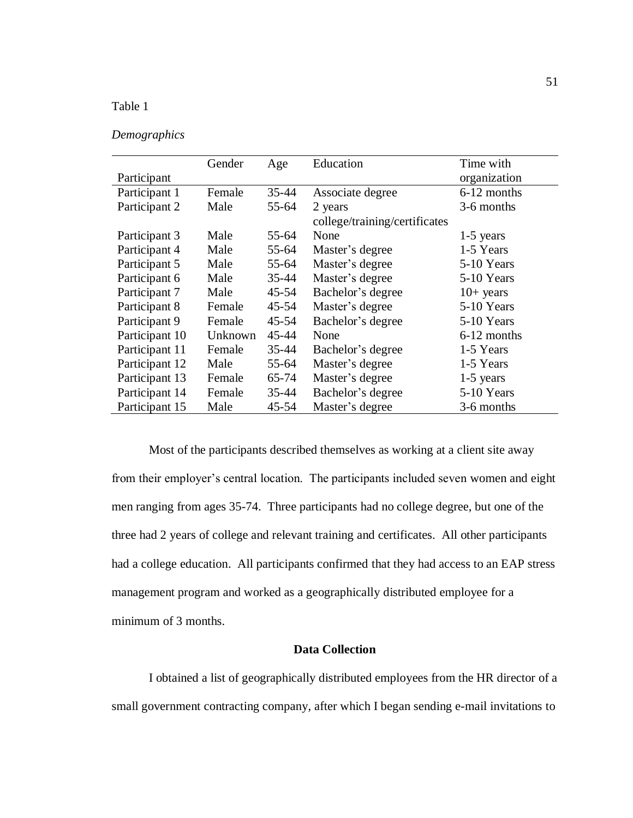# Table 1

# *Demographics*

|                | Gender  | Age       | Education                     | Time with    |
|----------------|---------|-----------|-------------------------------|--------------|
| Participant    |         |           |                               | organization |
| Participant 1  | Female  | 35-44     | Associate degree              | 6-12 months  |
| Participant 2  | Male    | 55-64     | 2 years                       | 3-6 months   |
|                |         |           | college/training/certificates |              |
| Participant 3  | Male    | 55-64     | None                          | $1-5$ years  |
| Participant 4  | Male    | 55-64     | Master's degree               | 1-5 Years    |
| Participant 5  | Male    | 55-64     | Master's degree               | 5-10 Years   |
| Participant 6  | Male    | $35 - 44$ | Master's degree               | 5-10 Years   |
| Participant 7  | Male    | $45 - 54$ | Bachelor's degree             | $10+$ years  |
| Participant 8  | Female  | $45 - 54$ | Master's degree               | 5-10 Years   |
| Participant 9  | Female  | $45 - 54$ | Bachelor's degree             | 5-10 Years   |
| Participant 10 | Unknown | 45-44     | None                          | 6-12 months  |
| Participant 11 | Female  | $35 - 44$ | Bachelor's degree             | 1-5 Years    |
| Participant 12 | Male    | $55 - 64$ | Master's degree               | 1-5 Years    |
| Participant 13 | Female  | 65-74     | Master's degree               | $1-5$ years  |
| Participant 14 | Female  | $35 - 44$ | Bachelor's degree             | 5-10 Years   |
| Participant 15 | Male    | $45 - 54$ | Master's degree               | 3-6 months   |

Most of the participants described themselves as working at a client site away from their employer's central location. The participants included seven women and eight men ranging from ages 35-74. Three participants had no college degree, but one of the three had 2 years of college and relevant training and certificates. All other participants had a college education. All participants confirmed that they had access to an EAP stress management program and worked as a geographically distributed employee for a minimum of 3 months.

# **Data Collection**

I obtained a list of geographically distributed employees from the HR director of a small government contracting company, after which I began sending e-mail invitations to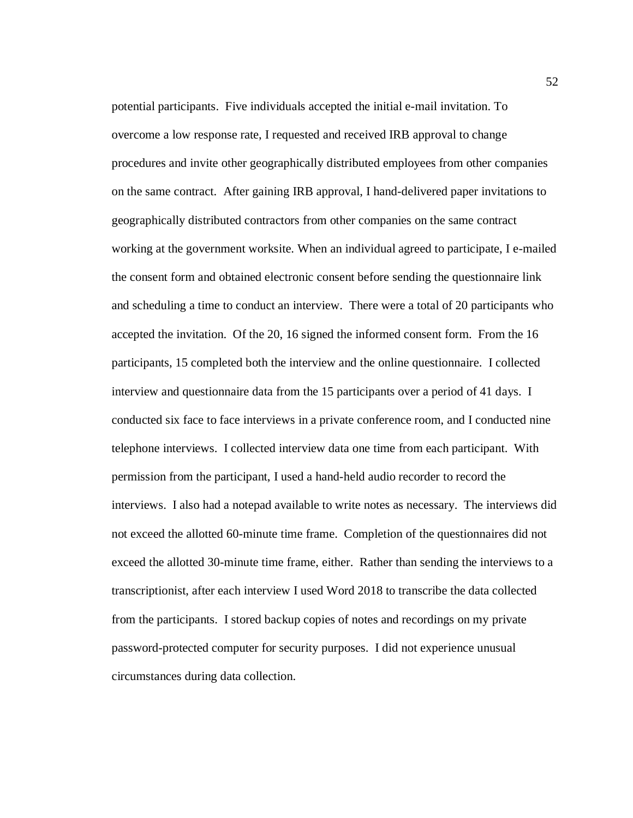potential participants. Five individuals accepted the initial e-mail invitation. To overcome a low response rate, I requested and received IRB approval to change procedures and invite other geographically distributed employees from other companies on the same contract. After gaining IRB approval, I hand-delivered paper invitations to geographically distributed contractors from other companies on the same contract working at the government worksite. When an individual agreed to participate, I e-mailed the consent form and obtained electronic consent before sending the questionnaire link and scheduling a time to conduct an interview. There were a total of 20 participants who accepted the invitation. Of the 20, 16 signed the informed consent form. From the 16 participants, 15 completed both the interview and the online questionnaire. I collected interview and questionnaire data from the 15 participants over a period of 41 days. I conducted six face to face interviews in a private conference room, and I conducted nine telephone interviews. I collected interview data one time from each participant. With permission from the participant, I used a hand-held audio recorder to record the interviews. I also had a notepad available to write notes as necessary. The interviews did not exceed the allotted 60-minute time frame. Completion of the questionnaires did not exceed the allotted 30-minute time frame, either. Rather than sending the interviews to a transcriptionist, after each interview I used Word 2018 to transcribe the data collected from the participants. I stored backup copies of notes and recordings on my private password-protected computer for security purposes. I did not experience unusual circumstances during data collection.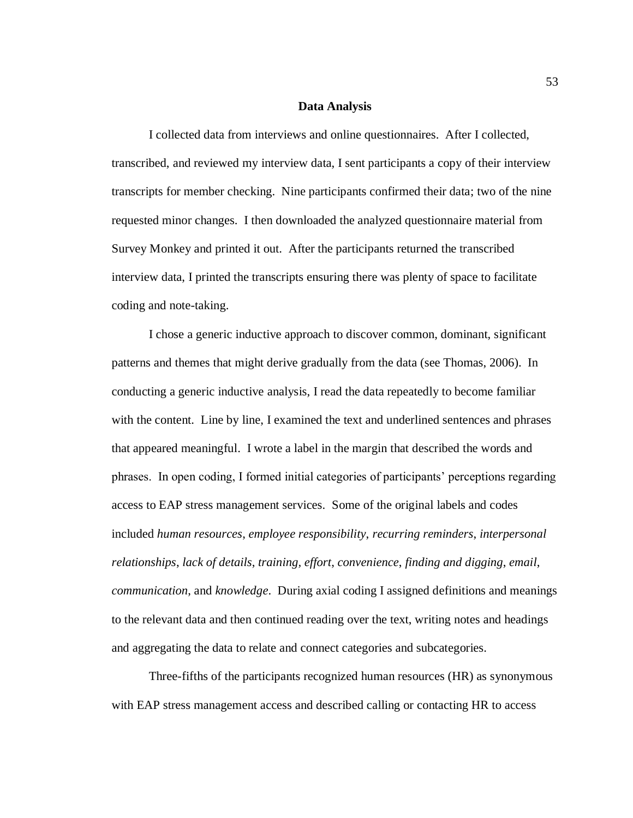#### **Data Analysis**

I collected data from interviews and online questionnaires. After I collected, transcribed, and reviewed my interview data, I sent participants a copy of their interview transcripts for member checking. Nine participants confirmed their data; two of the nine requested minor changes. I then downloaded the analyzed questionnaire material from Survey Monkey and printed it out. After the participants returned the transcribed interview data, I printed the transcripts ensuring there was plenty of space to facilitate coding and note-taking.

I chose a generic inductive approach to discover common, dominant, significant patterns and themes that might derive gradually from the data (see Thomas, 2006). In conducting a generic inductive analysis, I read the data repeatedly to become familiar with the content. Line by line, I examined the text and underlined sentences and phrases that appeared meaningful. I wrote a label in the margin that described the words and phrases. In open coding, I formed initial categories of participants' perceptions regarding access to EAP stress management services. Some of the original labels and codes included *human resources*, *employee responsibility*, *recurring reminders*, *interpersonal relationships*, *lack of details*, *training, effort*, *convenience*, *finding and digging*, *email*, *communication*, and *knowledge*. During axial coding I assigned definitions and meanings to the relevant data and then continued reading over the text, writing notes and headings and aggregating the data to relate and connect categories and subcategories.

Three-fifths of the participants recognized human resources (HR) as synonymous with EAP stress management access and described calling or contacting HR to access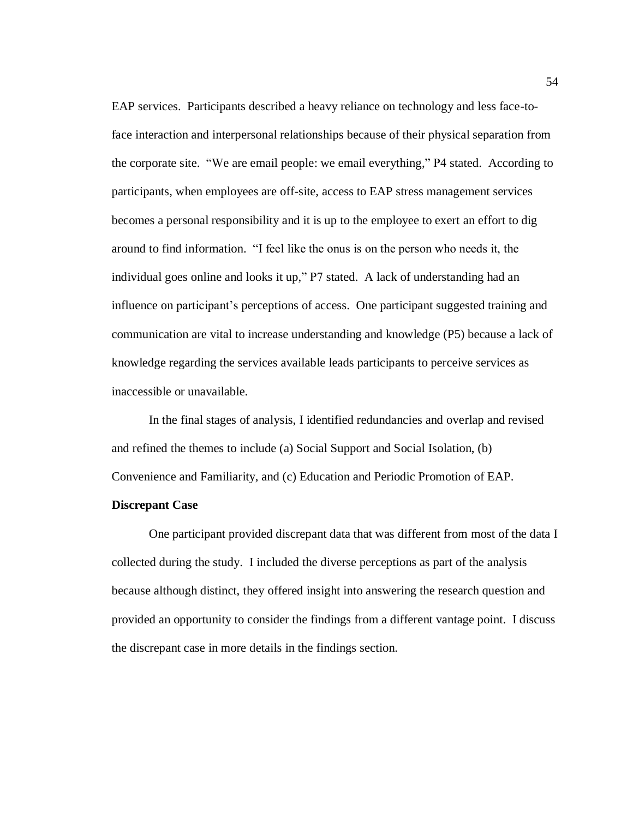EAP services. Participants described a heavy reliance on technology and less face-toface interaction and interpersonal relationships because of their physical separation from the corporate site. "We are email people: we email everything," P4 stated. According to participants, when employees are off-site, access to EAP stress management services becomes a personal responsibility and it is up to the employee to exert an effort to dig around to find information. "I feel like the onus is on the person who needs it, the individual goes online and looks it up," P7 stated. A lack of understanding had an influence on participant's perceptions of access. One participant suggested training and communication are vital to increase understanding and knowledge (P5) because a lack of knowledge regarding the services available leads participants to perceive services as inaccessible or unavailable.

In the final stages of analysis, I identified redundancies and overlap and revised and refined the themes to include (a) Social Support and Social Isolation, (b) Convenience and Familiarity, and (c) Education and Periodic Promotion of EAP.

# **Discrepant Case**

One participant provided discrepant data that was different from most of the data I collected during the study. I included the diverse perceptions as part of the analysis because although distinct, they offered insight into answering the research question and provided an opportunity to consider the findings from a different vantage point. I discuss the discrepant case in more details in the findings section.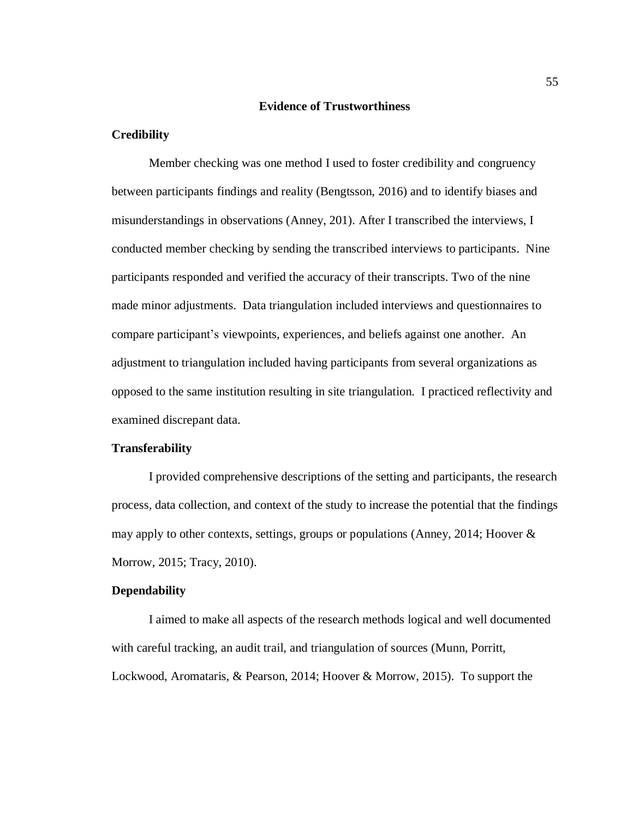### **Evidence of Trustworthiness**

# **Credibility**

Member checking was one method I used to foster credibility and congruency between participants findings and reality (Bengtsson, 2016) and to identify biases and misunderstandings in observations (Anney, 201). After I transcribed the interviews, I conducted member checking by sending the transcribed interviews to participants. Nine participants responded and verified the accuracy of their transcripts. Two of the nine made minor adjustments. Data triangulation included interviews and questionnaires to compare participant's viewpoints, experiences, and beliefs against one another. An adjustment to triangulation included having participants from several organizations as opposed to the same institution resulting in site triangulation. I practiced reflectivity and examined discrepant data.

# **Transferability**

I provided comprehensive descriptions of the setting and participants, the research process, data collection, and context of the study to increase the potential that the findings may apply to other contexts, settings, groups or populations (Anney, 2014; Hoover & Morrow, 2015; Tracy, 2010).

# **Dependability**

I aimed to make all aspects of the research methods logical and well documented with careful tracking, an audit trail, and triangulation of sources (Munn, Porritt, Lockwood, Aromataris, & Pearson, 2014; Hoover & Morrow, 2015). To support the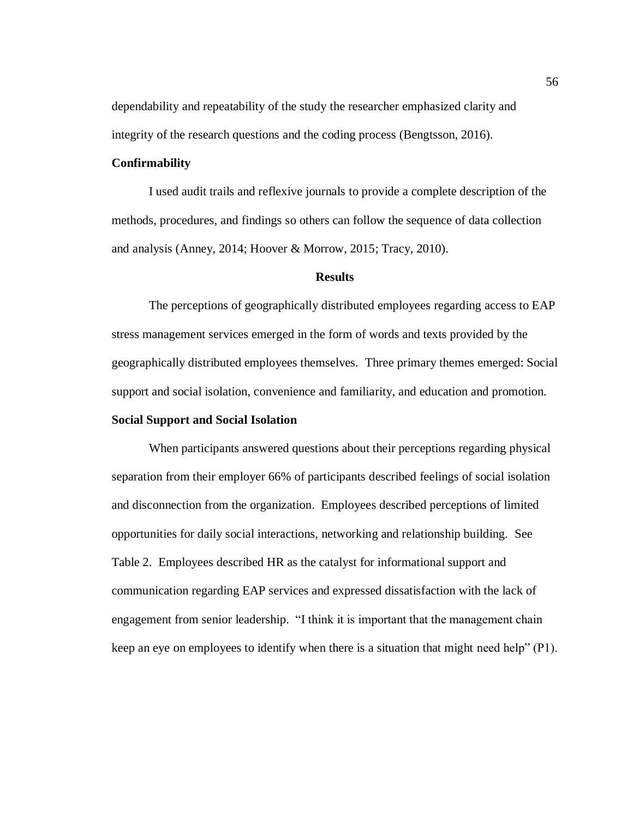dependability and repeatability of the study the researcher emphasized clarity and integrity of the research questions and the coding process (Bengtsson, 2016).

## **Confirmability**

I used audit trails and reflexive journals to provide a complete description of the methods, procedures, and findings so others can follow the sequence of data collection and analysis (Anney, 2014; Hoover & Morrow, 2015; Tracy, 2010).

#### **Results**

The perceptions of geographically distributed employees regarding access to EAP stress management services emerged in the form of words and texts provided by the geographically distributed employees themselves. Three primary themes emerged: Social support and social isolation, convenience and familiarity, and education and promotion.

# **Social Support and Social Isolation**

When participants answered questions about their perceptions regarding physical separation from their employer 66% of participants described feelings of social isolation and disconnection from the organization. Employees described perceptions of limited opportunities for daily social interactions, networking and relationship building. See Table 2. Employees described HR as the catalyst for informational support and communication regarding EAP services and expressed dissatisfaction with the lack of engagement from senior leadership. "I think it is important that the management chain keep an eye on employees to identify when there is a situation that might need help" (P1).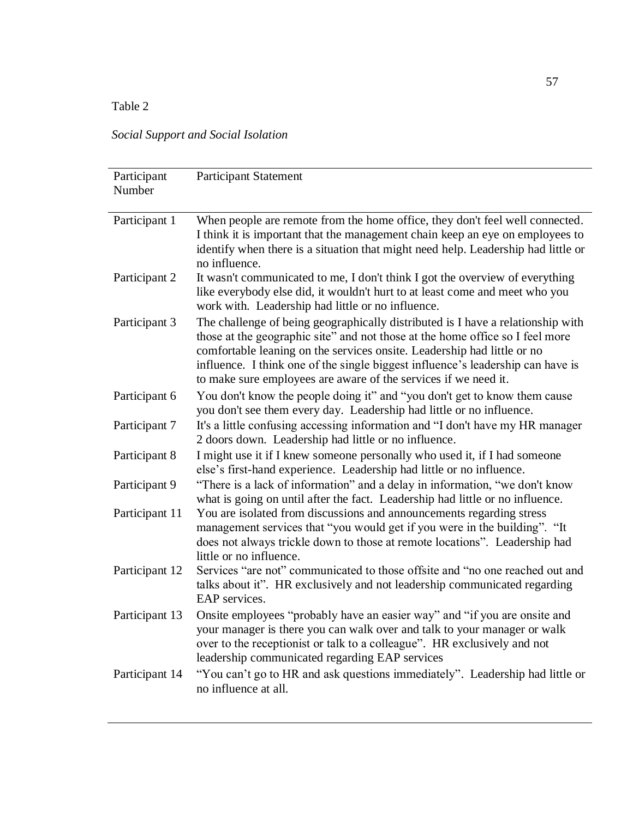Table 2

*Social Support and Social Isolation*

| Participant<br>Number | <b>Participant Statement</b>                                                                                                                                                                                                                                                                                                                                                                      |
|-----------------------|---------------------------------------------------------------------------------------------------------------------------------------------------------------------------------------------------------------------------------------------------------------------------------------------------------------------------------------------------------------------------------------------------|
| Participant 1         | When people are remote from the home office, they don't feel well connected.<br>I think it is important that the management chain keep an eye on employees to<br>identify when there is a situation that might need help. Leadership had little or<br>no influence.                                                                                                                               |
| Participant 2         | It wasn't communicated to me, I don't think I got the overview of everything<br>like everybody else did, it wouldn't hurt to at least come and meet who you<br>work with. Leadership had little or no influence.                                                                                                                                                                                  |
| Participant 3         | The challenge of being geographically distributed is I have a relationship with<br>those at the geographic site" and not those at the home office so I feel more<br>comfortable leaning on the services onsite. Leadership had little or no<br>influence. I think one of the single biggest influence's leadership can have is<br>to make sure employees are aware of the services if we need it. |
| Participant 6         | You don't know the people doing it" and "you don't get to know them cause<br>you don't see them every day. Leadership had little or no influence.                                                                                                                                                                                                                                                 |
| Participant 7         | It's a little confusing accessing information and "I don't have my HR manager<br>2 doors down. Leadership had little or no influence.                                                                                                                                                                                                                                                             |
| Participant 8         | I might use it if I knew someone personally who used it, if I had someone<br>else's first-hand experience. Leadership had little or no influence.                                                                                                                                                                                                                                                 |
| Participant 9         | "There is a lack of information" and a delay in information, "we don't know<br>what is going on until after the fact. Leadership had little or no influence.                                                                                                                                                                                                                                      |
| Participant 11        | You are isolated from discussions and announcements regarding stress<br>management services that "you would get if you were in the building". "It<br>does not always trickle down to those at remote locations". Leadership had<br>little or no influence.                                                                                                                                        |
| Participant 12        | Services "are not" communicated to those offsite and "no one reached out and<br>talks about it". HR exclusively and not leadership communicated regarding<br>EAP services.                                                                                                                                                                                                                        |
| Participant 13        | Onsite employees "probably have an easier way" and "if you are onsite and<br>your manager is there you can walk over and talk to your manager or walk<br>over to the receptionist or talk to a colleague". HR exclusively and not<br>leadership communicated regarding EAP services                                                                                                               |
| Participant 14        | "You can't go to HR and ask questions immediately". Leadership had little or<br>no influence at all.                                                                                                                                                                                                                                                                                              |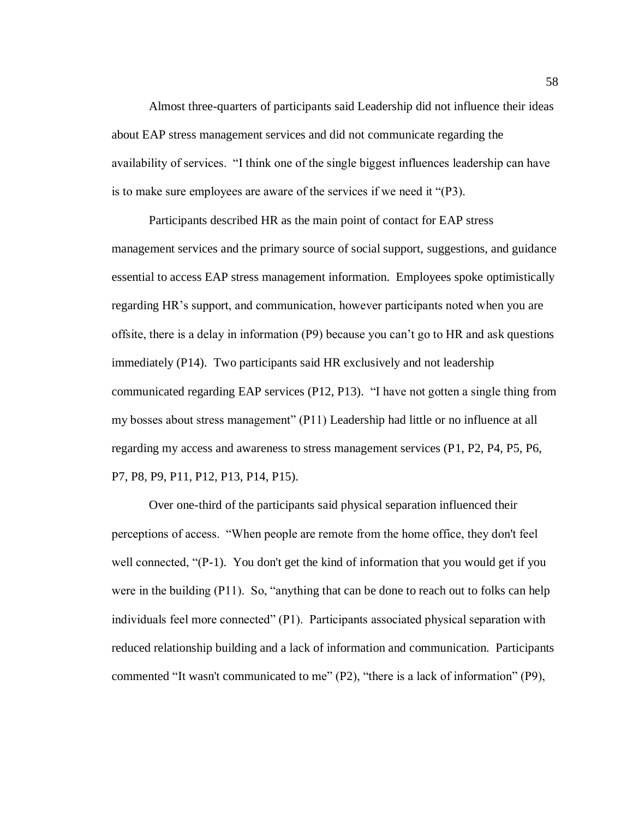Almost three-quarters of participants said Leadership did not influence their ideas about EAP stress management services and did not communicate regarding the availability of services. "I think one of the single biggest influences leadership can have is to make sure employees are aware of the services if we need it "(P3).

Participants described HR as the main point of contact for EAP stress management services and the primary source of social support, suggestions, and guidance essential to access EAP stress management information. Employees spoke optimistically regarding HR's support, and communication, however participants noted when you are offsite, there is a delay in information (P9) because you can't go to HR and ask questions immediately (P14). Two participants said HR exclusively and not leadership communicated regarding EAP services (P12, P13). "I have not gotten a single thing from my bosses about stress management" (P11) Leadership had little or no influence at all regarding my access and awareness to stress management services (P1, P2, P4, P5, P6, P7, P8, P9, P11, P12, P13, P14, P15).

Over one-third of the participants said physical separation influenced their perceptions of access. "When people are remote from the home office, they don't feel well connected, "(P-1). You don't get the kind of information that you would get if you were in the building (P11). So, "anything that can be done to reach out to folks can help individuals feel more connected" (P1). Participants associated physical separation with reduced relationship building and a lack of information and communication. Participants commented "It wasn't communicated to me" (P2), "there is a lack of information" (P9),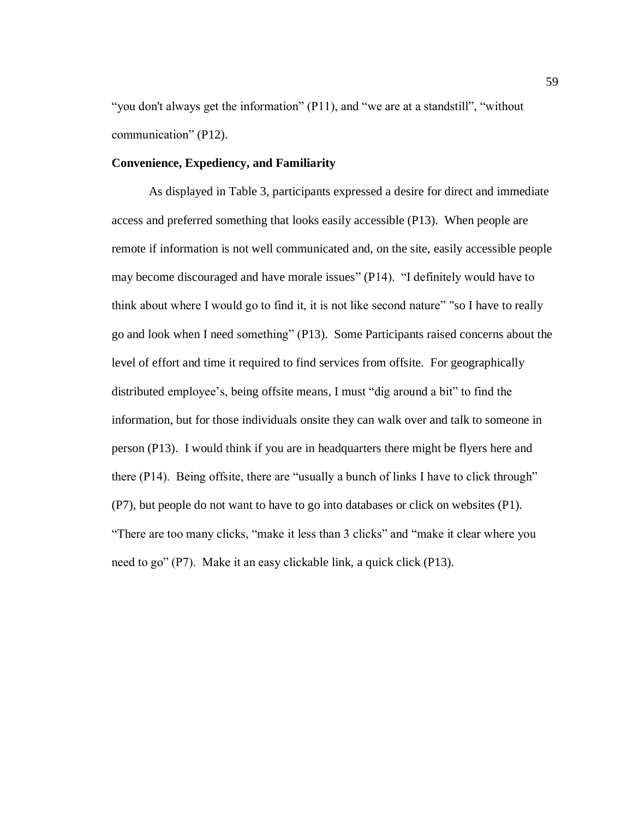"you don't always get the information" (P11), and "we are at a standstill", "without communication" (P12).

## **Convenience, Expediency, and Familiarity**

As displayed in Table 3, participants expressed a desire for direct and immediate access and preferred something that looks easily accessible (P13). When people are remote if information is not well communicated and, on the site, easily accessible people may become discouraged and have morale issues" (P14). "I definitely would have to think about where I would go to find it, it is not like second nature" "so I have to really go and look when I need something" (P13). Some Participants raised concerns about the level of effort and time it required to find services from offsite. For geographically distributed employee's, being offsite means, I must "dig around a bit" to find the information, but for those individuals onsite they can walk over and talk to someone in person (P13). I would think if you are in headquarters there might be flyers here and there (P14). Being offsite, there are "usually a bunch of links I have to click through" (P7), but people do not want to have to go into databases or click on websites (P1). "There are too many clicks, "make it less than 3 clicks" and "make it clear where you need to go" (P7). Make it an easy clickable link, a quick click (P13).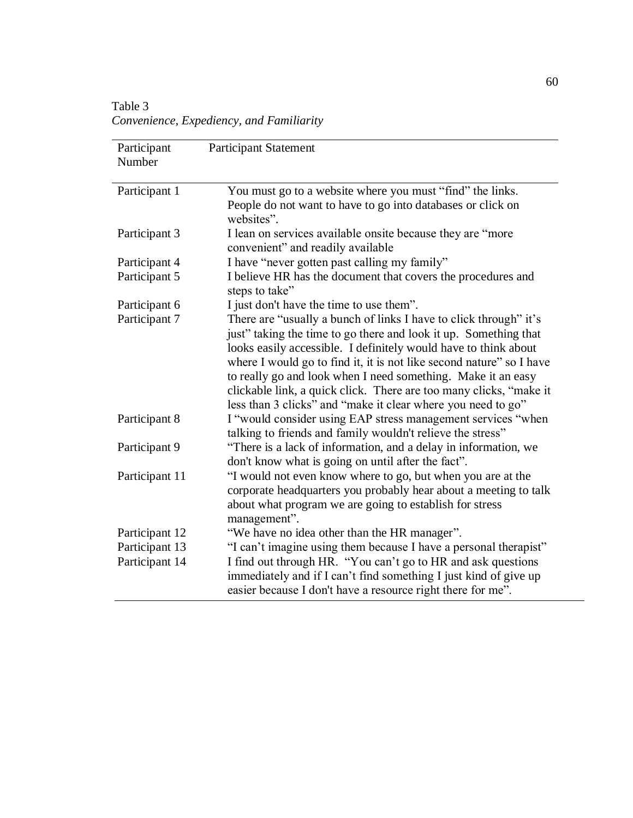Table 3 *Convenience, Expediency, and Familiarity* 

| Participant<br>Number | <b>Participant Statement</b>                                                                                                                                                                                                                                                                                                                                                                                                                                                           |
|-----------------------|----------------------------------------------------------------------------------------------------------------------------------------------------------------------------------------------------------------------------------------------------------------------------------------------------------------------------------------------------------------------------------------------------------------------------------------------------------------------------------------|
| Participant 1         | You must go to a website where you must "find" the links.<br>People do not want to have to go into databases or click on<br>websites".                                                                                                                                                                                                                                                                                                                                                 |
| Participant 3         | I lean on services available onsite because they are "more"<br>convenient" and readily available                                                                                                                                                                                                                                                                                                                                                                                       |
| Participant 4         | I have "never gotten past calling my family"                                                                                                                                                                                                                                                                                                                                                                                                                                           |
| Participant 5         | I believe HR has the document that covers the procedures and<br>steps to take"                                                                                                                                                                                                                                                                                                                                                                                                         |
| Participant 6         | I just don't have the time to use them".                                                                                                                                                                                                                                                                                                                                                                                                                                               |
| Participant 7         | There are "usually a bunch of links I have to click through" it's<br>just" taking the time to go there and look it up. Something that<br>looks easily accessible. I definitely would have to think about<br>where I would go to find it, it is not like second nature" so I have<br>to really go and look when I need something. Make it an easy<br>clickable link, a quick click. There are too many clicks, "make it<br>less than 3 clicks" and "make it clear where you need to go" |
| Participant 8         | I "would consider using EAP stress management services "when<br>talking to friends and family wouldn't relieve the stress"                                                                                                                                                                                                                                                                                                                                                             |
| Participant 9         | "There is a lack of information, and a delay in information, we<br>don't know what is going on until after the fact".                                                                                                                                                                                                                                                                                                                                                                  |
| Participant 11        | "I would not even know where to go, but when you are at the<br>corporate headquarters you probably hear about a meeting to talk<br>about what program we are going to establish for stress<br>management".                                                                                                                                                                                                                                                                             |
| Participant 12        | "We have no idea other than the HR manager".                                                                                                                                                                                                                                                                                                                                                                                                                                           |
| Participant 13        | "I can't imagine using them because I have a personal therapist"                                                                                                                                                                                                                                                                                                                                                                                                                       |
| Participant 14        | I find out through HR. "You can't go to HR and ask questions<br>immediately and if I can't find something I just kind of give up<br>easier because I don't have a resource right there for me".                                                                                                                                                                                                                                                                                        |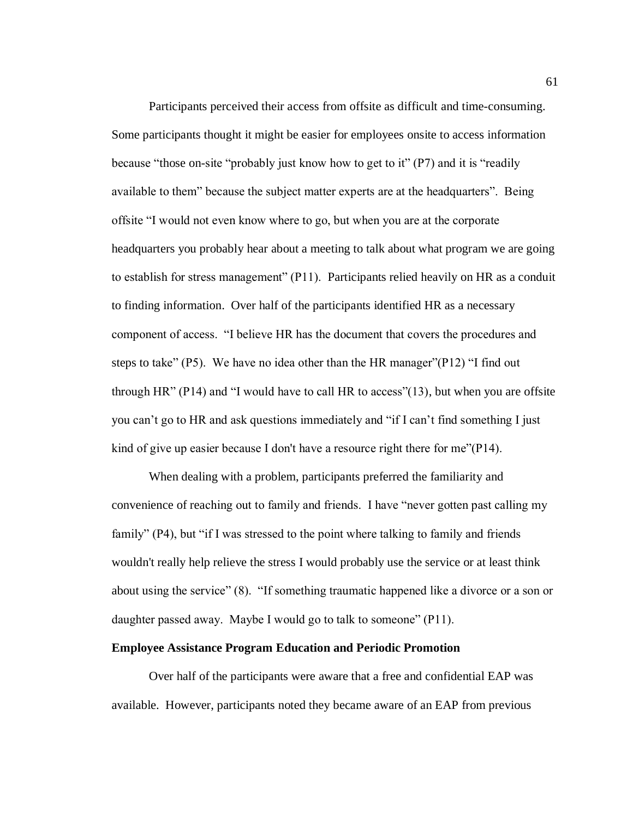Participants perceived their access from offsite as difficult and time-consuming. Some participants thought it might be easier for employees onsite to access information because "those on-site "probably just know how to get to it" (P7) and it is "readily available to them" because the subject matter experts are at the headquarters". Being offsite "I would not even know where to go, but when you are at the corporate headquarters you probably hear about a meeting to talk about what program we are going to establish for stress management" (P11). Participants relied heavily on HR as a conduit to finding information. Over half of the participants identified HR as a necessary component of access. "I believe HR has the document that covers the procedures and steps to take"  $(P5)$ . We have no idea other than the HR manager" $(P12)$ " I find out through HR" (P14) and "I would have to call HR to access"(13), but when you are offsite you can't go to HR and ask questions immediately and "if I can't find something I just kind of give up easier because I don't have a resource right there for me"(P14).

When dealing with a problem, participants preferred the familiarity and convenience of reaching out to family and friends. I have "never gotten past calling my family" (P4), but "if I was stressed to the point where talking to family and friends wouldn't really help relieve the stress I would probably use the service or at least think about using the service" (8). "If something traumatic happened like a divorce or a son or daughter passed away. Maybe I would go to talk to someone" (P11).

### **Employee Assistance Program Education and Periodic Promotion**

Over half of the participants were aware that a free and confidential EAP was available. However, participants noted they became aware of an EAP from previous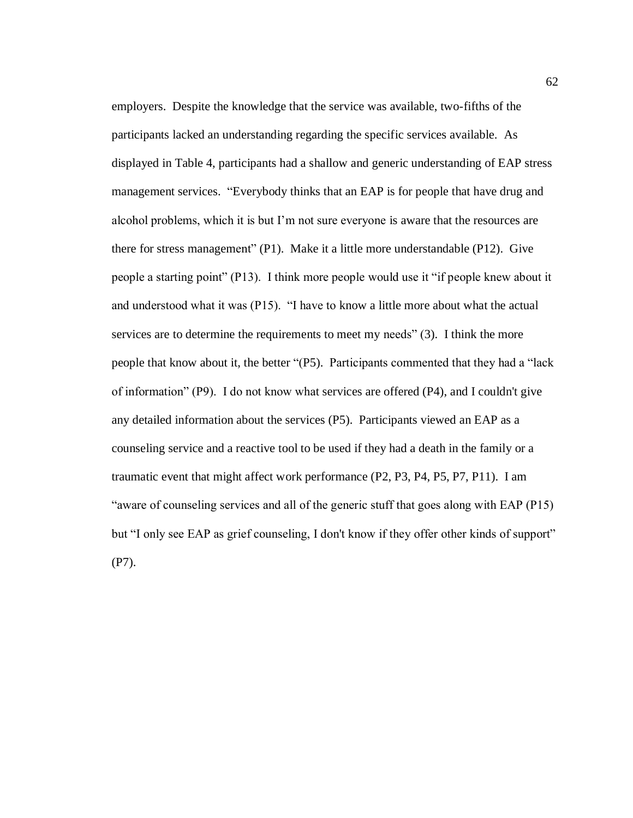employers. Despite the knowledge that the service was available, two-fifths of the participants lacked an understanding regarding the specific services available. As displayed in Table 4, participants had a shallow and generic understanding of EAP stress management services. "Everybody thinks that an EAP is for people that have drug and alcohol problems, which it is but I'm not sure everyone is aware that the resources are there for stress management" (P1). Make it a little more understandable (P12). Give people a starting point" (P13). I think more people would use it "if people knew about it and understood what it was (P15). "I have to know a little more about what the actual services are to determine the requirements to meet my needs" (3). I think the more people that know about it, the better "(P5). Participants commented that they had a "lack of information" (P9). I do not know what services are offered (P4), and I couldn't give any detailed information about the services (P5). Participants viewed an EAP as a counseling service and a reactive tool to be used if they had a death in the family or a traumatic event that might affect work performance (P2, P3, P4, P5, P7, P11). I am "aware of counseling services and all of the generic stuff that goes along with EAP (P15) but "I only see EAP as grief counseling, I don't know if they offer other kinds of support" (P7).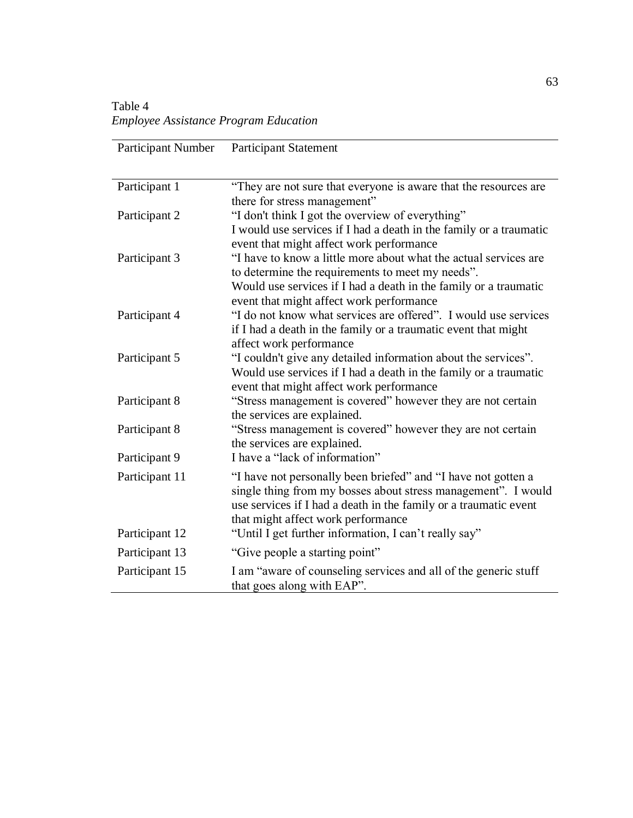Table 4 *Employee Assistance Program Education*

| Participant Number | <b>Participant Statement</b>                                                                            |
|--------------------|---------------------------------------------------------------------------------------------------------|
|                    |                                                                                                         |
| Participant 1      | "They are not sure that everyone is aware that the resources are                                        |
|                    | there for stress management"                                                                            |
| Participant 2      | "I don't think I got the overview of everything"                                                        |
|                    | I would use services if I had a death in the family or a traumatic                                      |
|                    | event that might affect work performance                                                                |
| Participant 3      | "I have to know a little more about what the actual services are                                        |
|                    | to determine the requirements to meet my needs".                                                        |
|                    | Would use services if I had a death in the family or a traumatic                                        |
|                    | event that might affect work performance                                                                |
| Participant 4      | "I do not know what services are offered". I would use services                                         |
|                    | if I had a death in the family or a traumatic event that might                                          |
|                    | affect work performance                                                                                 |
| Participant 5      | "I couldn't give any detailed information about the services".                                          |
|                    | Would use services if I had a death in the family or a traumatic                                        |
| Participant 8      | event that might affect work performance<br>"Stress management is covered" however they are not certain |
|                    | the services are explained.                                                                             |
| Participant 8      | "Stress management is covered" however they are not certain                                             |
|                    | the services are explained.                                                                             |
| Participant 9      | I have a "lack of information"                                                                          |
| Participant 11     | "I have not personally been briefed" and "I have not gotten a                                           |
|                    | single thing from my bosses about stress management". I would                                           |
|                    | use services if I had a death in the family or a traumatic event                                        |
|                    | that might affect work performance                                                                      |
| Participant 12     | "Until I get further information, I can't really say"                                                   |
| Participant 13     | "Give people a starting point"                                                                          |
| Participant 15     | I am "aware of counseling services and all of the generic stuff                                         |
|                    | that goes along with EAP".                                                                              |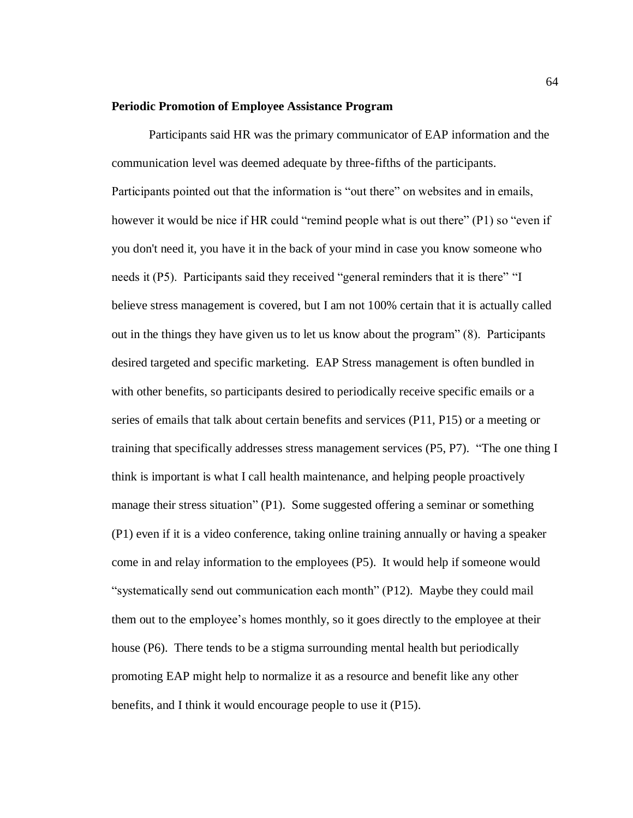#### **Periodic Promotion of Employee Assistance Program**

Participants said HR was the primary communicator of EAP information and the communication level was deemed adequate by three-fifths of the participants. Participants pointed out that the information is "out there" on websites and in emails, however it would be nice if HR could "remind people what is out there" (P1) so "even if you don't need it, you have it in the back of your mind in case you know someone who needs it (P5). Participants said they received "general reminders that it is there" "I believe stress management is covered, but I am not 100% certain that it is actually called out in the things they have given us to let us know about the program" (8). Participants desired targeted and specific marketing. EAP Stress management is often bundled in with other benefits, so participants desired to periodically receive specific emails or a series of emails that talk about certain benefits and services (P11, P15) or a meeting or training that specifically addresses stress management services (P5, P7). "The one thing I think is important is what I call health maintenance, and helping people proactively manage their stress situation" (P1). Some suggested offering a seminar or something (P1) even if it is a video conference, taking online training annually or having a speaker come in and relay information to the employees (P5). It would help if someone would "systematically send out communication each month" (P12). Maybe they could mail them out to the employee's homes monthly, so it goes directly to the employee at their house (P6). There tends to be a stigma surrounding mental health but periodically promoting EAP might help to normalize it as a resource and benefit like any other benefits, and I think it would encourage people to use it (P15).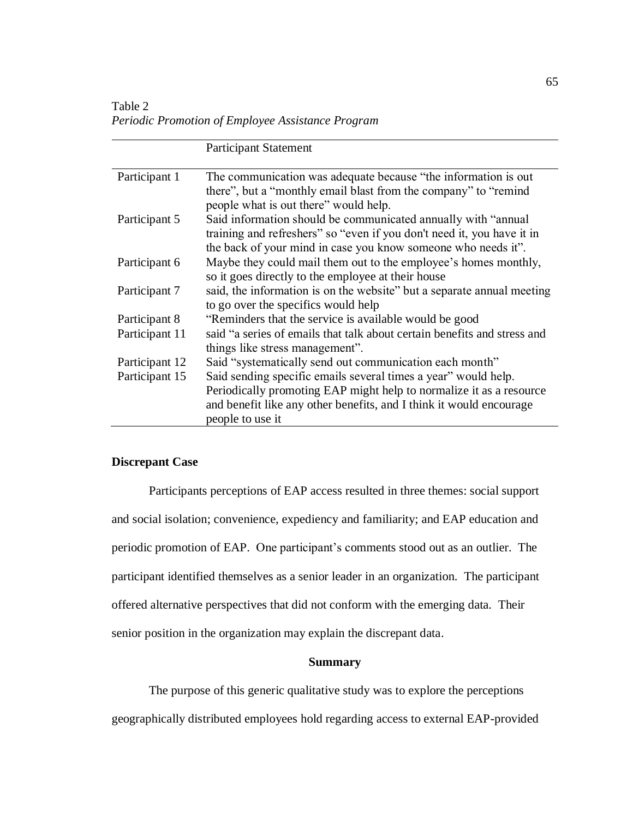Table 2 *Periodic Promotion of Employee Assistance Program*

|                | <b>Participant Statement</b>                                                                                                            |
|----------------|-----------------------------------------------------------------------------------------------------------------------------------------|
| Participant 1  | The communication was adequate because "the information is out                                                                          |
|                | there", but a "monthly email blast from the company" to "remind"                                                                        |
|                | people what is out there" would help.                                                                                                   |
| Participant 5  | Said information should be communicated annually with "annual"                                                                          |
|                | training and refreshers" so "even if you don't need it, you have it in<br>the back of your mind in case you know someone who needs it". |
| Participant 6  | Maybe they could mail them out to the employee's homes monthly,                                                                         |
|                | so it goes directly to the employee at their house                                                                                      |
| Participant 7  | said, the information is on the website" but a separate annual meeting                                                                  |
|                | to go over the specifics would help                                                                                                     |
| Participant 8  | "Reminders that the service is available would be good                                                                                  |
| Participant 11 | said "a series of emails that talk about certain benefits and stress and                                                                |
|                | things like stress management".                                                                                                         |
| Participant 12 | Said "systematically send out communication each month"                                                                                 |
| Participant 15 | Said sending specific emails several times a year" would help.                                                                          |
|                | Periodically promoting EAP might help to normalize it as a resource                                                                     |
|                | and benefit like any other benefits, and I think it would encourage                                                                     |
|                | people to use it                                                                                                                        |

# **Discrepant Case**

Participants perceptions of EAP access resulted in three themes: social support and social isolation; convenience, expediency and familiarity; and EAP education and periodic promotion of EAP. One participant's comments stood out as an outlier. The participant identified themselves as a senior leader in an organization. The participant offered alternative perspectives that did not conform with the emerging data. Their senior position in the organization may explain the discrepant data.

### **Summary**

The purpose of this generic qualitative study was to explore the perceptions geographically distributed employees hold regarding access to external EAP-provided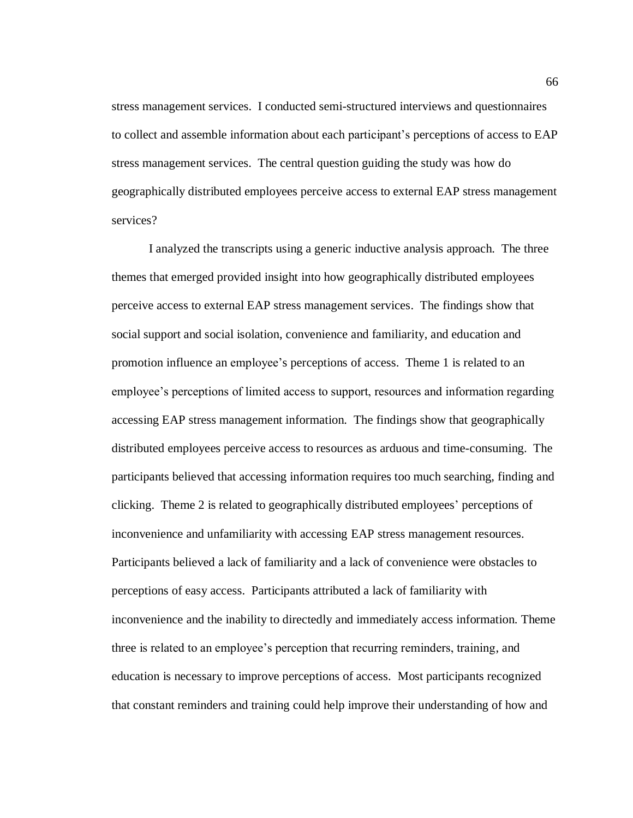stress management services. I conducted semi-structured interviews and questionnaires to collect and assemble information about each participant's perceptions of access to EAP stress management services. The central question guiding the study was how do geographically distributed employees perceive access to external EAP stress management services?

I analyzed the transcripts using a generic inductive analysis approach. The three themes that emerged provided insight into how geographically distributed employees perceive access to external EAP stress management services. The findings show that social support and social isolation, convenience and familiarity, and education and promotion influence an employee's perceptions of access. Theme 1 is related to an employee's perceptions of limited access to support, resources and information regarding accessing EAP stress management information. The findings show that geographically distributed employees perceive access to resources as arduous and time-consuming. The participants believed that accessing information requires too much searching, finding and clicking. Theme 2 is related to geographically distributed employees' perceptions of inconvenience and unfamiliarity with accessing EAP stress management resources. Participants believed a lack of familiarity and a lack of convenience were obstacles to perceptions of easy access. Participants attributed a lack of familiarity with inconvenience and the inability to directedly and immediately access information. Theme three is related to an employee's perception that recurring reminders, training, and education is necessary to improve perceptions of access. Most participants recognized that constant reminders and training could help improve their understanding of how and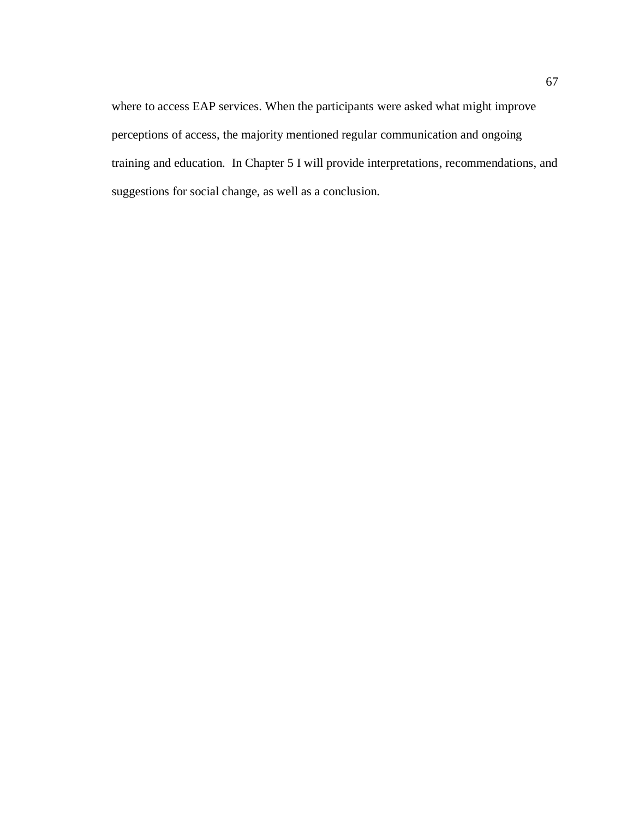where to access EAP services. When the participants were asked what might improve perceptions of access, the majority mentioned regular communication and ongoing training and education. In Chapter 5 I will provide interpretations, recommendations, and suggestions for social change, as well as a conclusion.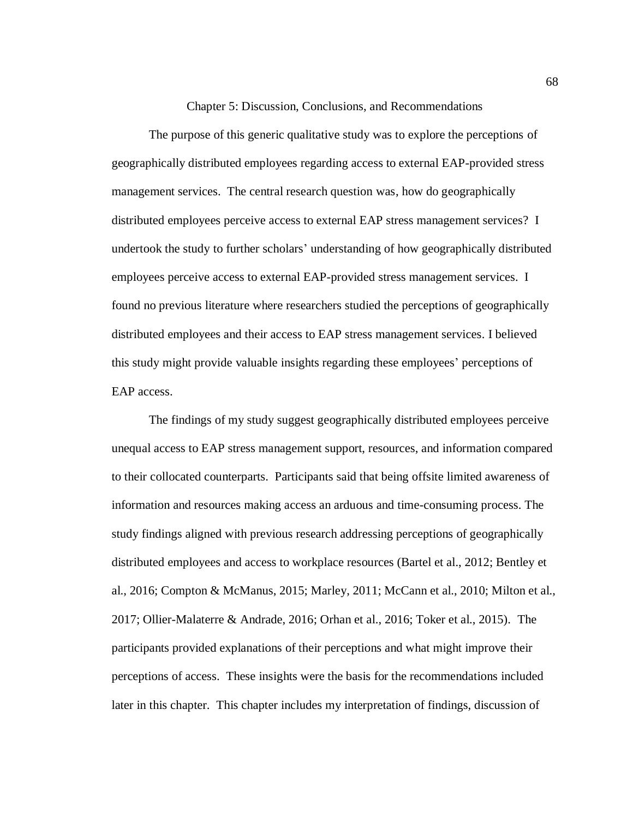Chapter 5: Discussion, Conclusions, and Recommendations

The purpose of this generic qualitative study was to explore the perceptions of geographically distributed employees regarding access to external EAP-provided stress management services. The central research question was, how do geographically distributed employees perceive access to external EAP stress management services? I undertook the study to further scholars' understanding of how geographically distributed employees perceive access to external EAP-provided stress management services. I found no previous literature where researchers studied the perceptions of geographically distributed employees and their access to EAP stress management services. I believed this study might provide valuable insights regarding these employees' perceptions of EAP access.

The findings of my study suggest geographically distributed employees perceive unequal access to EAP stress management support, resources, and information compared to their collocated counterparts. Participants said that being offsite limited awareness of information and resources making access an arduous and time-consuming process. The study findings aligned with previous research addressing perceptions of geographically distributed employees and access to workplace resources (Bartel et al., 2012; Bentley et al., 2016; Compton & McManus, 2015; Marley, 2011; McCann et al., 2010; Milton et al., 2017; Ollier-Malaterre & Andrade, 2016; Orhan et al., 2016; Toker et al., 2015). The participants provided explanations of their perceptions and what might improve their perceptions of access. These insights were the basis for the recommendations included later in this chapter. This chapter includes my interpretation of findings, discussion of

68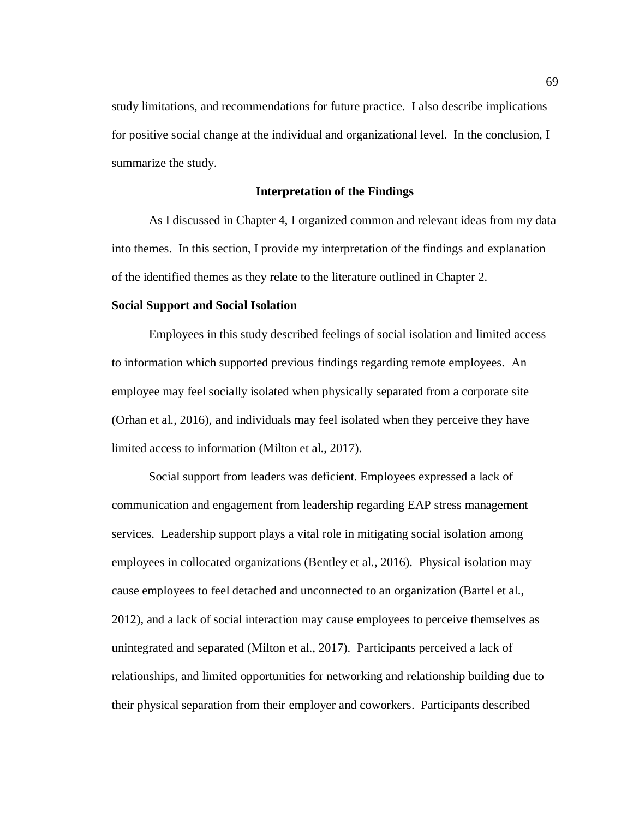study limitations, and recommendations for future practice. I also describe implications for positive social change at the individual and organizational level. In the conclusion, I summarize the study.

## **Interpretation of the Findings**

As I discussed in Chapter 4, I organized common and relevant ideas from my data into themes. In this section, I provide my interpretation of the findings and explanation of the identified themes as they relate to the literature outlined in Chapter 2.

## **Social Support and Social Isolation**

Employees in this study described feelings of social isolation and limited access to information which supported previous findings regarding remote employees. An employee may feel socially isolated when physically separated from a corporate site (Orhan et al., 2016), and individuals may feel isolated when they perceive they have limited access to information (Milton et al., 2017).

Social support from leaders was deficient. Employees expressed a lack of communication and engagement from leadership regarding EAP stress management services. Leadership support plays a vital role in mitigating social isolation among employees in collocated organizations (Bentley et al., 2016). Physical isolation may cause employees to feel detached and unconnected to an organization (Bartel et al., 2012), and a lack of social interaction may cause employees to perceive themselves as unintegrated and separated (Milton et al., 2017).Participants perceived a lack of relationships, and limited opportunities for networking and relationship building due to their physical separation from their employer and coworkers. Participants described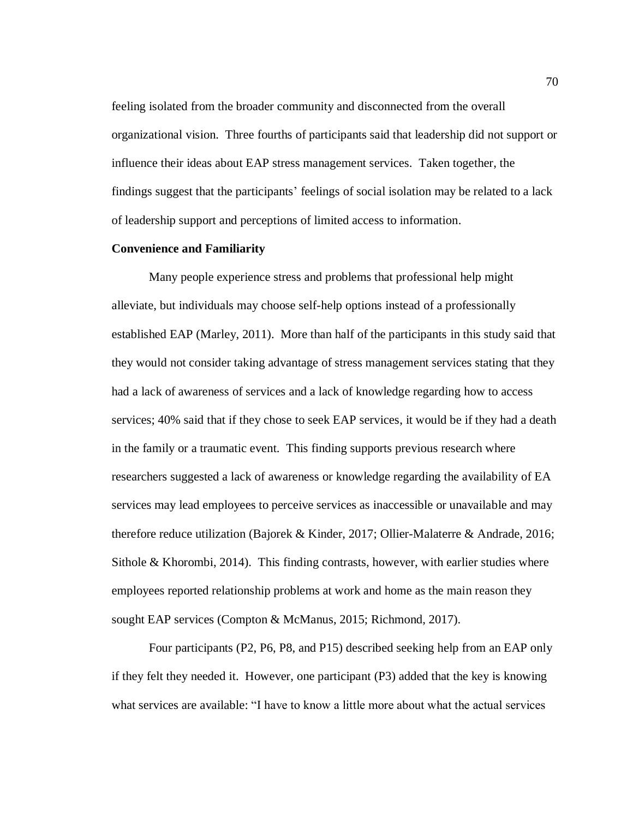feeling isolated from the broader community and disconnected from the overall organizational vision. Three fourths of participants said that leadership did not support or influence their ideas about EAP stress management services. Taken together, the findings suggest that the participants' feelings of social isolation may be related to a lack of leadership support and perceptions of limited access to information.

#### **Convenience and Familiarity**

Many people experience stress and problems that professional help might alleviate, but individuals may choose self-help options instead of a professionally established EAP (Marley, 2011). More than half of the participants in this study said that they would not consider taking advantage of stress management services stating that they had a lack of awareness of services and a lack of knowledge regarding how to access services; 40% said that if they chose to seek EAP services, it would be if they had a death in the family or a traumatic event. This finding supports previous research where researchers suggested a lack of awareness or knowledge regarding the availability of EA services may lead employees to perceive services as inaccessible or unavailable and may therefore reduce utilization (Bajorek & Kinder, 2017; Ollier-Malaterre & Andrade, 2016; Sithole & Khorombi, 2014). This finding contrasts, however, with earlier studies where employees reported relationship problems at work and home as the main reason they sought EAP services (Compton & McManus, 2015; Richmond, 2017).

Four participants (P2, P6, P8, and P15) described seeking help from an EAP only if they felt they needed it. However, one participant (P3) added that the key is knowing what services are available: "I have to know a little more about what the actual services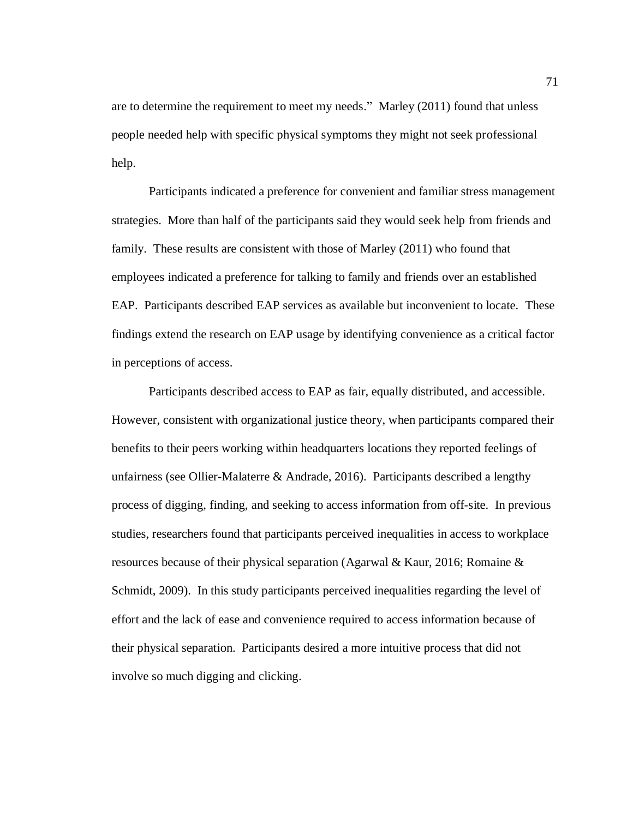are to determine the requirement to meet my needs." Marley (2011) found that unless people needed help with specific physical symptoms they might not seek professional help.

Participants indicated a preference for convenient and familiar stress management strategies. More than half of the participants said they would seek help from friends and family. These results are consistent with those of Marley (2011) who found that employees indicated a preference for talking to family and friends over an established EAP. Participants described EAP services as available but inconvenient to locate. These findings extend the research on EAP usage by identifying convenience as a critical factor in perceptions of access.

Participants described access to EAP as fair, equally distributed, and accessible. However, consistent with organizational justice theory, when participants compared their benefits to their peers working within headquarters locations they reported feelings of unfairness (see Ollier-Malaterre & Andrade, 2016). Participants described a lengthy process of digging, finding, and seeking to access information from off-site. In previous studies, researchers found that participants perceived inequalities in access to workplace resources because of their physical separation (Agarwal & Kaur, 2016; Romaine & Schmidt, 2009). In this study participants perceived inequalities regarding the level of effort and the lack of ease and convenience required to access information because of their physical separation. Participants desired a more intuitive process that did not involve so much digging and clicking.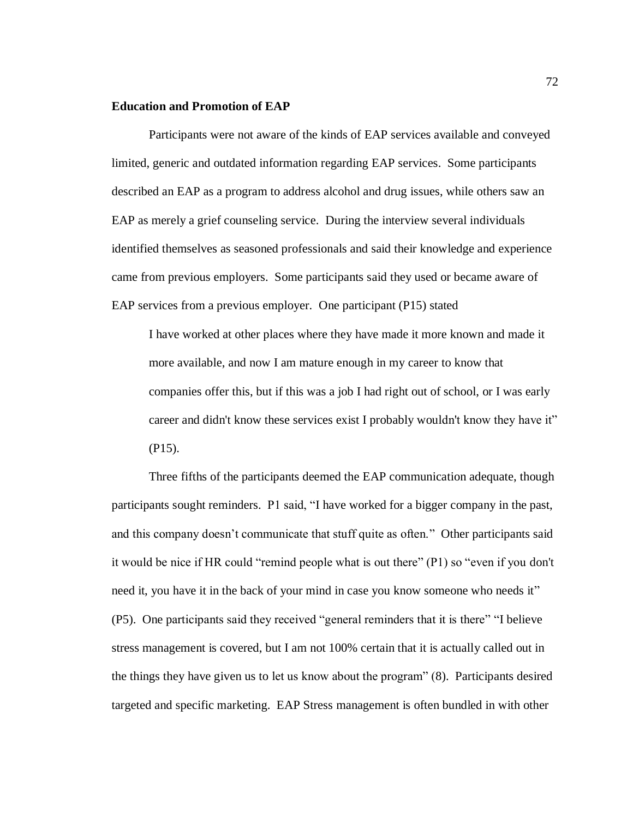#### **Education and Promotion of EAP**

Participants were not aware of the kinds of EAP services available and conveyed limited, generic and outdated information regarding EAP services. Some participants described an EAP as a program to address alcohol and drug issues, while others saw an EAP as merely a grief counseling service. During the interview several individuals identified themselves as seasoned professionals and said their knowledge and experience came from previous employers. Some participants said they used or became aware of EAP services from a previous employer. One participant (P15) stated

I have worked at other places where they have made it more known and made it more available, and now I am mature enough in my career to know that companies offer this, but if this was a job I had right out of school, or I was early career and didn't know these services exist I probably wouldn't know they have it" (P15).

Three fifths of the participants deemed the EAP communication adequate, though participants sought reminders. P1 said, "I have worked for a bigger company in the past, and this company doesn't communicate that stuff quite as often." Other participants said it would be nice if HR could "remind people what is out there" (P1) so "even if you don't need it, you have it in the back of your mind in case you know someone who needs it" (P5). One participants said they received "general reminders that it is there" "I believe stress management is covered, but I am not 100% certain that it is actually called out in the things they have given us to let us know about the program" (8). Participants desired targeted and specific marketing. EAP Stress management is often bundled in with other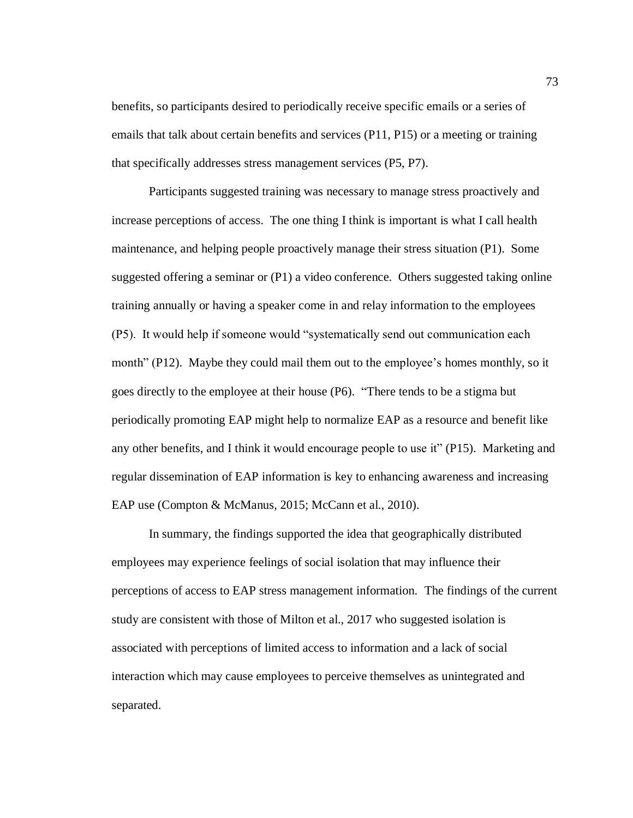benefits, so participants desired to periodically receive specific emails or a series of emails that talk about certain benefits and services (P11, P15) or a meeting or training that specifically addresses stress management services (P5, P7).

Participants suggested training was necessary to manage stress proactively and increase perceptions of access. The one thing I think is important is what I call health maintenance, and helping people proactively manage their stress situation (P1). Some suggested offering a seminar or (P1) a video conference. Others suggested taking online training annually or having a speaker come in and relay information to the employees (P5). It would help if someone would "systematically send out communication each month" (P12). Maybe they could mail them out to the employee's homes monthly, so it goes directly to the employee at their house (P6). "There tends to be a stigma but periodically promoting EAP might help to normalize EAP as a resource and benefit like any other benefits, and I think it would encourage people to use it" (P15). Marketing and regular dissemination of EAP information is key to enhancing awareness and increasing EAP use (Compton & McManus, 2015; McCann et al., 2010).

In summary, the findings supported the idea that geographically distributed employees may experience feelings of social isolation that may influence their perceptions of access to EAP stress management information. The findings of the current study are consistent with those of Milton et al., 2017 who suggested isolation is associated with perceptions of limited access to information and a lack of social interaction which may cause employees to perceive themselves as unintegrated and separated.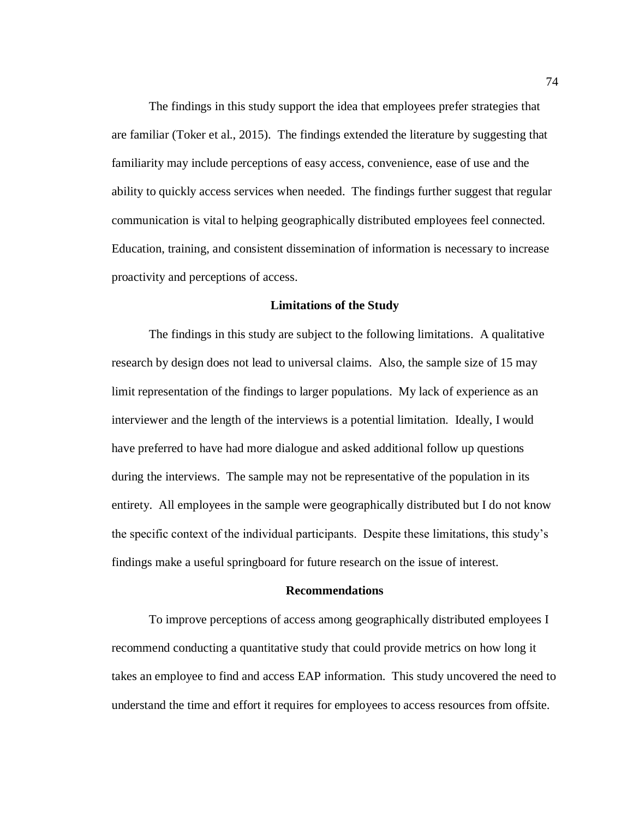The findings in this study support the idea that employees prefer strategies that are familiar (Toker et al., 2015). The findings extended the literature by suggesting that familiarity may include perceptions of easy access, convenience, ease of use and the ability to quickly access services when needed. The findings further suggest that regular communication is vital to helping geographically distributed employees feel connected. Education, training, and consistent dissemination of information is necessary to increase proactivity and perceptions of access.

### **Limitations of the Study**

The findings in this study are subject to the following limitations. A qualitative research by design does not lead to universal claims. Also, the sample size of 15 may limit representation of the findings to larger populations. My lack of experience as an interviewer and the length of the interviews is a potential limitation. Ideally, I would have preferred to have had more dialogue and asked additional follow up questions during the interviews. The sample may not be representative of the population in its entirety. All employees in the sample were geographically distributed but I do not know the specific context of the individual participants. Despite these limitations, this study's findings make a useful springboard for future research on the issue of interest.

#### **Recommendations**

To improve perceptions of access among geographically distributed employees I recommend conducting a quantitative study that could provide metrics on how long it takes an employee to find and access EAP information. This study uncovered the need to understand the time and effort it requires for employees to access resources from offsite.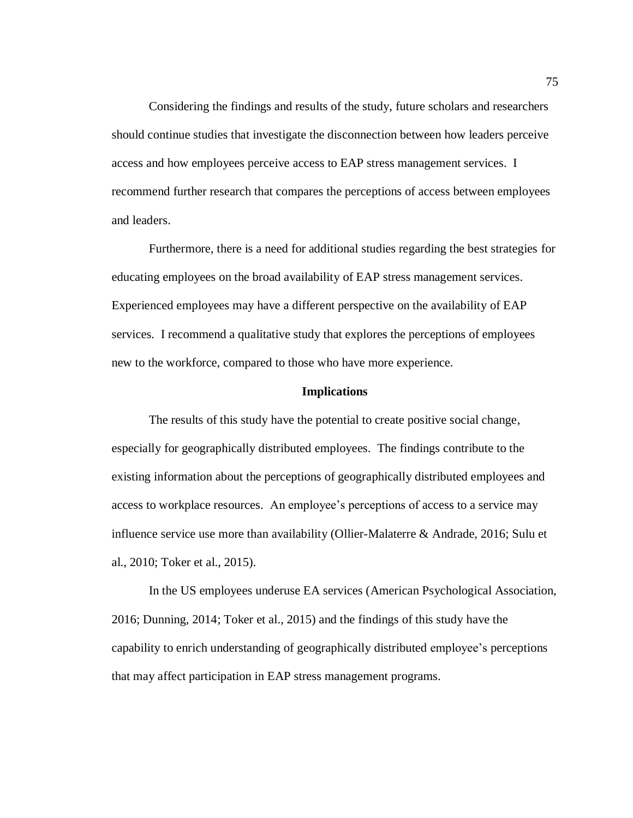Considering the findings and results of the study, future scholars and researchers should continue studies that investigate the disconnection between how leaders perceive access and how employees perceive access to EAP stress management services. I recommend further research that compares the perceptions of access between employees and leaders.

Furthermore, there is a need for additional studies regarding the best strategies for educating employees on the broad availability of EAP stress management services. Experienced employees may have a different perspective on the availability of EAP services. I recommend a qualitative study that explores the perceptions of employees new to the workforce, compared to those who have more experience.

### **Implications**

The results of this study have the potential to create positive social change, especially for geographically distributed employees. The findings contribute to the existing information about the perceptions of geographically distributed employees and access to workplace resources. An employee's perceptions of access to a service may influence service use more than availability (Ollier-Malaterre & Andrade, 2016; Sulu et al., 2010; Toker et al., 2015).

In the US employees underuse EA services (American Psychological Association, 2016; Dunning, 2014; Toker et al., 2015) and the findings of this study have the capability to enrich understanding of geographically distributed employee's perceptions that may affect participation in EAP stress management programs.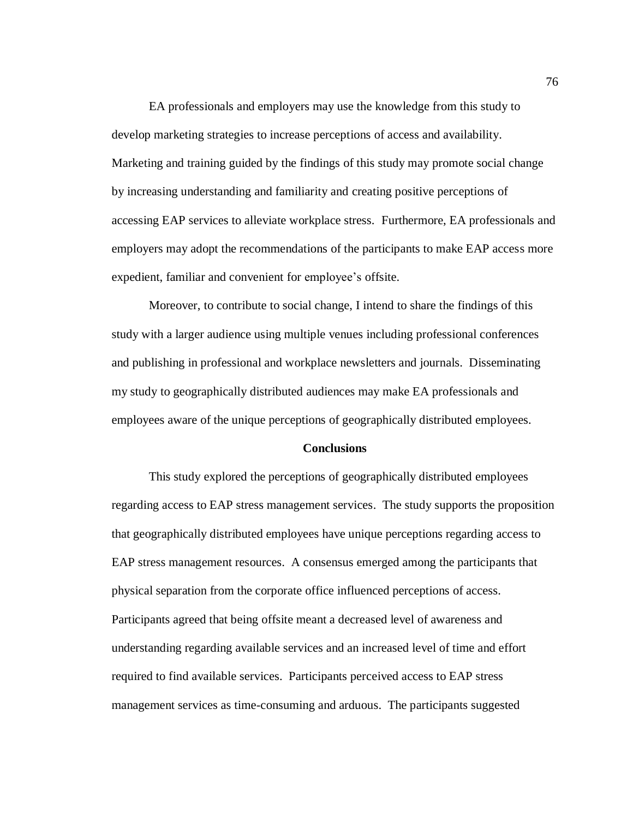EA professionals and employers may use the knowledge from this study to develop marketing strategies to increase perceptions of access and availability. Marketing and training guided by the findings of this study may promote social change by increasing understanding and familiarity and creating positive perceptions of accessing EAP services to alleviate workplace stress. Furthermore, EA professionals and employers may adopt the recommendations of the participants to make EAP access more expedient, familiar and convenient for employee's offsite.

Moreover, to contribute to social change, I intend to share the findings of this study with a larger audience using multiple venues including professional conferences and publishing in professional and workplace newsletters and journals. Disseminating my study to geographically distributed audiences may make EA professionals and employees aware of the unique perceptions of geographically distributed employees.

# **Conclusions**

This study explored the perceptions of geographically distributed employees regarding access to EAP stress management services. The study supports the proposition that geographically distributed employees have unique perceptions regarding access to EAP stress management resources. A consensus emerged among the participants that physical separation from the corporate office influenced perceptions of access. Participants agreed that being offsite meant a decreased level of awareness and understanding regarding available services and an increased level of time and effort required to find available services. Participants perceived access to EAP stress management services as time-consuming and arduous. The participants suggested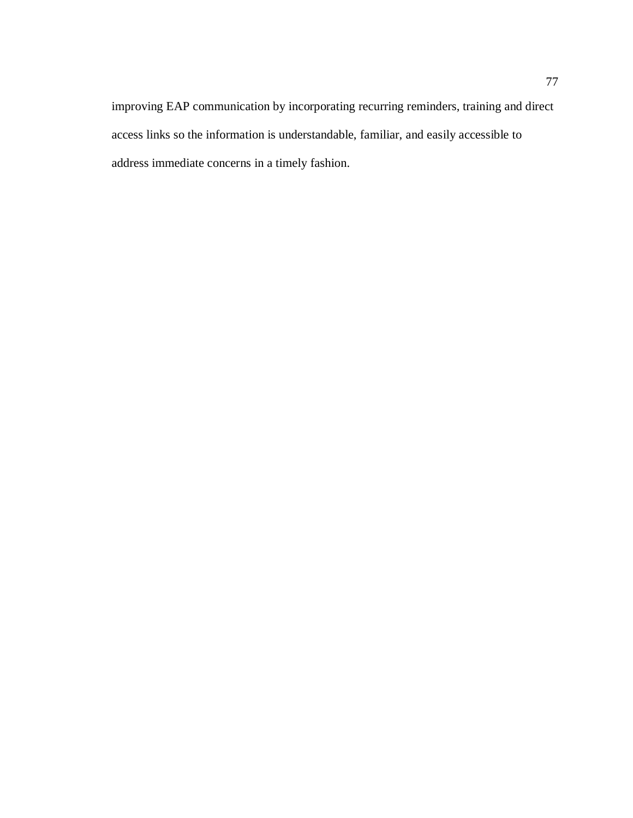improving EAP communication by incorporating recurring reminders, training and direct access links so the information is understandable, familiar, and easily accessible to address immediate concerns in a timely fashion.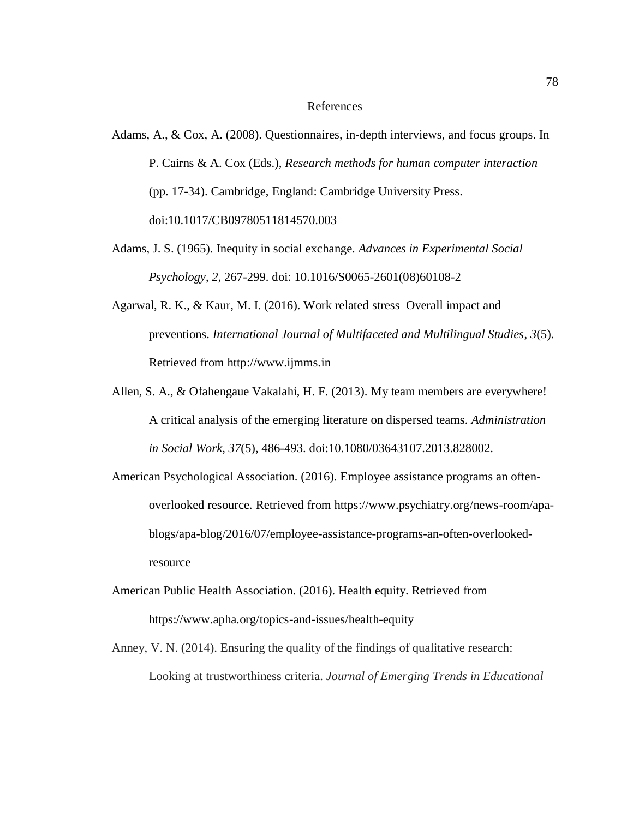#### References

- Adams, A., & Cox, A. (2008). Questionnaires, in-depth interviews, and focus groups. In P. Cairns & A. Cox (Eds.), *Research methods for human computer interaction* (pp. 17-34). Cambridge, England: Cambridge University Press. doi:10.1017/CB09780511814570.003
- Adams, J. S. (1965). Inequity in social exchange. *Advances in Experimental Social Psychology*, *2*, 267-299. doi: 10.1016/S0065-2601(08)60108-2
- Agarwal, R. K., & Kaur, M. I. (2016). Work related stress–Overall impact and preventions. *International Journal of Multifaceted and Multilingual Studies*, *3*(5). Retrieved from http://www.ijmms.in
- Allen, S. A., & Ofahengaue Vakalahi, H. F. (2013). My team members are everywhere! A critical analysis of the emerging literature on dispersed teams. *Administration in Social Work, 37*(5), 486-493. doi:10.1080/03643107.2013.828002.
- American Psychological Association. (2016). Employee assistance programs an oftenoverlooked resource. Retrieved from https://www.psychiatry.org/news-room/apablogs/apa-blog/2016/07/employee-assistance-programs-an-often-overlookedresource
- American Public Health Association. (2016). Health equity. Retrieved from https://www.apha.org/topics-and-issues/health-equity
- Anney, V. N. (2014). Ensuring the quality of the findings of qualitative research: Looking at trustworthiness criteria. *Journal of Emerging Trends in Educational*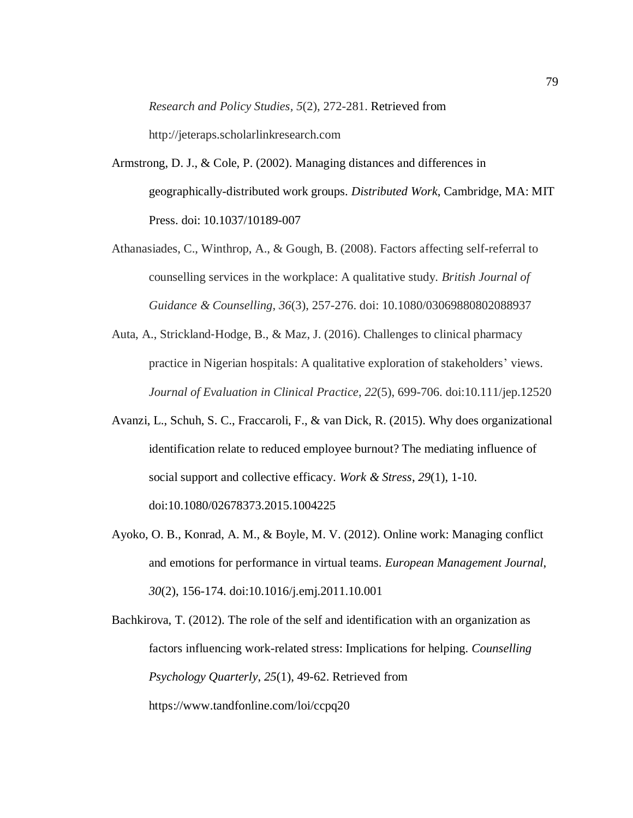*Research and Policy Studies, 5*(2), 272-281. Retrieved from

http://jeteraps.scholarlinkresearch.com

- Armstrong, D. J., & Cole, P. (2002). Managing distances and differences in geographically-distributed work groups. *Distributed Work*, Cambridge, MA: MIT Press. doi: 10.1037/10189-007
- Athanasiades, C., Winthrop, A., & Gough, B. (2008). Factors affecting self-referral to counselling services in the workplace: A qualitative study. *British Journal of Guidance & Counselling*, *36*(3), 257-276. doi: 10.1080/03069880802088937
- Auta, A., Strickland‐Hodge, B., & Maz, J. (2016). Challenges to clinical pharmacy practice in Nigerian hospitals: A qualitative exploration of stakeholders' views. *Journal of Evaluation in Clinical Practice*, *22*(5), 699-706. doi:10.111/jep.12520
- Avanzi, L., Schuh, S. C., Fraccaroli, F., & van Dick, R. (2015). Why does organizational identification relate to reduced employee burnout? The mediating influence of social support and collective efficacy. *Work & Stress*, *29*(1), 1-10. doi:10.1080/02678373.2015.1004225
- Ayoko, O. B., Konrad, A. M., & Boyle, M. V. (2012). Online work: Managing conflict and emotions for performance in virtual teams. *European Management Journal*, *30*(2), 156-174. doi:10.1016/j.emj.2011.10.001

Bachkirova, T. (2012). The role of the self and identification with an organization as factors influencing work-related stress: Implications for helping. *Counselling Psychology Quarterly*, *25*(1), 49-62. Retrieved from https://www.tandfonline.com/loi/ccpq20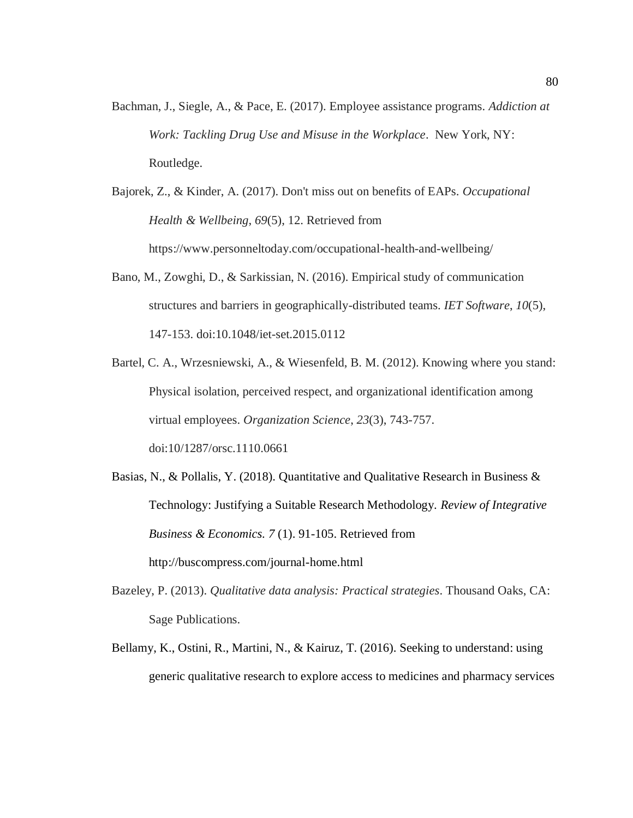- Bachman, J., Siegle, A., & Pace, E. (2017). Employee assistance programs. *Addiction at Work: Tackling Drug Use and Misuse in the Workplace*. New York, NY: Routledge.
- Bajorek, Z., & Kinder, A. (2017). Don't miss out on benefits of EAPs. *Occupational Health & Wellbeing*, *69*(5), 12. Retrieved from https://www.personneltoday.com/occupational-health-and-wellbeing/
- Bano, M., Zowghi, D., & Sarkissian, N. (2016). Empirical study of communication structures and barriers in geographically-distributed teams. *IET Software*, *10*(5), 147-153. doi:10.1048/iet-set.2015.0112
- Bartel, C. A., Wrzesniewski, A., & Wiesenfeld, B. M. (2012). Knowing where you stand: Physical isolation, perceived respect, and organizational identification among virtual employees. *Organization Science*, *23*(3), 743-757. doi:10/1287/orsc.1110.0661
- Basias, N., & Pollalis, Y. (2018). Quantitative and Qualitative Research in Business & Technology: Justifying a Suitable Research Methodology. *Review of Integrative Business & Economics. 7* (1). 91-105. Retrieved from http://buscompress.com/journal-home.html
- Bazeley, P. (2013). *Qualitative data analysis: Practical strategies*. Thousand Oaks, CA: Sage Publications.
- Bellamy, K., Ostini, R., Martini, N., & Kairuz, T. (2016). Seeking to understand: using generic qualitative research to explore access to medicines and pharmacy services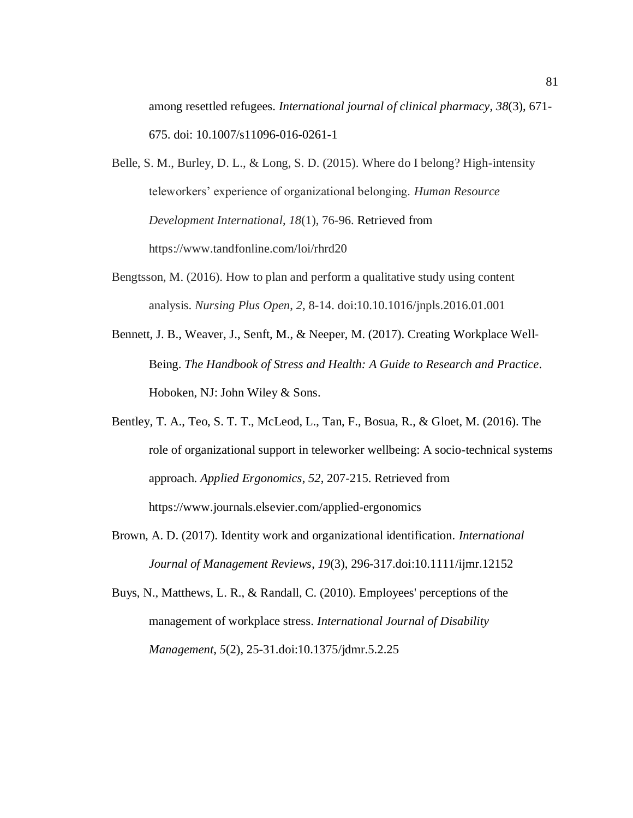among resettled refugees. *International journal of clinical pharmacy*, *38*(3), 671- 675. doi: 10.1007/s11096-016-0261-1

Belle, S. M., Burley, D. L., & Long, S. D. (2015). Where do I belong? High-intensity teleworkers' experience of organizational belonging. *Human Resource Development International*, *18*(1), 76-96. Retrieved from https://www.tandfonline.com/loi/rhrd20

- Bengtsson, M. (2016). How to plan and perform a qualitative study using content analysis. *Nursing Plus Open*, *2*, 8-14. doi:10.10.1016/jnpls.2016.01.001
- Bennett, J. B., Weaver, J., Senft, M., & Neeper, M. (2017). Creating Workplace Well-Being. *The Handbook of Stress and Health: A Guide to Research and Practice.*  Hoboken, NJ: John Wiley & Sons.
- Bentley, T. A., Teo, S. T. T., McLeod, L., Tan, F., Bosua, R., & Gloet, M. (2016). The role of organizational support in teleworker wellbeing: A socio-technical systems approach. *Applied Ergonomics*, *52*, 207-215. Retrieved from https://www.journals.elsevier.com/applied-ergonomics
- Brown, A. D. (2017). Identity work and organizational identification. *International Journal of Management Reviews*, *19*(3), 296-317.doi:10.1111/ijmr.12152
- Buys, N., Matthews, L. R., & Randall, C. (2010). Employees' perceptions of the management of workplace stress. *International Journal of Disability Management*, *5*(2), 25-31.doi:10.1375/jdmr.5.2.25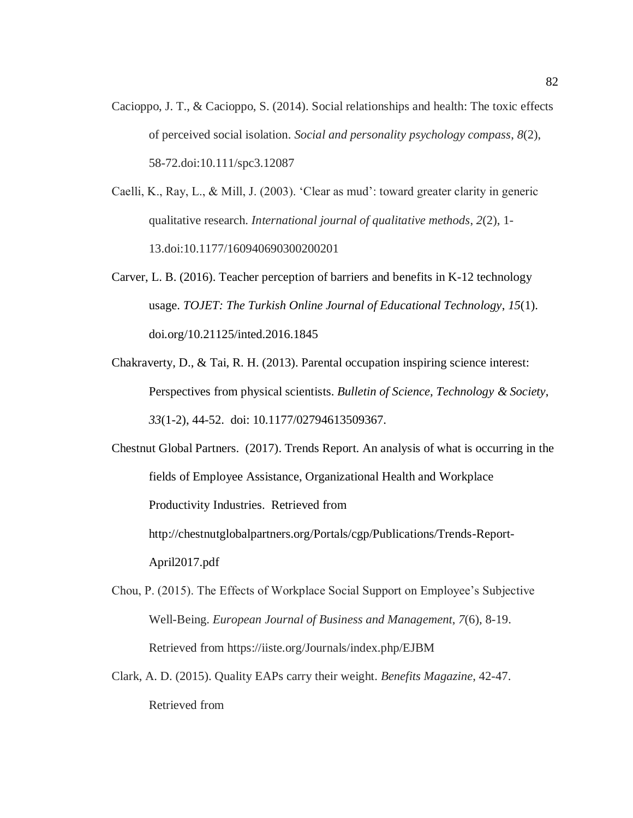- Cacioppo, J. T., & Cacioppo, S. (2014). Social relationships and health: The toxic effects of perceived social isolation. *Social and personality psychology compass*, *8*(2), 58-72.doi:10.111/spc3.12087
- Caelli, K., Ray, L., & Mill, J. (2003). 'Clear as mud': toward greater clarity in generic qualitative research. *International journal of qualitative methods*, *2*(2), 1- 13.doi:10.1177/160940690300200201
- Carver, L. B. (2016). Teacher perception of barriers and benefits in K-12 technology usage. *TOJET: The Turkish Online Journal of Educational Technology*, *15*(1). doi.org/10.21125/inted.2016.1845
- Chakraverty, D., & Tai, R. H. (2013). Parental occupation inspiring science interest: Perspectives from physical scientists. *Bulletin of Science, Technology & Society*, *33*(1-2), 44-52. doi: 10.1177/02794613509367.

Chestnut Global Partners. (2017). Trends Report. An analysis of what is occurring in the fields of Employee Assistance, Organizational Health and Workplace Productivity Industries. Retrieved from http://chestnutglobalpartners.org/Portals/cgp/Publications/Trends-Report-April2017.pdf

- Chou, P. (2015). The Effects of Workplace Social Support on Employee's Subjective Well-Being. *European Journal of Business and Management*, *7*(6), 8-19. Retrieved from https://iiste.org/Journals/index.php/EJBM
- Clark, A. D. (2015). Quality EAPs carry their weight. *Benefits Magazine*, 42-47. Retrieved from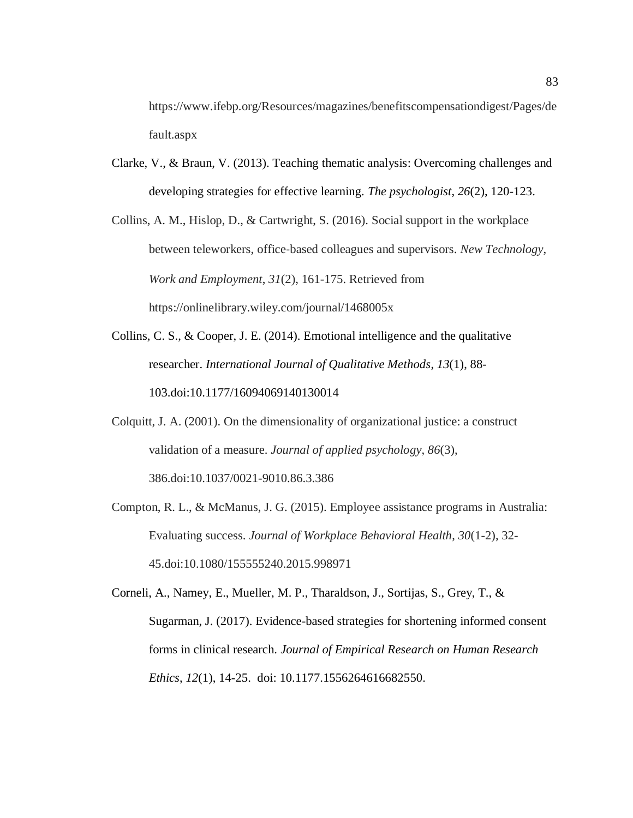https://www.ifebp.org/Resources/magazines/benefitscompensationdigest/Pages/de fault.aspx

Clarke, V., & Braun, V. (2013). Teaching thematic analysis: Overcoming challenges and developing strategies for effective learning. *The psychologist*, *26*(2), 120-123.

Collins, A. M., Hislop, D., & Cartwright, S. (2016). Social support in the workplace between teleworkers, office‐based colleagues and supervisors. *New Technology, Work and Employment*, *31*(2), 161-175. Retrieved from https://onlinelibrary.wiley.com/journal/1468005x

- Collins, C. S., & Cooper, J. E. (2014). Emotional intelligence and the qualitative researcher. *International Journal of Qualitative Methods*, *13*(1), 88- 103.doi:10.1177/16094069140130014
- Colquitt, J. A. (2001). On the dimensionality of organizational justice: a construct validation of a measure. *Journal of applied psychology*, *86*(3), 386.doi:10.1037/0021-9010.86.3.386
- Compton, R. L., & McManus, J. G. (2015). Employee assistance programs in Australia: Evaluating success. *Journal of Workplace Behavioral Health*, *30*(1-2), 32- 45.doi:10.1080/155555240.2015.998971

Corneli, A., Namey, E., Mueller, M. P., Tharaldson, J., Sortijas, S., Grey, T., & Sugarman, J. (2017). Evidence-based strategies for shortening informed consent forms in clinical research. *Journal of Empirical Research on Human Research Ethics*, *12*(1), 14-25. doi: 10.1177.1556264616682550.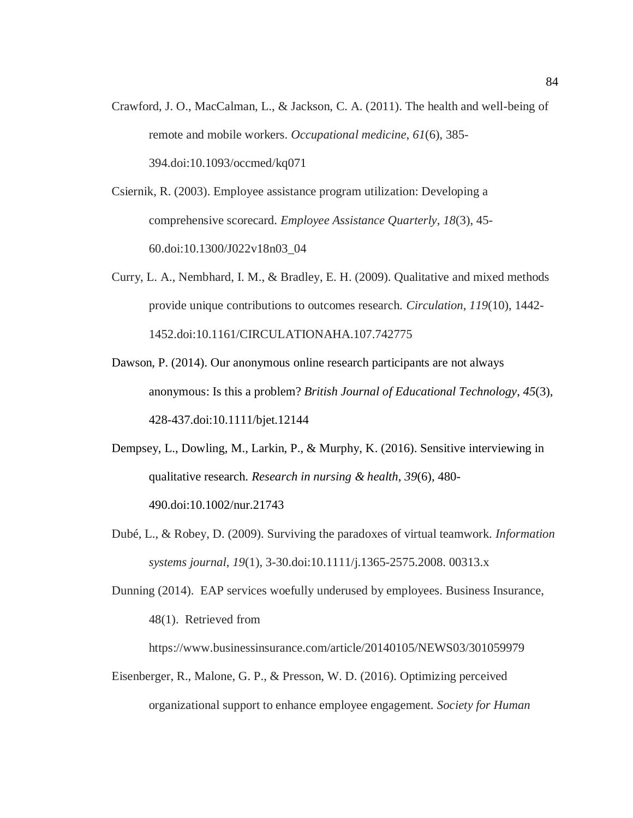- Crawford, J. O., MacCalman, L., & Jackson, C. A. (2011). The health and well-being of remote and mobile workers. *Occupational medicine*, *61*(6), 385- 394.doi:10.1093/occmed/kq071
- Csiernik, R. (2003). Employee assistance program utilization: Developing a comprehensive scorecard. *Employee Assistance Quarterly*, *18*(3), 45- 60.doi:10.1300/J022v18n03\_04
- Curry, L. A., Nembhard, I. M., & Bradley, E. H. (2009). Qualitative and mixed methods provide unique contributions to outcomes research. *Circulation*, *119*(10), 1442- 1452.doi:10.1161/CIRCULATIONAHA.107.742775
- Dawson, P. (2014). Our anonymous online research participants are not always anonymous: Is this a problem? *British Journal of Educational Technology*, *45*(3), 428-437.doi:10.1111/bjet.12144
- Dempsey, L., Dowling, M., Larkin, P., & Murphy, K. (2016). Sensitive interviewing in qualitative research. *Research in nursing & health*, *39*(6), 480- 490.doi:10.1002/nur.21743
- Dubé, L., & Robey, D. (2009). Surviving the paradoxes of virtual teamwork. *Information systems journal*, *19*(1), 3-30.doi:10.1111/j.1365-2575.2008. 00313.x
- Dunning (2014). EAP services woefully underused by employees. Business Insurance, 48(1). Retrieved from

https://www.businessinsurance.com/article/20140105/NEWS03/301059979

Eisenberger, R., Malone, G. P., & Presson, W. D. (2016). Optimizing perceived organizational support to enhance employee engagement. *Society for Human*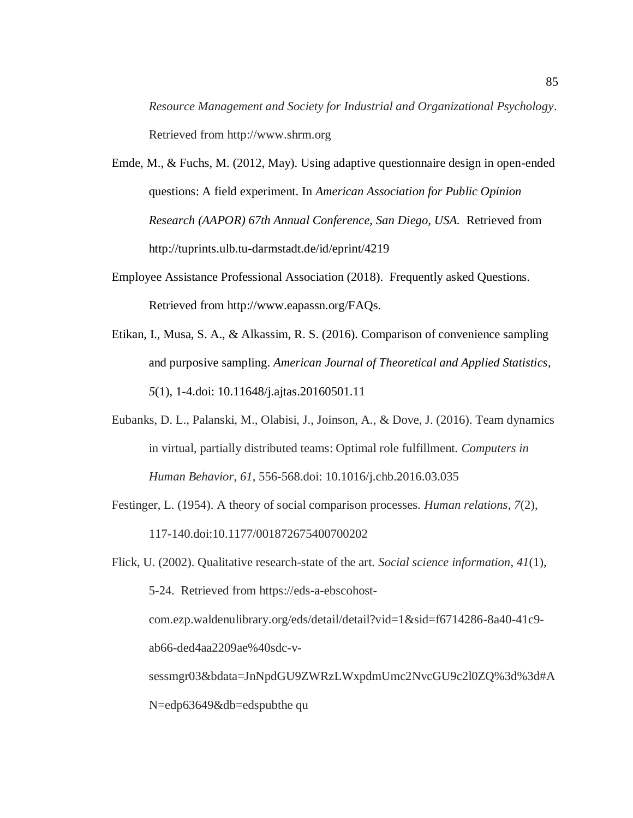*Resource Management and Society for Industrial and Organizational Psychology*. Retrieved from http://www.shrm.org

- Emde, M., & Fuchs, M. (2012, May). Using adaptive questionnaire design in open-ended questions: A field experiment. In *American Association for Public Opinion Research (AAPOR) 67th Annual Conference, San Diego, USA.* Retrieved from http://tuprints.ulb.tu-darmstadt.de/id/eprint/4219
- Employee Assistance Professional Association (2018). Frequently asked Questions. Retrieved from http://www.eapassn.org/FAQs.
- Etikan, I., Musa, S. A., & Alkassim, R. S. (2016). Comparison of convenience sampling and purposive sampling. *American Journal of Theoretical and Applied Statistics*, *5*(1), 1-4.doi: 10.11648/j.ajtas.20160501.11
- Eubanks, D. L., Palanski, M., Olabisi, J., Joinson, A., & Dove, J. (2016). Team dynamics in virtual, partially distributed teams: Optimal role fulfillment. *Computers in Human Behavior*, *61*, 556-568.doi: 10.1016/j.chb.2016.03.035
- Festinger, L. (1954). A theory of social comparison processes. *Human relations*, *7*(2), 117-140.doi:10.1177/001872675400700202
- Flick, U. (2002). Qualitative research-state of the art. *Social science information*, *41*(1), 5-24. Retrieved from https://eds-a-ebscohostcom.ezp.waldenulibrary.org/eds/detail/detail?vid=1&sid=f6714286-8a40-41c9 ab66-ded4aa2209ae%40sdc-vsessmgr03&bdata=JnNpdGU9ZWRzLWxpdmUmc2NvcGU9c2l0ZQ%3d%3d#A N=edp63649&db=edspubthe qu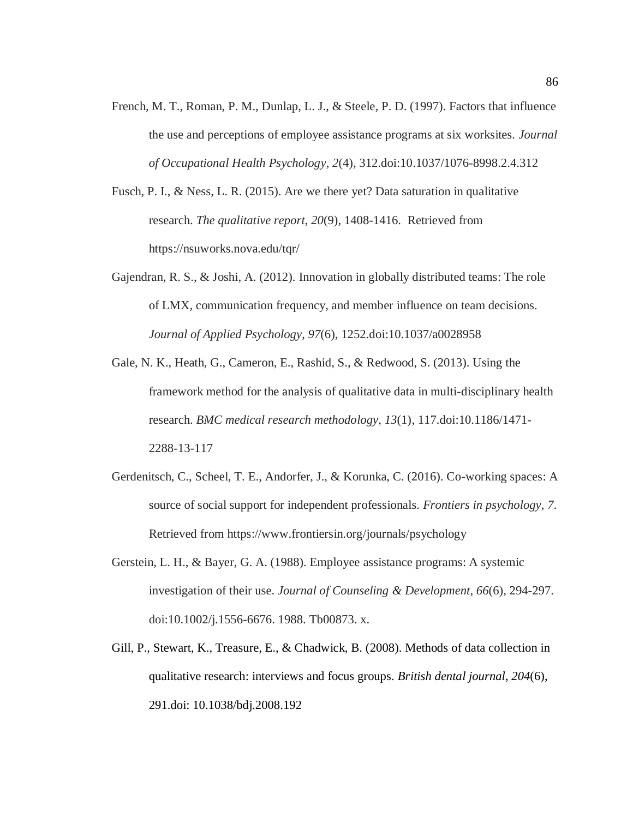- French, M. T., Roman, P. M., Dunlap, L. J., & Steele, P. D. (1997). Factors that influence the use and perceptions of employee assistance programs at six worksites. *Journal of Occupational Health Psychology*, *2*(4), 312.doi:10.1037/1076-8998.2.4.312
- Fusch, P. I., & Ness, L. R. (2015). Are we there yet? Data saturation in qualitative research. *The qualitative report*, *20*(9), 1408-1416. Retrieved from https://nsuworks.nova.edu/tqr/
- Gajendran, R. S., & Joshi, A. (2012). Innovation in globally distributed teams: The role of LMX, communication frequency, and member influence on team decisions. *Journal of Applied Psychology*, *97*(6), 1252.doi:10.1037/a0028958
- Gale, N. K., Heath, G., Cameron, E., Rashid, S., & Redwood, S. (2013). Using the framework method for the analysis of qualitative data in multi-disciplinary health research. *BMC medical research methodology*, *13*(1), 117.doi:10.1186/1471- 2288-13-117
- Gerdenitsch, C., Scheel, T. E., Andorfer, J., & Korunka, C. (2016). Co-working spaces: A source of social support for independent professionals. *Frontiers in psychology*, *7*. Retrieved from https://www.frontiersin.org/journals/psychology
- Gerstein, L. H., & Bayer, G. A. (1988). Employee assistance programs: A systemic investigation of their use. *Journal of Counseling & Development*, *66*(6), 294-297. doi:10.1002/j.1556-6676. 1988. Tb00873. x.
- Gill, P., Stewart, K., Treasure, E., & Chadwick, B. (2008). Methods of data collection in qualitative research: interviews and focus groups. *British dental journal*, *204*(6), 291.doi: 10.1038/bdj.2008.192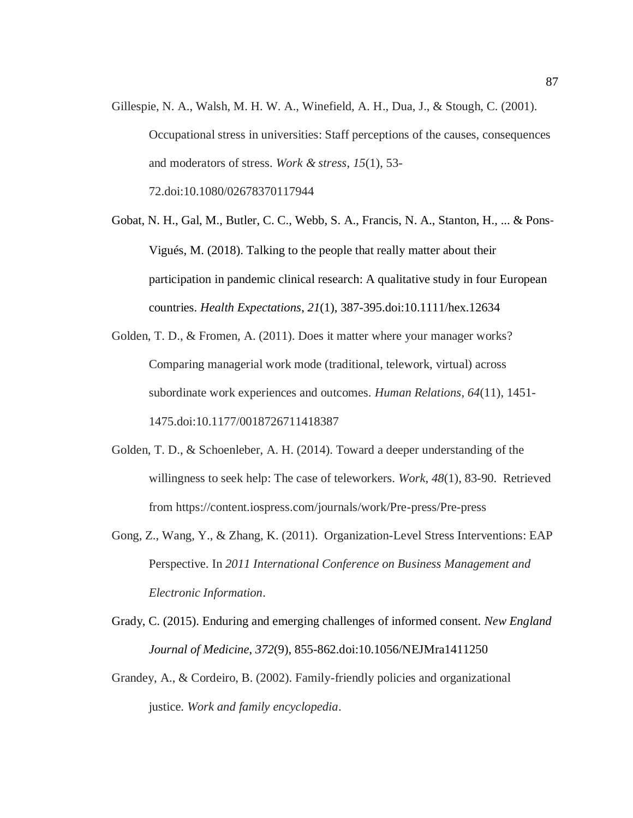- Gillespie, N. A., Walsh, M. H. W. A., Winefield, A. H., Dua, J., & Stough, C. (2001). Occupational stress in universities: Staff perceptions of the causes, consequences and moderators of stress. *Work & stress*, *15*(1), 53- 72.doi:10.1080/02678370117944
- Gobat, N. H., Gal, M., Butler, C. C., Webb, S. A., Francis, N. A., Stanton, H., ... & Pons‐ Vigués, M. (2018). Talking to the people that really matter about their participation in pandemic clinical research: A qualitative study in four European countries. *Health Expectations*, *21*(1), 387-395.doi:10.1111/hex.12634
- Golden, T. D., & Fromen, A. (2011). Does it matter where your manager works? Comparing managerial work mode (traditional, telework, virtual) across subordinate work experiences and outcomes. *Human Relations*, *64*(11), 1451- 1475.doi:10.1177/0018726711418387
- Golden, T. D., & Schoenleber, A. H. (2014). Toward a deeper understanding of the willingness to seek help: The case of teleworkers. *Work*, *48*(1), 83-90. Retrieved from https://content.iospress.com/journals/work/Pre-press/Pre-press
- Gong, Z., Wang, Y., & Zhang, K. (2011). Organization-Level Stress Interventions: EAP Perspective. In *2011 International Conference on Business Management and Electronic Information*.
- Grady, C. (2015). Enduring and emerging challenges of informed consent. *New England Journal of Medicine*, *372*(9), 855-862.doi:10.1056/NEJMra1411250
- Grandey, A., & Cordeiro, B. (2002). Family-friendly policies and organizational justice. *Work and family encyclopedia*.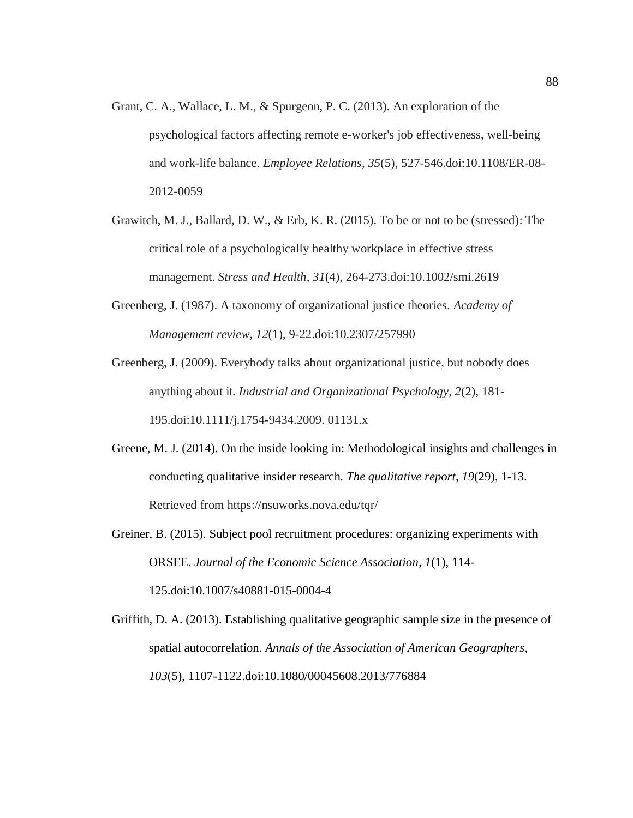- Grant, C. A., Wallace, L. M., & Spurgeon, P. C. (2013). An exploration of the psychological factors affecting remote e-worker's job effectiveness, well-being and work-life balance. *Employee Relations*, *35*(5), 527-546.doi:10.1108/ER-08- 2012-0059
- Grawitch, M. J., Ballard, D. W., & Erb, K. R. (2015). To be or not to be (stressed): The critical role of a psychologically healthy workplace in effective stress management. *Stress and Health*, *31*(4), 264-273.doi:10.1002/smi.2619
- Greenberg, J. (1987). A taxonomy of organizational justice theories. *Academy of Management review*, *12*(1), 9-22.doi:10.2307/257990

Greenberg, J. (2009). Everybody talks about organizational justice, but nobody does anything about it. *Industrial and Organizational Psychology*, *2*(2), 181- 195.doi:10.1111/j.1754-9434.2009. 01131.x

- Greene, M. J. (2014). On the inside looking in: Methodological insights and challenges in conducting qualitative insider research. *The qualitative report*, *19*(29), 1-13. Retrieved from https://nsuworks.nova.edu/tqr/
- Greiner, B. (2015). Subject pool recruitment procedures: organizing experiments with ORSEE. *Journal of the Economic Science Association*, *1*(1), 114- 125.doi:10.1007/s40881-015-0004-4

Griffith, D. A. (2013). Establishing qualitative geographic sample size in the presence of spatial autocorrelation. *Annals of the Association of American Geographers*, *103*(5), 1107-1122.doi:10.1080/00045608.2013/776884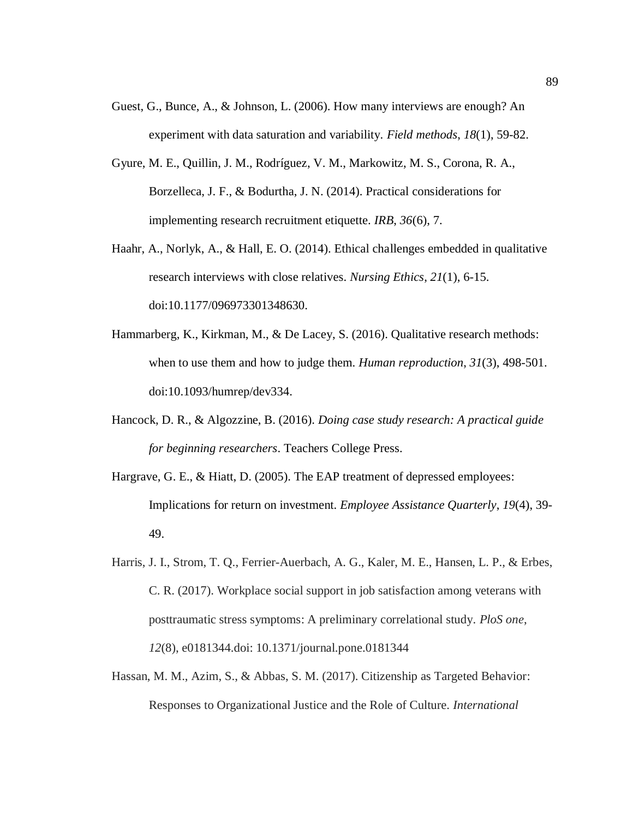- Guest, G., Bunce, A., & Johnson, L. (2006). How many interviews are enough? An experiment with data saturation and variability. *Field methods*, *18*(1), 59-82.
- Gyure, M. E., Quillin, J. M., Rodríguez, V. M., Markowitz, M. S., Corona, R. A., Borzelleca, J. F., & Bodurtha, J. N. (2014). Practical considerations for implementing research recruitment etiquette. *IRB*, *36*(6), 7.
- Haahr, A., Norlyk, A., & Hall, E. O. (2014). Ethical challenges embedded in qualitative research interviews with close relatives. *Nursing Ethics*, *21*(1), 6-15. doi:10.1177/096973301348630.
- Hammarberg, K., Kirkman, M., & De Lacey, S. (2016). Qualitative research methods: when to use them and how to judge them. *Human reproduction*, *31*(3), 498-501. doi:10.1093/humrep/dev334.
- Hancock, D. R., & Algozzine, B. (2016). *Doing case study research: A practical guide for beginning researchers*. Teachers College Press.
- Hargrave, G. E., & Hiatt, D. (2005). The EAP treatment of depressed employees: Implications for return on investment. *Employee Assistance Quarterly*, *19*(4), 39- 49.
- Harris, J. I., Strom, T. Q., Ferrier-Auerbach, A. G., Kaler, M. E., Hansen, L. P., & Erbes, C. R. (2017). Workplace social support in job satisfaction among veterans with posttraumatic stress symptoms: A preliminary correlational study. *PloS one*, *12*(8), e0181344.doi: 10.1371/journal.pone.0181344
- Hassan, M. M., Azim, S., & Abbas, S. M. (2017). Citizenship as Targeted Behavior: Responses to Organizational Justice and the Role of Culture. *International*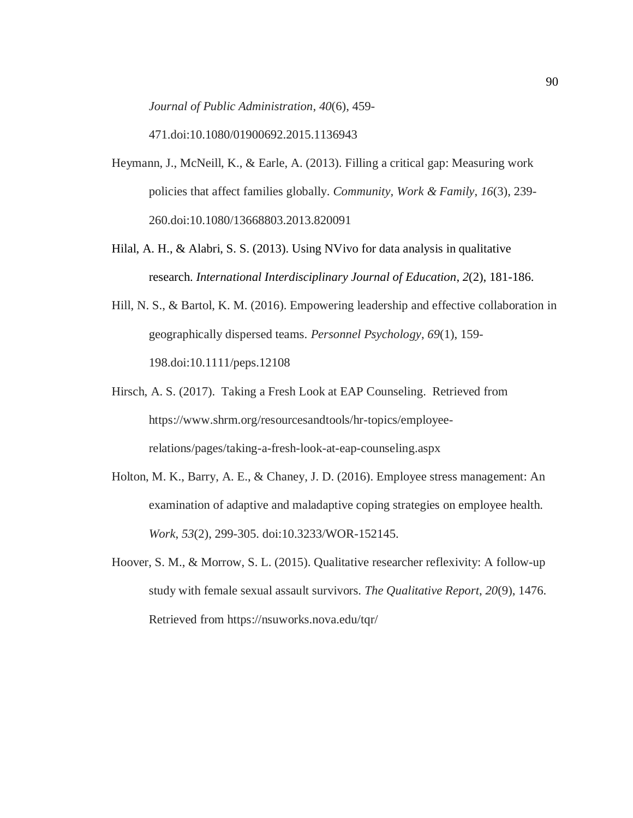*Journal of Public Administration*, *40*(6), 459-

471.doi:10.1080/01900692.2015.1136943

- Heymann, J., McNeill, K., & Earle, A. (2013). Filling a critical gap: Measuring work policies that affect families globally. *Community, Work & Family*, *16*(3), 239- 260.doi:10.1080/13668803.2013.820091
- Hilal, A. H., & Alabri, S. S. (2013). Using NVivo for data analysis in qualitative research. *International Interdisciplinary Journal of Education*, *2*(2), 181-186.
- Hill, N. S., & Bartol, K. M. (2016). Empowering leadership and effective collaboration in geographically dispersed teams. *Personnel Psychology*, *69*(1), 159- 198.doi:10.1111/peps.12108
- Hirsch, A. S. (2017). Taking a Fresh Look at EAP Counseling. Retrieved from https://www.shrm.org/resourcesandtools/hr-topics/employeerelations/pages/taking-a-fresh-look-at-eap-counseling.aspx
- Holton, M. K., Barry, A. E., & Chaney, J. D. (2016). Employee stress management: An examination of adaptive and maladaptive coping strategies on employee health. *Work*, *53*(2), 299-305. doi:10.3233/WOR-152145.
- Hoover, S. M., & Morrow, S. L. (2015). Qualitative researcher reflexivity: A follow-up study with female sexual assault survivors. *The Qualitative Report*, *20*(9), 1476. Retrieved from https://nsuworks.nova.edu/tqr/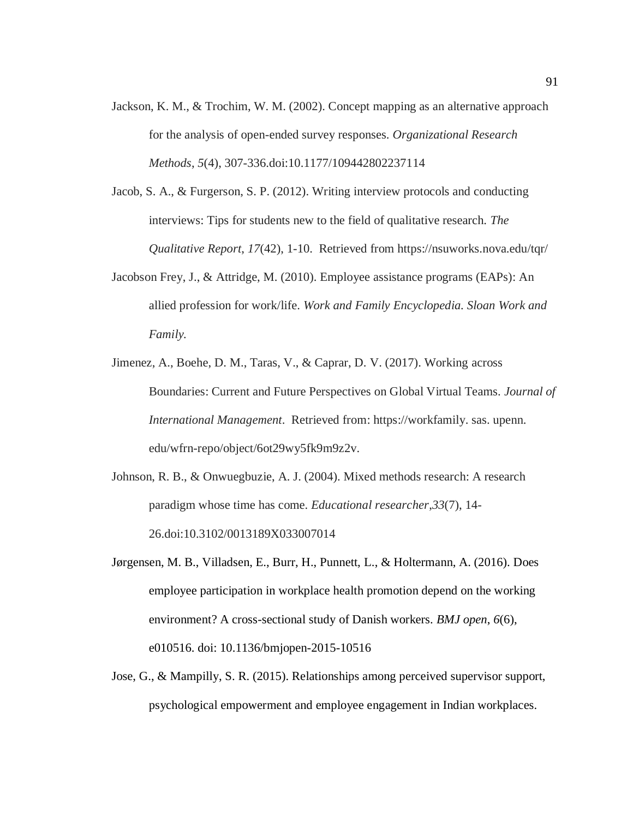- Jackson, K. M., & Trochim, W. M. (2002). Concept mapping as an alternative approach for the analysis of open-ended survey responses. *Organizational Research Methods*, *5*(4), 307-336.doi:10.1177/109442802237114
- Jacob, S. A., & Furgerson, S. P. (2012). Writing interview protocols and conducting interviews: Tips for students new to the field of qualitative research. *The Qualitative Report*, *17*(42), 1-10. Retrieved from https://nsuworks.nova.edu/tqr/
- Jacobson Frey, J., & Attridge, M. (2010). Employee assistance programs (EAPs): An allied profession for work/life. *Work and Family Encyclopedia. Sloan Work and Family.*
- Jimenez, A., Boehe, D. M., Taras, V., & Caprar, D. V. (2017). Working across Boundaries: Current and Future Perspectives on Global Virtual Teams. *Journal of International Management*. Retrieved from: https://workfamily. sas. upenn. edu/wfrn-repo/object/6ot29wy5fk9m9z2v.
- Johnson, R. B., & Onwuegbuzie, A. J. (2004). Mixed methods research: A research paradigm whose time has come. *Educational researcher*,*33*(7), 14- 26.doi:10.3102/0013189X033007014
- Jørgensen, M. B., Villadsen, E., Burr, H., Punnett, L., & Holtermann, A. (2016). Does employee participation in workplace health promotion depend on the working environment? A cross-sectional study of Danish workers. *BMJ open*, *6*(6), e010516. doi: 10.1136/bmjopen-2015-10516
- Jose, G., & Mampilly, S. R. (2015). Relationships among perceived supervisor support, psychological empowerment and employee engagement in Indian workplaces.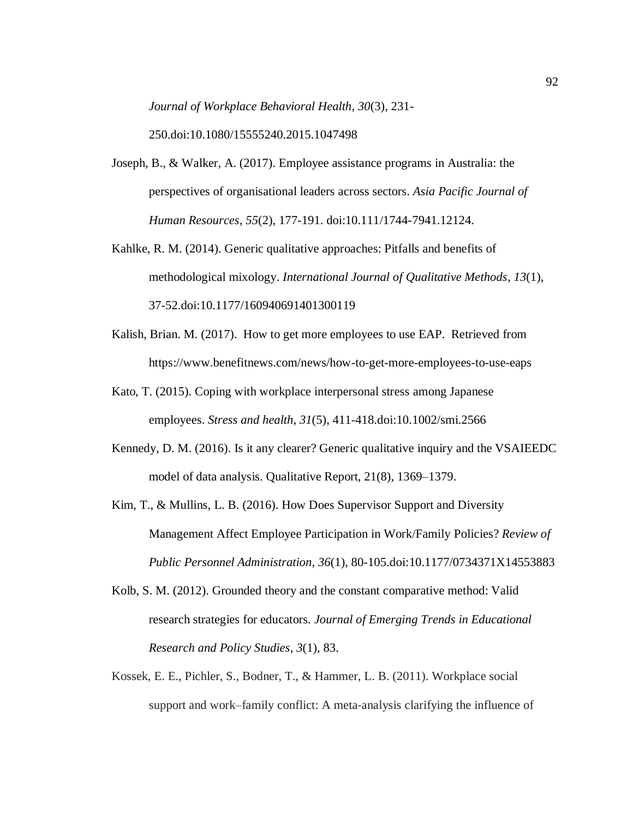*Journal of Workplace Behavioral Health*, *30*(3), 231-

250.doi:10.1080/15555240.2015.1047498

- Joseph, B., & Walker, A. (2017). Employee assistance programs in Australia: the perspectives of organisational leaders across sectors. *Asia Pacific Journal of Human Resources*, *55*(2), 177-191. doi:10.111/1744-7941.12124.
- Kahlke, R. M. (2014). Generic qualitative approaches: Pitfalls and benefits of methodological mixology. *International Journal of Qualitative Methods*, *13*(1), 37-52.doi:10.1177/160940691401300119
- Kalish, Brian. M. (2017). How to get more employees to use EAP. Retrieved from https://www.benefitnews.com/news/how-to-get-more-employees-to-use-eaps
- Kato, T. (2015). Coping with workplace interpersonal stress among Japanese employees. *Stress and health*, *31*(5), 411-418.doi:10.1002/smi.2566
- Kennedy, D. M. (2016). Is it any clearer? Generic qualitative inquiry and the VSAIEEDC model of data analysis. Qualitative Report, 21(8), 1369–1379.
- Kim, T., & Mullins, L. B. (2016). How Does Supervisor Support and Diversity Management Affect Employee Participation in Work/Family Policies? *Review of Public Personnel Administration*, *36*(1), 80-105.doi:10.1177/0734371X14553883
- Kolb, S. M. (2012). Grounded theory and the constant comparative method: Valid research strategies for educators. *Journal of Emerging Trends in Educational Research and Policy Studies*, *3*(1), 83.
- Kossek, E. E., Pichler, S., Bodner, T., & Hammer, L. B. (2011). Workplace social support and work–family conflict: A meta‐analysis clarifying the influence of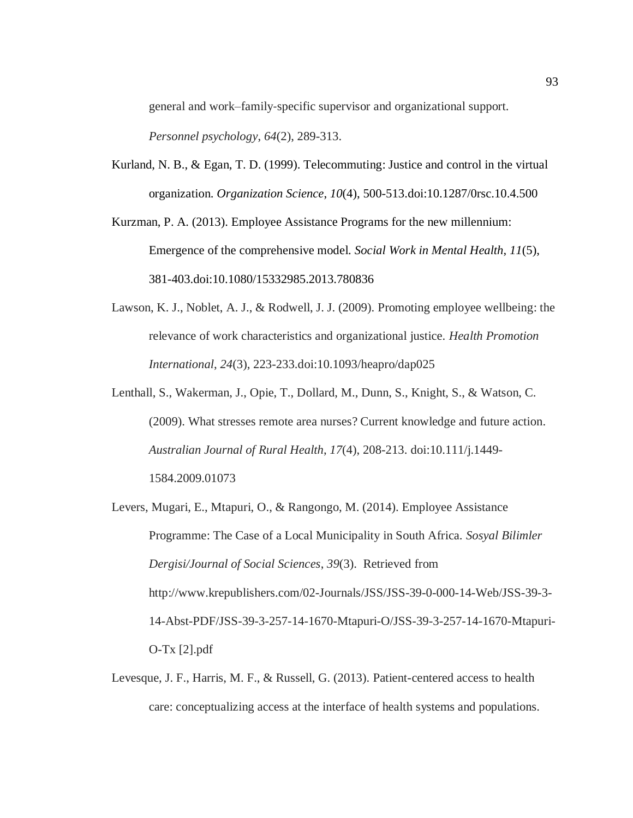general and work–family‐specific supervisor and organizational support. *Personnel psychology*, *64*(2), 289-313.

Kurland, N. B., & Egan, T. D. (1999). Telecommuting: Justice and control in the virtual organization. *Organization Science*, *10*(4), 500-513.doi:10.1287/0rsc.10.4.500

Kurzman, P. A. (2013). Employee Assistance Programs for the new millennium: Emergence of the comprehensive model. *Social Work in Mental Health*, *11*(5), 381-403.doi:10.1080/15332985.2013.780836

- Lawson, K. J., Noblet, A. J., & Rodwell, J. J. (2009). Promoting employee wellbeing: the relevance of work characteristics and organizational justice. *Health Promotion International*, *24*(3), 223-233.doi:10.1093/heapro/dap025
- Lenthall, S., Wakerman, J., Opie, T., Dollard, M., Dunn, S., Knight, S., & Watson, C. (2009). What stresses remote area nurses? Current knowledge and future action. *Australian Journal of Rural Health*, *17*(4), 208-213. doi:10.111/j.1449- 1584.2009.01073
- Levers, Mugari, E., Mtapuri, O., & Rangongo, M. (2014). Employee Assistance Programme: The Case of a Local Municipality in South Africa. *Sosyal Bilimler Dergisi/Journal of Social Sciences*, *39*(3). Retrieved from http://www.krepublishers.com/02-Journals/JSS/JSS-39-0-000-14-Web/JSS-39-3- 14-Abst-PDF/JSS-39-3-257-14-1670-Mtapuri-O/JSS-39-3-257-14-1670-Mtapuri-O-Tx [2].pdf
- Levesque, J. F., Harris, M. F., & Russell, G. (2013). Patient-centered access to health care: conceptualizing access at the interface of health systems and populations.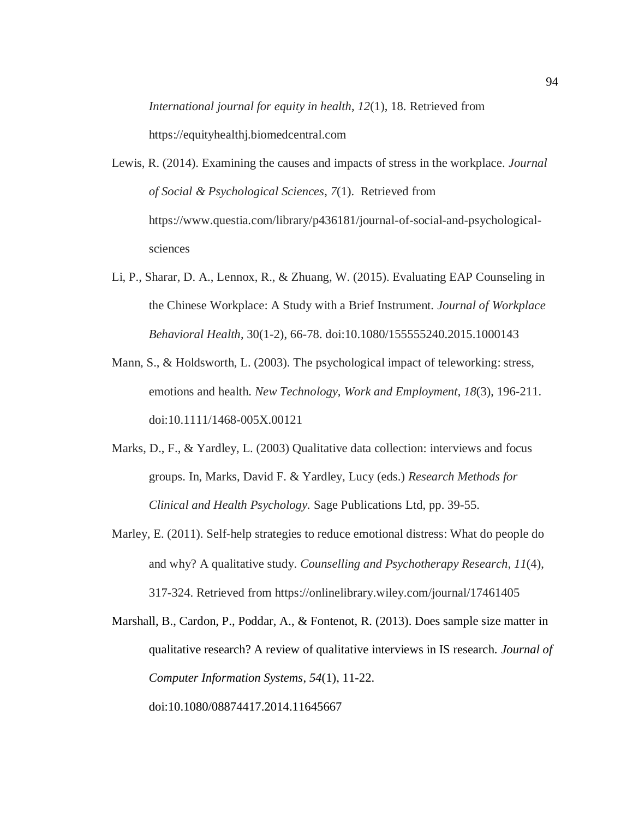*International journal for equity in health*, *12*(1), 18. Retrieved from https://equityhealthj.biomedcentral.com

- Lewis, R. (2014). Examining the causes and impacts of stress in the workplace. *Journal of Social & Psychological Sciences*, *7*(1). Retrieved from https://www.questia.com/library/p436181/journal-of-social-and-psychologicalsciences
- Li, P., Sharar, D. A., Lennox, R., & Zhuang, W. (2015). Evaluating EAP Counseling in the Chinese Workplace: A Study with a Brief Instrument. *Journal of Workplace Behavioral Health*, 30(1-2), 66-78. doi:10.1080/155555240.2015.1000143
- Mann, S., & Holdsworth, L. (2003). The psychological impact of teleworking: stress, emotions and health. *New Technology, Work and Employment*, *18*(3), 196-211. doi:10.1111/1468-005X.00121
- Marks, D., F., & Yardley, L. (2003) Qualitative data collection: interviews and focus groups. In, Marks, David F. & Yardley, Lucy (eds.) *Research Methods for Clinical and Health Psychology.* Sage Publications Ltd, pp. 39-55.
- Marley, E. (2011). Self-help strategies to reduce emotional distress: What do people do and why? A qualitative study. *Counselling and Psychotherapy Research*, *11*(4), 317-324. Retrieved from https://onlinelibrary.wiley.com/journal/17461405

Marshall, B., Cardon, P., Poddar, A., & Fontenot, R. (2013). Does sample size matter in qualitative research? A review of qualitative interviews in IS research. *Journal of Computer Information Systems*, *54*(1), 11-22. doi:10.1080/08874417.2014.11645667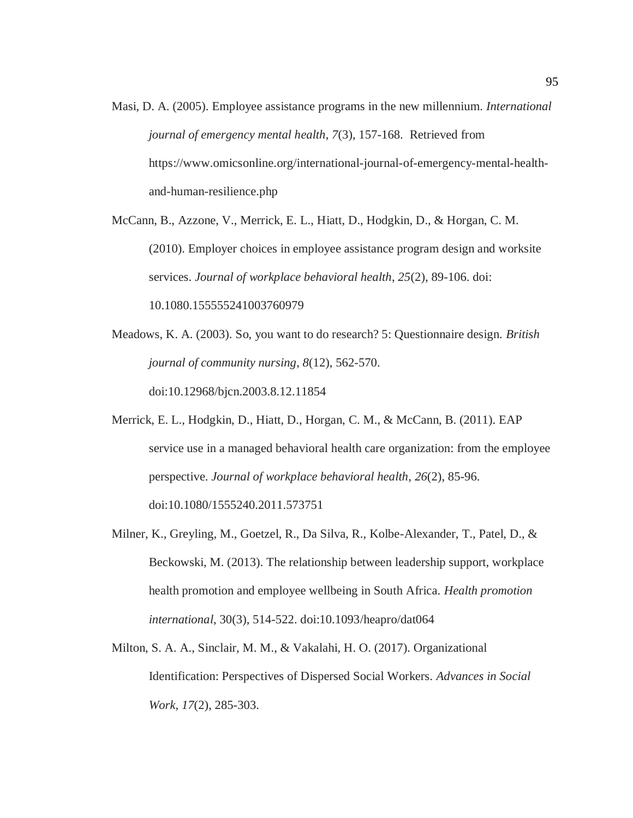Masi, D. A. (2005). Employee assistance programs in the new millennium. *International journal of emergency mental health*, *7*(3), 157-168. Retrieved from https://www.omicsonline.org/international-journal-of-emergency-mental-healthand-human-resilience.php

McCann, B., Azzone, V., Merrick, E. L., Hiatt, D., Hodgkin, D., & Horgan, C. M. (2010). Employer choices in employee assistance program design and worksite services. *Journal of workplace behavioral health*, *25*(2), 89-106. doi: 10.1080.155555241003760979

- Meadows, K. A. (2003). So, you want to do research? 5: Questionnaire design. *British journal of community nursing*, *8*(12), 562-570. doi:10.12968/bjcn.2003.8.12.11854
- Merrick, E. L., Hodgkin, D., Hiatt, D., Horgan, C. M., & McCann, B. (2011). EAP service use in a managed behavioral health care organization: from the employee perspective. *Journal of workplace behavioral health*, *26*(2), 85-96. doi:10.1080/1555240.2011.573751
- Milner, K., Greyling, M., Goetzel, R., Da Silva, R., Kolbe-Alexander, T., Patel, D., & Beckowski, M. (2013). The relationship between leadership support, workplace health promotion and employee wellbeing in South Africa. *Health promotion international,* 30(3), 514-522. doi:10.1093/heapro/dat064
- Milton, S. A. A., Sinclair, M. M., & Vakalahi, H. O. (2017). Organizational Identification: Perspectives of Dispersed Social Workers. *Advances in Social Work*, *17*(2), 285-303.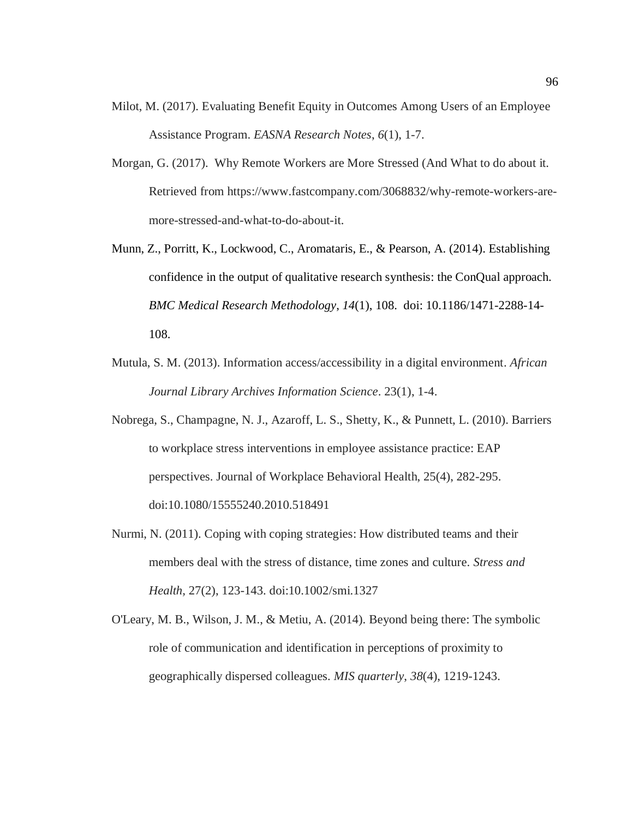- Milot, M. (2017). Evaluating Benefit Equity in Outcomes Among Users of an Employee Assistance Program. *EASNA Research Notes*, *6*(1), 1-7.
- Morgan, G. (2017). Why Remote Workers are More Stressed (And What to do about it. Retrieved from https://www.fastcompany.com/3068832/why-remote-workers-aremore-stressed-and-what-to-do-about-it.
- Munn, Z., Porritt, K., Lockwood, C., Aromataris, E., & Pearson, A. (2014). Establishing confidence in the output of qualitative research synthesis: the ConQual approach. *BMC Medical Research Methodology*, *14*(1), 108. doi: 10.1186/1471-2288-14- 108.
- Mutula, S. M. (2013). Information access/accessibility in a digital environment. *African Journal Library Archives Information Science*. 23(1), 1-4.
- Nobrega, S., Champagne, N. J., Azaroff, L. S., Shetty, K., & Punnett, L. (2010). Barriers to workplace stress interventions in employee assistance practice: EAP perspectives. Journal of Workplace Behavioral Health, 25(4), 282-295. doi:10.1080/15555240.2010.518491
- Nurmi, N. (2011). Coping with coping strategies: How distributed teams and their members deal with the stress of distance, time zones and culture. *Stress and Health,* 27(2), 123-143. doi:10.1002/smi.1327
- O'Leary, M. B., Wilson, J. M., & Metiu, A. (2014). Beyond being there: The symbolic role of communication and identification in perceptions of proximity to geographically dispersed colleagues. *MIS quarterly*, *38*(4), 1219-1243.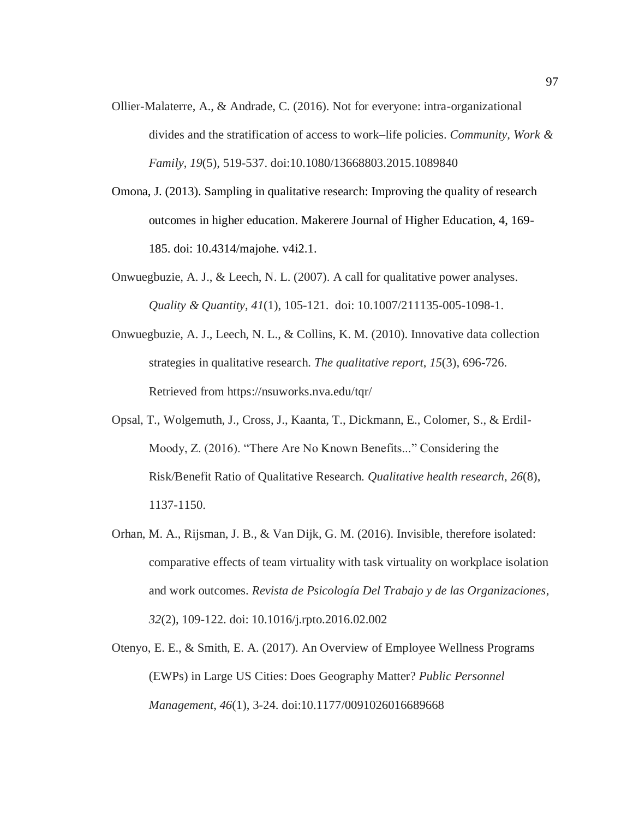- Ollier-Malaterre, A., & Andrade, C. (2016). Not for everyone: intra-organizational divides and the stratification of access to work–life policies. *Community, Work & Family*, *19*(5), 519-537. doi:10.1080/13668803.2015.1089840
- Omona, J. (2013). Sampling in qualitative research: Improving the quality of research outcomes in higher education. Makerere Journal of Higher Education, 4, 169- 185. doi: 10.4314/majohe. v4i2.1.
- Onwuegbuzie, A. J., & Leech, N. L. (2007). A call for qualitative power analyses. *Quality & Quantity*, *41*(1), 105-121. doi: 10.1007/211135-005-1098-1.
- Onwuegbuzie, A. J., Leech, N. L., & Collins, K. M. (2010). Innovative data collection strategies in qualitative research. *The qualitative report*, *15*(3), 696-726. Retrieved from https://nsuworks.nva.edu/tqr/
- Opsal, T., Wolgemuth, J., Cross, J., Kaanta, T., Dickmann, E., Colomer, S., & Erdil-Moody, Z. (2016). "There Are No Known Benefits..." Considering the Risk/Benefit Ratio of Qualitative Research. *Qualitative health research*, *26*(8), 1137-1150.
- Orhan, M. A., Rijsman, J. B., & Van Dijk, G. M. (2016). Invisible, therefore isolated: comparative effects of team virtuality with task virtuality on workplace isolation and work outcomes. *Revista de Psicología Del Trabajo y de las Organizaciones*, *32*(2), 109-122. doi: 10.1016/j.rpto.2016.02.002
- Otenyo, E. E., & Smith, E. A. (2017). An Overview of Employee Wellness Programs (EWPs) in Large US Cities: Does Geography Matter? *Public Personnel Management*, *46*(1), 3-24. doi:10.1177/0091026016689668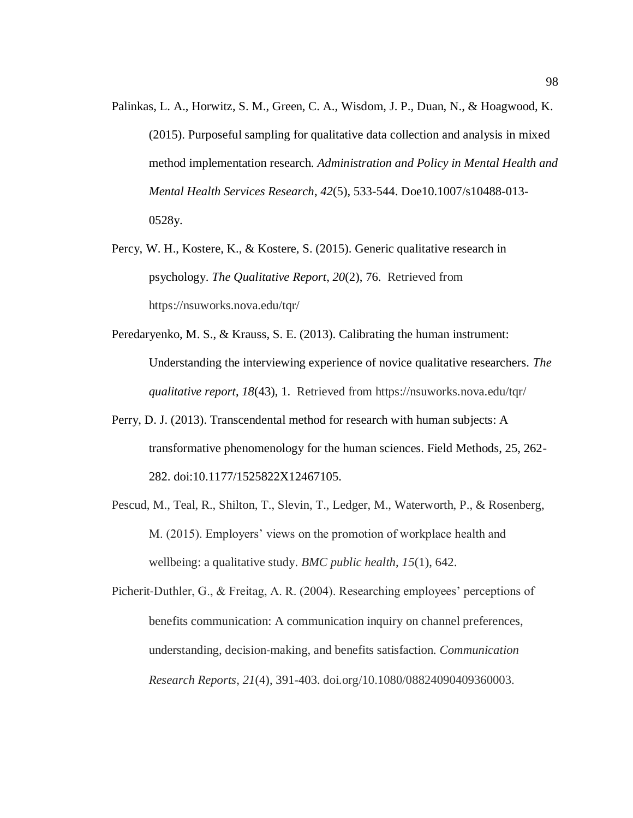- Palinkas, L. A., Horwitz, S. M., Green, C. A., Wisdom, J. P., Duan, N., & Hoagwood, K. (2015). Purposeful sampling for qualitative data collection and analysis in mixed method implementation research. *Administration and Policy in Mental Health and Mental Health Services Research*, *42*(5), 533-544. Doe10.1007/s10488-013- 0528y.
- Percy, W. H., Kostere, K., & Kostere, S. (2015). Generic qualitative research in psychology. *The Qualitative Report*, *20*(2), 76. Retrieved from https://nsuworks.nova.edu/tqr/
- Peredaryenko, M. S., & Krauss, S. E. (2013). Calibrating the human instrument: Understanding the interviewing experience of novice qualitative researchers. *The qualitative report*, *18*(43), 1. Retrieved from https://nsuworks.nova.edu/tqr/
- Perry, D. J. (2013). Transcendental method for research with human subjects: A transformative phenomenology for the human sciences. Field Methods, 25, 262- 282. doi:10.1177/1525822X12467105.
- Pescud, M., Teal, R., Shilton, T., Slevin, T., Ledger, M., Waterworth, P., & Rosenberg, M. (2015). Employers' views on the promotion of workplace health and wellbeing: a qualitative study. *BMC public health*, *15*(1), 642.

Picherit‐Duthler, G., & Freitag, A. R. (2004). Researching employees' perceptions of benefits communication: A communication inquiry on channel preferences, understanding, decision‐making, and benefits satisfaction. *Communication Research Reports*, *21*(4), 391-403. doi.org/10.1080/08824090409360003.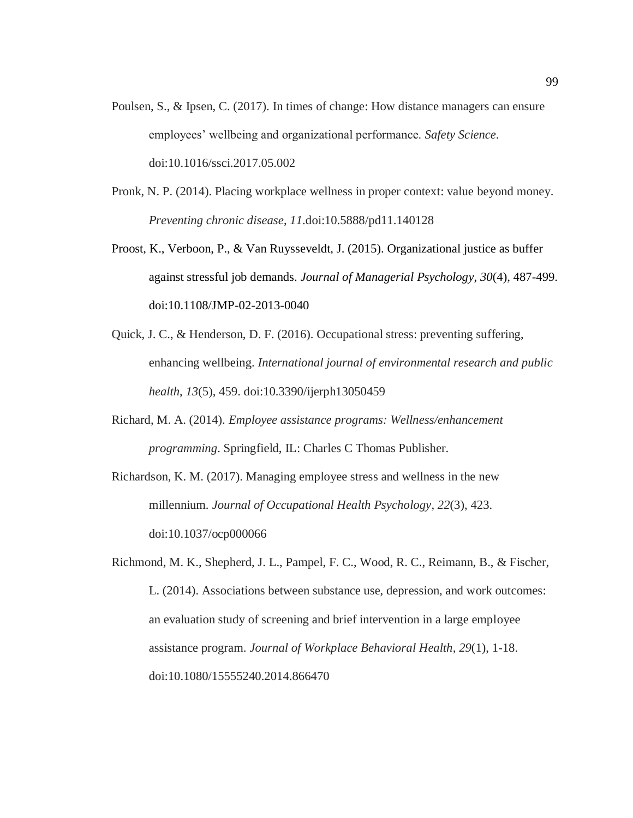- Poulsen, S., & Ipsen, C. (2017). In times of change: How distance managers can ensure employees' wellbeing and organizational performance. *Safety Science*. doi:10.1016/ssci.2017.05.002
- Pronk, N. P. (2014). Placing workplace wellness in proper context: value beyond money. *Preventing chronic disease*, *11*.doi:10.5888/pd11.140128
- Proost, K., Verboon, P., & Van Ruysseveldt, J. (2015). Organizational justice as buffer against stressful job demands. *Journal of Managerial Psychology*, *30*(4), 487-499. doi:10.1108/JMP-02-2013-0040
- Quick, J. C., & Henderson, D. F. (2016). Occupational stress: preventing suffering, enhancing wellbeing. *International journal of environmental research and public health*, *13*(5), 459. doi:10.3390/ijerph13050459
- Richard, M. A. (2014). *Employee assistance programs: Wellness/enhancement programming*. Springfield, IL: Charles C Thomas Publisher.
- Richardson, K. M. (2017). Managing employee stress and wellness in the new millennium. *Journal of Occupational Health Psychology*, *22*(3), 423. doi:10.1037/ocp000066
- Richmond, M. K., Shepherd, J. L., Pampel, F. C., Wood, R. C., Reimann, B., & Fischer, L. (2014). Associations between substance use, depression, and work outcomes: an evaluation study of screening and brief intervention in a large employee assistance program. *Journal of Workplace Behavioral Health*, *29*(1), 1-18. doi:10.1080/15555240.2014.866470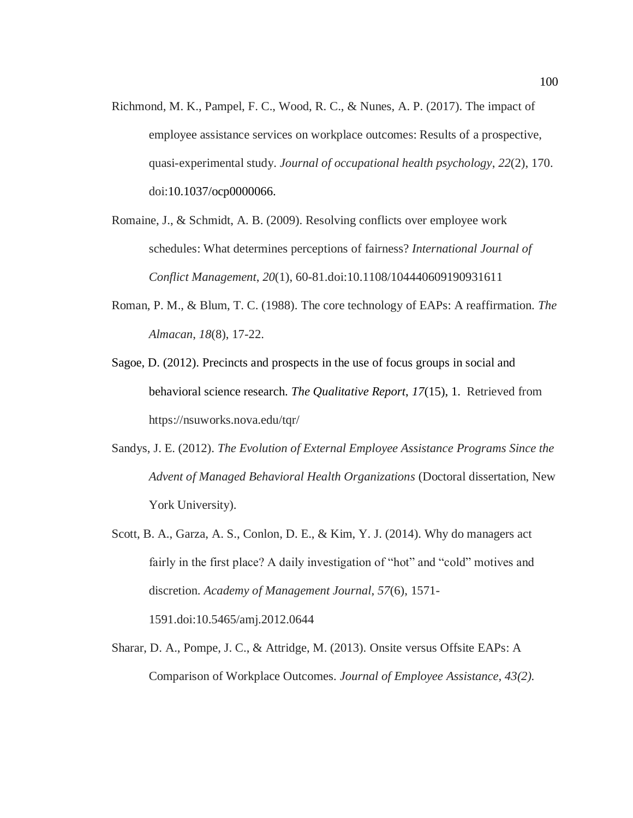- Richmond, M. K., Pampel, F. C., Wood, R. C., & Nunes, A. P. (2017). The impact of employee assistance services on workplace outcomes: Results of a prospective, quasi-experimental study. *Journal of occupational health psychology*, *22*(2), 170. doi:10.1037/ocp0000066.
- Romaine, J., & Schmidt, A. B. (2009). Resolving conflicts over employee work schedules: What determines perceptions of fairness? *International Journal of Conflict Management*, *20*(1), 60-81.doi:10.1108/104440609190931611
- Roman, P. M., & Blum, T. C. (1988). The core technology of EAPs: A reaffirmation. *The Almacan*, *18*(8), 17-22.
- Sagoe, D. (2012). Precincts and prospects in the use of focus groups in social and behavioral science research. *The Qualitative Report*, *17*(15), 1. Retrieved from https://nsuworks.nova.edu/tqr/
- Sandys, J. E. (2012). *The Evolution of External Employee Assistance Programs Since the Advent of Managed Behavioral Health Organizations* (Doctoral dissertation, New York University).
- Scott, B. A., Garza, A. S., Conlon, D. E., & Kim, Y. J. (2014). Why do managers act fairly in the first place? A daily investigation of "hot" and "cold" motives and discretion. *Academy of Management Journal*, *57*(6), 1571- 1591.doi:10.5465/amj.2012.0644
- Sharar, D. A., Pompe, J. C., & Attridge, M. (2013). Onsite versus Offsite EAPs: A Comparison of Workplace Outcomes. *Journal of Employee Assistance, 43(2).*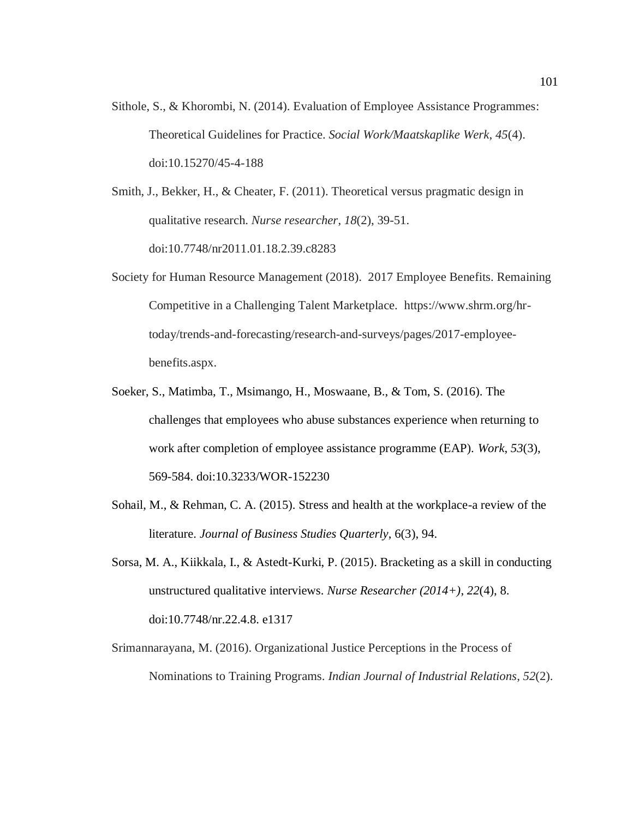Sithole, S., & Khorombi, N. (2014). Evaluation of Employee Assistance Programmes: Theoretical Guidelines for Practice. *Social Work/Maatskaplike Werk*, *45*(4). doi:10.15270/45-4-188

Smith, J., Bekker, H., & Cheater, F. (2011). Theoretical versus pragmatic design in qualitative research. *Nurse researcher*, *18*(2), 39-51. doi:10.7748/nr2011.01.18.2.39.c8283

- Society for Human Resource Management (2018). 2017 Employee Benefits. Remaining Competitive in a Challenging Talent Marketplace. https://www.shrm.org/hrtoday/trends-and-forecasting/research-and-surveys/pages/2017-employeebenefits.aspx.
- Soeker, S., Matimba, T., Msimango, H., Moswaane, B., & Tom, S. (2016). The challenges that employees who abuse substances experience when returning to work after completion of employee assistance programme (EAP). *Work*, *53*(3), 569-584. doi:10.3233/WOR-152230
- Sohail, M., & Rehman, C. A. (2015). Stress and health at the workplace-a review of the literature. *Journal of Business Studies Quarterly*, 6(3), 94.
- Sorsa, M. A., Kiikkala, I., & Astedt-Kurki, P. (2015). Bracketing as a skill in conducting unstructured qualitative interviews. *Nurse Researcher (2014+)*, *22*(4), 8. doi:10.7748/nr.22.4.8. e1317
- Srimannarayana, M. (2016). Organizational Justice Perceptions in the Process of Nominations to Training Programs. *Indian Journal of Industrial Relations*, *52*(2).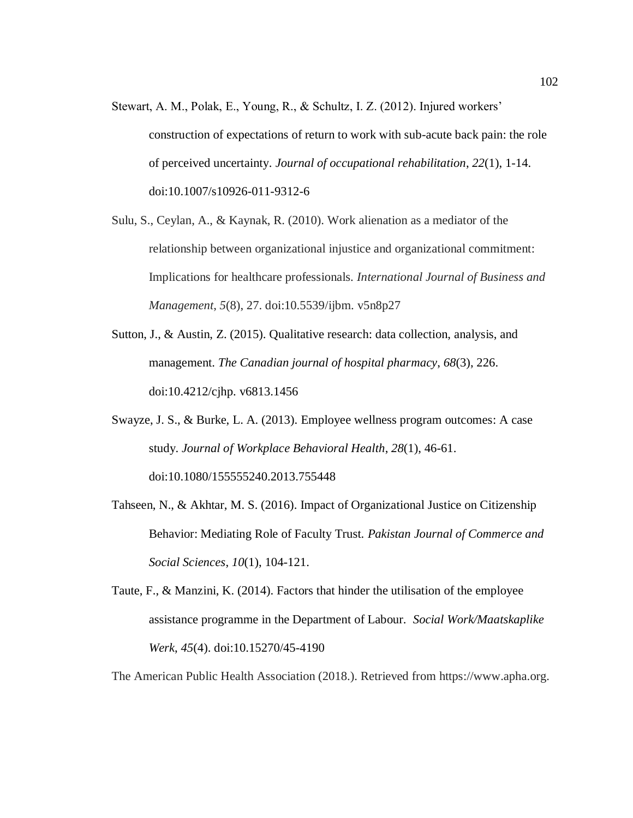- Stewart, A. M., Polak, E., Young, R., & Schultz, I. Z. (2012). Injured workers' construction of expectations of return to work with sub-acute back pain: the role of perceived uncertainty. *Journal of occupational rehabilitation*, *22*(1), 1-14. doi:10.1007/s10926-011-9312-6
- Sulu, S., Ceylan, A., & Kaynak, R. (2010). Work alienation as a mediator of the relationship between organizational injustice and organizational commitment: Implications for healthcare professionals. *International Journal of Business and Management*, *5*(8), 27. doi:10.5539/ijbm. v5n8p27
- Sutton, J., & Austin, Z. (2015). Qualitative research: data collection, analysis, and management. *The Canadian journal of hospital pharmacy*, *68*(3), 226. doi:10.4212/cjhp. v6813.1456
- Swayze, J. S., & Burke, L. A. (2013). Employee wellness program outcomes: A case study. *Journal of Workplace Behavioral Health*, *28*(1), 46-61. doi:10.1080/155555240.2013.755448
- Tahseen, N., & Akhtar, M. S. (2016). Impact of Organizational Justice on Citizenship Behavior: Mediating Role of Faculty Trust. *Pakistan Journal of Commerce and Social Sciences*, *10*(1), 104-121.
- Taute, F., & Manzini, K. (2014). Factors that hinder the utilisation of the employee assistance programme in the Department of Labour. *Social Work/Maatskaplike Werk*, *45*(4). doi:10.15270/45-4190

The American Public Health Association (2018.). Retrieved from https://www.apha.org.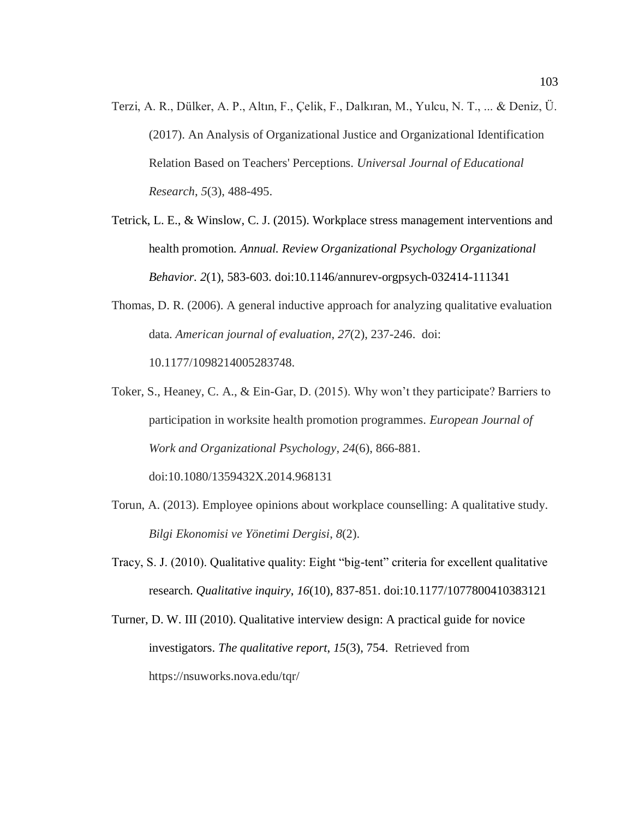- Terzi, A. R., Dülker, A. P., Altın, F., Çelik, F., Dalkıran, M., Yulcu, N. T., ... & Deniz, Ü. (2017). An Analysis of Organizational Justice and Organizational Identification Relation Based on Teachers' Perceptions. *Universal Journal of Educational Research*, *5*(3), 488-495.
- Tetrick, L. E., & Winslow, C. J. (2015). Workplace stress management interventions and health promotion. *Annual. Review Organizational Psychology Organizational Behavior. 2*(1), 583-603. doi:10.1146/annurev-orgpsych-032414-111341
- Thomas, D. R. (2006). A general inductive approach for analyzing qualitative evaluation data. *American journal of evaluation*, *27*(2), 237-246. doi: 10.1177/1098214005283748.
- Toker, S., Heaney, C. A., & Ein-Gar, D. (2015). Why won't they participate? Barriers to participation in worksite health promotion programmes. *European Journal of Work and Organizational Psychology*, *24*(6), 866-881.

doi:10.1080/1359432X.2014.968131

- Torun, A. (2013). Employee opinions about workplace counselling: A qualitative study. *Bilgi Ekonomisi ve Yönetimi Dergisi*, *8*(2).
- Tracy, S. J. (2010). Qualitative quality: Eight "big-tent" criteria for excellent qualitative research. *Qualitative inquiry*, *16*(10), 837-851. doi:10.1177/1077800410383121
- Turner, D. W. III (2010). Qualitative interview design: A practical guide for novice investigators. *The qualitative report*, *15*(3), 754. Retrieved from https://nsuworks.nova.edu/tqr/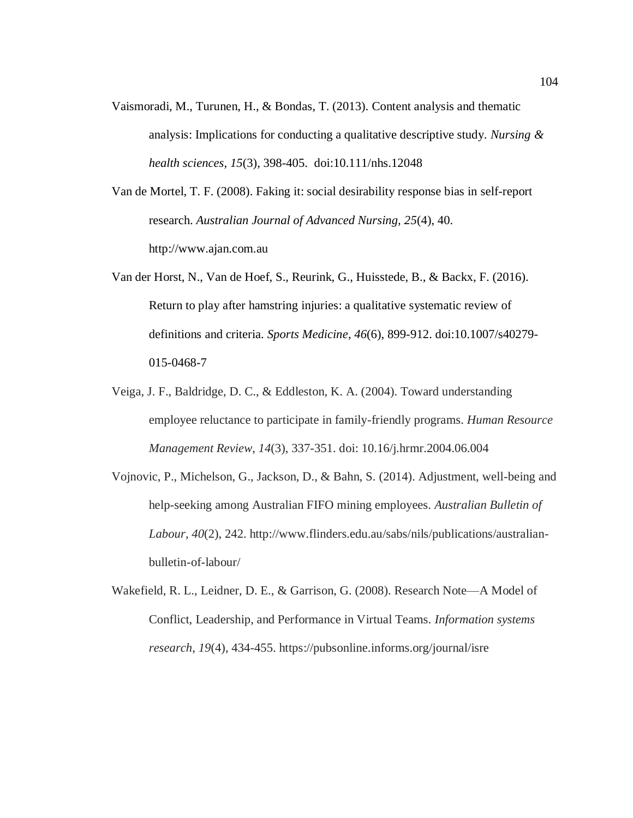Vaismoradi, M., Turunen, H., & Bondas, T. (2013). Content analysis and thematic analysis: Implications for conducting a qualitative descriptive study. *Nursing & health sciences*, *15*(3), 398-405. doi:10.111/nhs.12048

Van de Mortel, T. F. (2008). Faking it: social desirability response bias in self-report research. *Australian Journal of Advanced Nursing, 25*(4), 40. http://www.ajan.com.au

- Van der Horst, N., Van de Hoef, S., Reurink, G., Huisstede, B., & Backx, F. (2016). Return to play after hamstring injuries: a qualitative systematic review of definitions and criteria. *Sports Medicine*, *46*(6), 899-912. doi:10.1007/s40279- 015-0468-7
- Veiga, J. F., Baldridge, D. C., & Eddleston, K. A. (2004). Toward understanding employee reluctance to participate in family-friendly programs. *Human Resource Management Review*, *14*(3), 337-351. doi: 10.16/j.hrmr.2004.06.004
- Vojnovic, P., Michelson, G., Jackson, D., & Bahn, S. (2014). Adjustment, well-being and help-seeking among Australian FIFO mining employees. *Australian Bulletin of Labour*, *40*(2), 242. http://www.flinders.edu.au/sabs/nils/publications/australianbulletin-of-labour/
- Wakefield, R. L., Leidner, D. E., & Garrison, G. (2008). Research Note—A Model of Conflict, Leadership, and Performance in Virtual Teams. *Information systems research*, *19*(4), 434-455. https://pubsonline.informs.org/journal/isre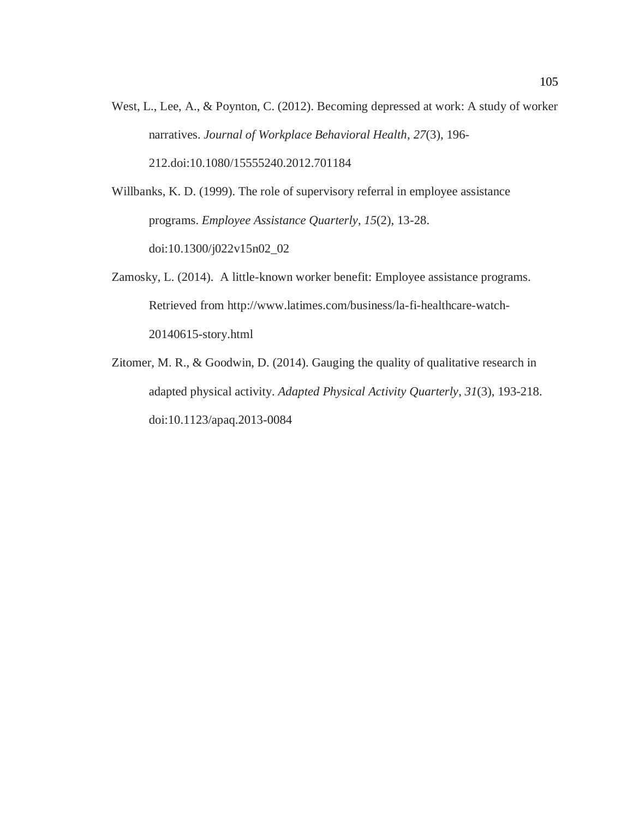West, L., Lee, A., & Poynton, C. (2012). Becoming depressed at work: A study of worker narratives. *Journal of Workplace Behavioral Health*, *27*(3), 196- 212.doi:10.1080/15555240.2012.701184

Willbanks, K. D. (1999). The role of supervisory referral in employee assistance programs. *Employee Assistance Quarterly*, *15*(2), 13-28. doi:10.1300/j022v15n02\_02

- Zamosky, L. (2014). A little-known worker benefit: Employee assistance programs. Retrieved from http://www.latimes.com/business/la-fi-healthcare-watch-20140615-story.html
- Zitomer, M. R., & Goodwin, D. (2014). Gauging the quality of qualitative research in adapted physical activity. *Adapted Physical Activity Quarterly*, *31*(3), 193-218. doi:10.1123/apaq.2013-0084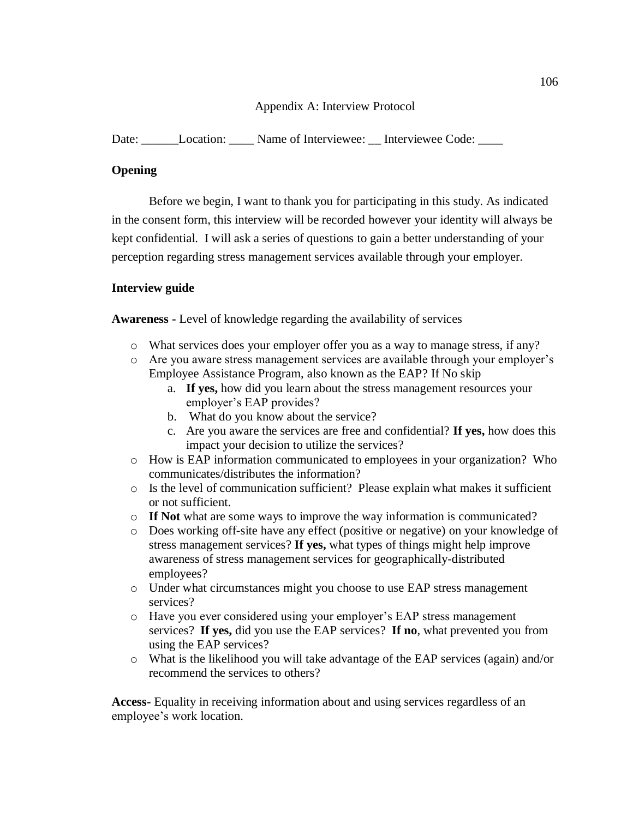## Appendix A: Interview Protocol

Date: \_\_\_\_\_\_Location: \_\_\_\_ Name of Interviewee: \_\_ Interviewee Code: \_\_\_\_

# **Opening**

Before we begin, I want to thank you for participating in this study. As indicated in the consent form, this interview will be recorded however your identity will always be kept confidential. I will ask a series of questions to gain a better understanding of your perception regarding stress management services available through your employer.

# **Interview guide**

**Awareness -** Level of knowledge regarding the availability of services

- o What services does your employer offer you as a way to manage stress, if any?
- o Are you aware stress management services are available through your employer's Employee Assistance Program, also known as the EAP? If No skip
	- a. **If yes,** how did you learn about the stress management resources your employer's EAP provides?
	- b. What do you know about the service?
	- c. Are you aware the services are free and confidential? **If yes,** how does this impact your decision to utilize the services?
- o How is EAP information communicated to employees in your organization? Who communicates/distributes the information?
- o Is the level of communication sufficient? Please explain what makes it sufficient or not sufficient.
- o **If Not** what are some ways to improve the way information is communicated?
- o Does working off-site have any effect (positive or negative) on your knowledge of stress management services? **If yes,** what types of things might help improve awareness of stress management services for geographically-distributed employees?
- o Under what circumstances might you choose to use EAP stress management services?
- o Have you ever considered using your employer's EAP stress management services? **If yes,** did you use the EAP services? **If no**, what prevented you from using the EAP services?
- o What is the likelihood you will take advantage of the EAP services (again) and/or recommend the services to others?

**Access-** Equality in receiving information about and using services regardless of an employee's work location.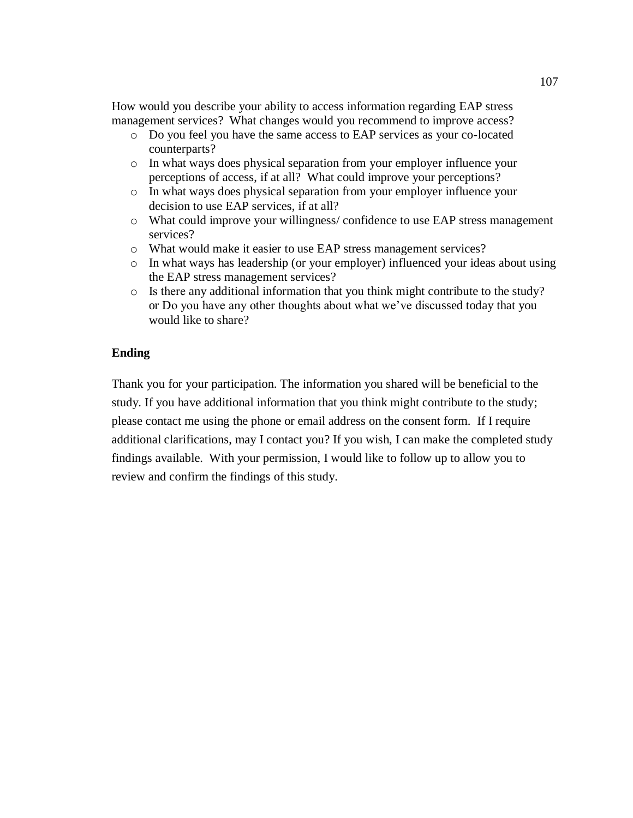How would you describe your ability to access information regarding EAP stress management services? What changes would you recommend to improve access?

- o Do you feel you have the same access to EAP services as your co-located counterparts?
- o In what ways does physical separation from your employer influence your perceptions of access, if at all? What could improve your perceptions?
- o In what ways does physical separation from your employer influence your decision to use EAP services, if at all?
- o What could improve your willingness/ confidence to use EAP stress management services?
- o What would make it easier to use EAP stress management services?
- o In what ways has leadership (or your employer) influenced your ideas about using the EAP stress management services?
- o Is there any additional information that you think might contribute to the study? or Do you have any other thoughts about what we've discussed today that you would like to share?

### **Ending**

Thank you for your participation. The information you shared will be beneficial to the study. If you have additional information that you think might contribute to the study; please contact me using the phone or email address on the consent form. If I require additional clarifications, may I contact you? If you wish, I can make the completed study findings available. With your permission, I would like to follow up to allow you to review and confirm the findings of this study.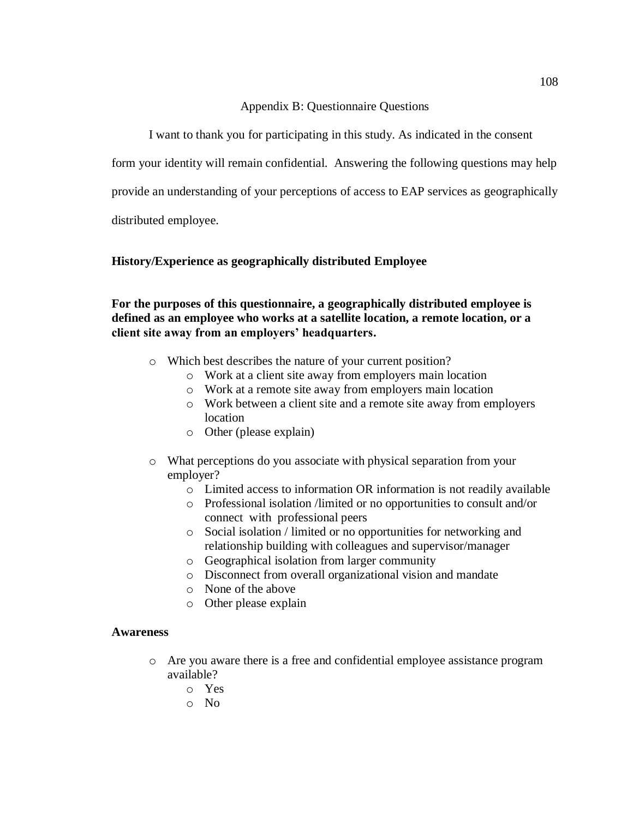### Appendix B: Questionnaire Questions

I want to thank you for participating in this study. As indicated in the consent

form your identity will remain confidential. Answering the following questions may help

provide an understanding of your perceptions of access to EAP services as geographically

distributed employee.

## **History/Experience as geographically distributed Employee**

## **For the purposes of this questionnaire, a geographically distributed employee is defined as an employee who works at a satellite location, a remote location, or a client site away from an employers' headquarters.**

- o Which best describes the nature of your current position?
	- o Work at a client site away from employers main location
	- o Work at a remote site away from employers main location
	- o Work between a client site and a remote site away from employers location
	- o Other (please explain)
- o What perceptions do you associate with physical separation from your employer?
	- o Limited access to information OR information is not readily available
	- o Professional isolation /limited or no opportunities to consult and/or connect with professional peers
	- o Social isolation / limited or no opportunities for networking and relationship building with colleagues and supervisor/manager
	- o Geographical isolation from larger community
	- o Disconnect from overall organizational vision and mandate
	- o None of the above
	- o Other please explain

### **Awareness**

- o Are you aware there is a free and confidential employee assistance program available?
	- o Yes
	- o No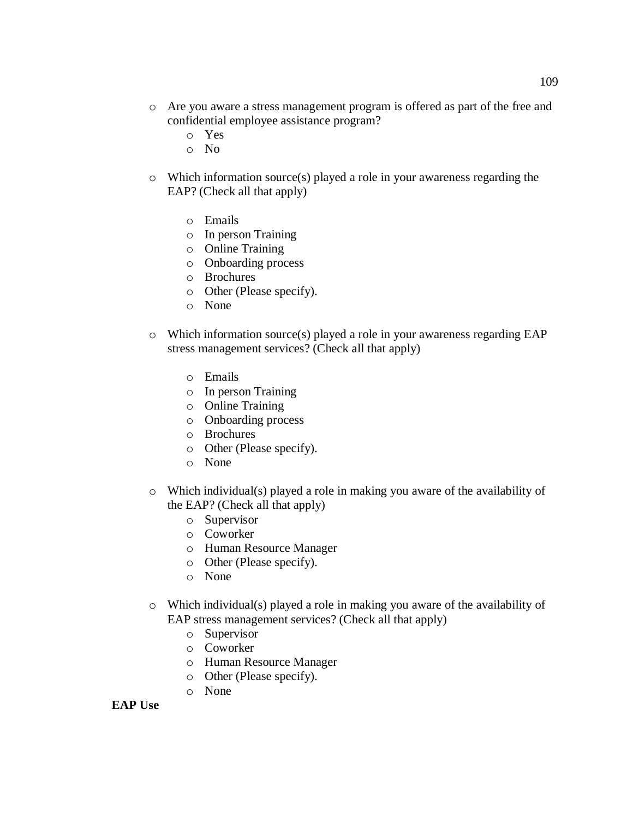- o Are you aware a stress management program is offered as part of the free and confidential employee assistance program?
	- o Yes
	- o No
- o Which information source(s) played a role in your awareness regarding the EAP? (Check all that apply)
	- o Emails
	- o In person Training
	- o Online Training
	- o Onboarding process
	- o Brochures
	- o Other (Please specify).
	- o None
- o Which information source(s) played a role in your awareness regarding EAP stress management services? (Check all that apply)
	- o Emails
	- o In person Training
	- o Online Training
	- o Onboarding process
	- o Brochures
	- o Other (Please specify).
	- o None
- o Which individual(s) played a role in making you aware of the availability of the EAP? (Check all that apply)
	- o Supervisor
	- o Coworker
	- o Human Resource Manager
	- o Other (Please specify).
	- o None
- o Which individual(s) played a role in making you aware of the availability of EAP stress management services? (Check all that apply)
	- o Supervisor
	- o Coworker
	- o Human Resource Manager
	- o Other (Please specify).
	- o None

#### **EAP Use**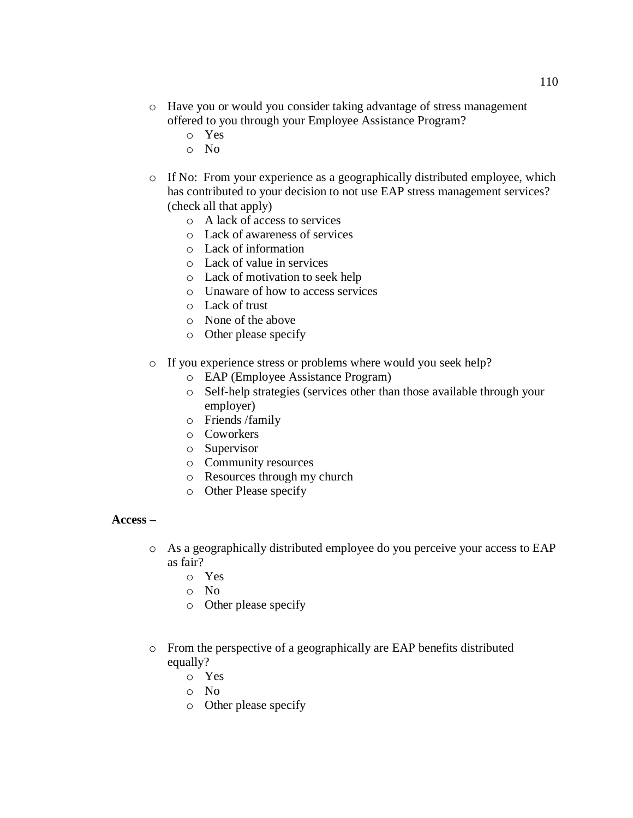- o Have you or would you consider taking advantage of stress management offered to you through your Employee Assistance Program?
	- o Yes
	- o No
- o If No: From your experience as a geographically distributed employee, which has contributed to your decision to not use EAP stress management services? (check all that apply)
	- o A lack of access to services
	- o Lack of awareness of services
	- o Lack of information
	- o Lack of value in services
	- o Lack of motivation to seek help
	- o Unaware of how to access services
	- o Lack of trust
	- o None of the above
	- o Other please specify
- o If you experience stress or problems where would you seek help?
	- o EAP (Employee Assistance Program)
	- o Self-help strategies (services other than those available through your employer)
	- o Friends /family
	- o Coworkers
	- o Supervisor
	- o Community resources
	- o Resources through my church
	- o Other Please specify

### **Access –**

- o As a geographically distributed employee do you perceive your access to EAP as fair?
	- o Yes
	- o No
	- o Other please specify
- o From the perspective of a geographically are EAP benefits distributed equally?
	- o Yes
	- o No
	- o Other please specify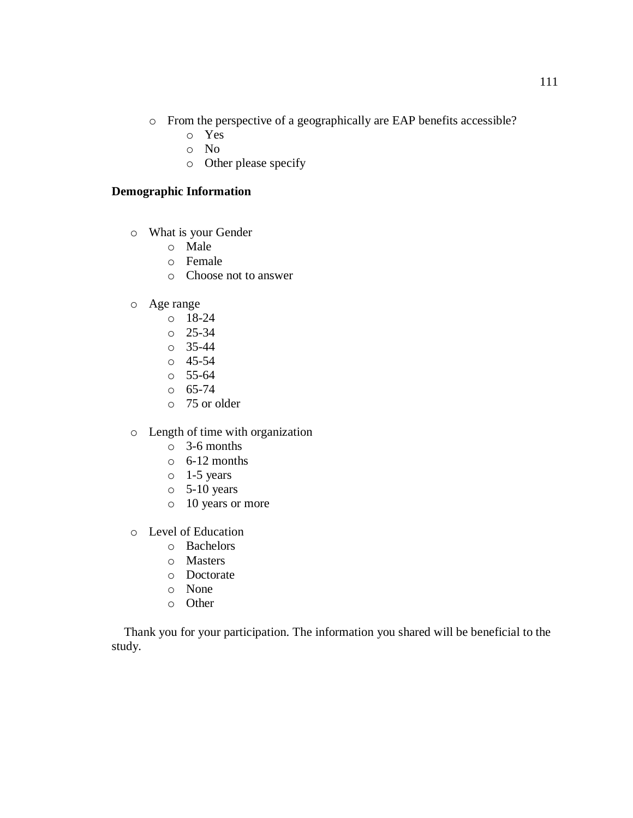- o From the perspective of a geographically are EAP benefits accessible?
	- o Yes
	- o No
	- o Other please specify

# **Demographic Information**

- o What is your Gender
	- o Male
	- o Female
	- o Choose not to answer
- o Age range
	- o 18-24
	- $\degree$  25-34
	- o 35-44
	- o 45-54
	- o 55-64
	- $\circ$  65-74
	- o 75 or older
- o Length of time with organization
	- o 3-6 months
	- $\circ$  6-12 months
	- o 1-5 years
	- $\circ$  5-10 years
	- o 10 years or more
- o Level of Education
	- o Bachelors
	- o Masters
	- o Doctorate
	- o None
	- o Other

 Thank you for your participation. The information you shared will be beneficial to the study.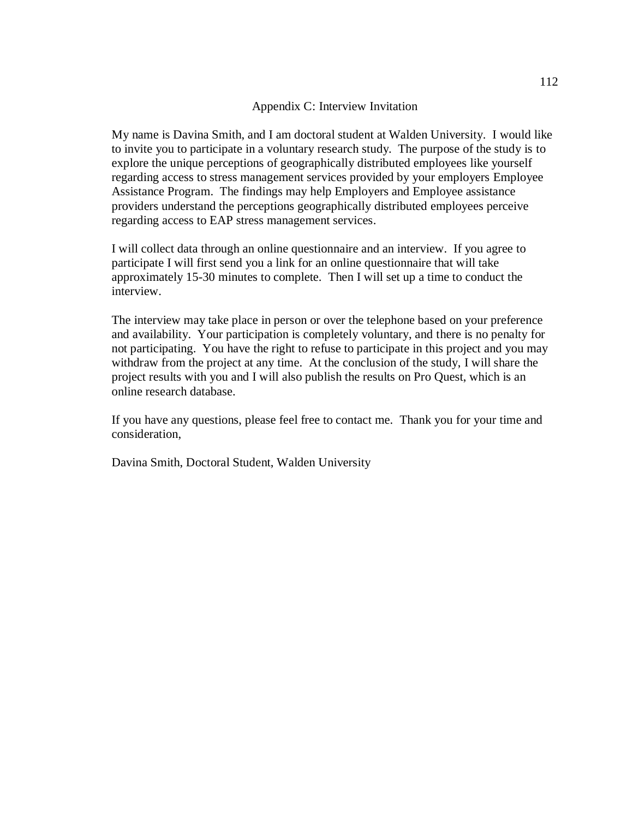#### Appendix C: Interview Invitation

My name is Davina Smith, and I am doctoral student at Walden University. I would like to invite you to participate in a voluntary research study. The purpose of the study is to explore the unique perceptions of geographically distributed employees like yourself regarding access to stress management services provided by your employers Employee Assistance Program. The findings may help Employers and Employee assistance providers understand the perceptions geographically distributed employees perceive regarding access to EAP stress management services.

I will collect data through an online questionnaire and an interview. If you agree to participate I will first send you a link for an online questionnaire that will take approximately 15-30 minutes to complete. Then I will set up a time to conduct the interview.

The interview may take place in person or over the telephone based on your preference and availability. Your participation is completely voluntary, and there is no penalty for not participating. You have the right to refuse to participate in this project and you may withdraw from the project at any time. At the conclusion of the study, I will share the project results with you and I will also publish the results on Pro Quest, which is an online research database.

If you have any questions, please feel free to contact me. Thank you for your time and consideration,

Davina Smith, Doctoral Student, Walden University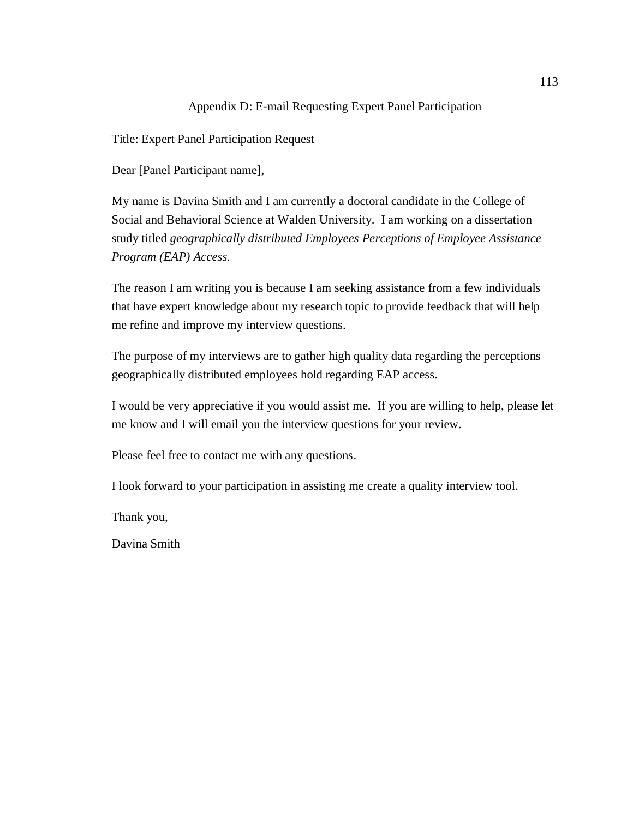### Appendix D: E-mail Requesting Expert Panel Participation

Title: Expert Panel Participation Request

Dear [Panel Participant name],

My name is Davina Smith and I am currently a doctoral candidate in the College of Social and Behavioral Science at Walden University. I am working on a dissertation study titled *geographically distributed Employees Perceptions of Employee Assistance Program (EAP) Access.*

The reason I am writing you is because I am seeking assistance from a few individuals that have expert knowledge about my research topic to provide feedback that will help me refine and improve my interview questions.

The purpose of my interviews are to gather high quality data regarding the perceptions geographically distributed employees hold regarding EAP access.

I would be very appreciative if you would assist me. If you are willing to help, please let me know and I will email you the interview questions for your review.

Please feel free to contact me with any questions.

I look forward to your participation in assisting me create a quality interview tool.

Thank you,

Davina Smith